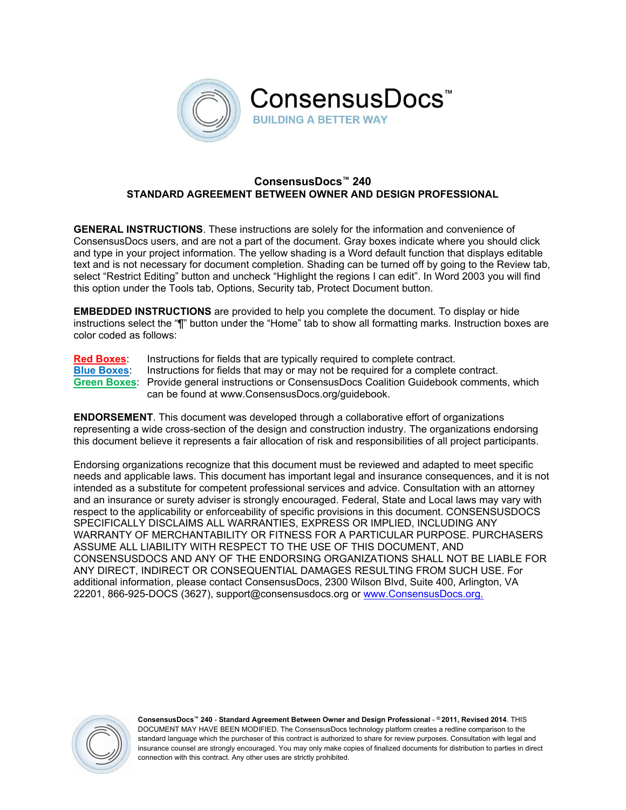

# **ConsensusDocs™ 240 STANDARD AGREEMENT BETWEEN OWNER AND DESIGN PROFESSIONAL**

**GENERAL INSTRUCTIONS**. These instructions are solely for the information and convenience of ConsensusDocs users, and are not a part of the document. Gray boxes indicate where you should click and type in your project information. The yellow shading is a Word default function that displays editable text and is not necessary for document completion. Shading can be turned off by going to the Review tab, select "Restrict Editing" button and uncheck "Highlight the regions I can edit". In Word 2003 you will find this option under the Tools tab, Options, Security tab, Protect Document button.

**EMBEDDED INSTRUCTIONS** are provided to help you complete the document. To display or hide instructions select the "¶" button under the "Home" tab to show all formatting marks. Instruction boxes are color coded as follows:

**Red Boxes**: Instructions for fields that are typically required to complete contract.

**Blue Boxes**: Instructions for fields that may or may not be required for a complete contract. **Green Boxes**: Provide general instructions or ConsensusDocs Coalition Guidebook comments, which can be found at www.ConsensusDocs.org/guidebook.

**ENDORSEMENT**. This document was developed through a collaborative effort of organizations representing a wide cross-section of the design and construction industry. The organizations endorsing this document believe it represents a fair allocation of risk and responsibilities of all project participants.

Endorsing organizations recognize that this document must be reviewed and adapted to meet specific needs and applicable laws. This document has important legal and insurance consequences, and it is not intended as a substitute for competent professional services and advice. Consultation with an attorney and an insurance or surety adviser is strongly encouraged. Federal, State and Local laws may vary with respect to the applicability or enforceability of specific provisions in this document. CONSENSUSDOCS SPECIFICALLY DISCLAIMS ALL WARRANTIES, EXPRESS OR IMPLIED, INCLUDING ANY WARRANTY OF MERCHANTABILITY OR FITNESS FOR A PARTICULAR PURPOSE. PURCHASERS ASSUME ALL LIABILITY WITH RESPECT TO THE USE OF THIS DOCUMENT, AND CONSENSUSDOCS AND ANY OF THE ENDORSING ORGANIZATIONS SHALL NOT BE LIABLE FOR ANY DIRECT, INDIRECT OR CONSEQUENTIAL DAMAGES RESULTING FROM SUCH USE. For additional information, please contact ConsensusDocs, 2300 Wilson Blvd, Suite 400, Arlington, VA 22201, 866-925-DOCS (3627), support@consensusdocs.org or www.ConsensusDocs.org.

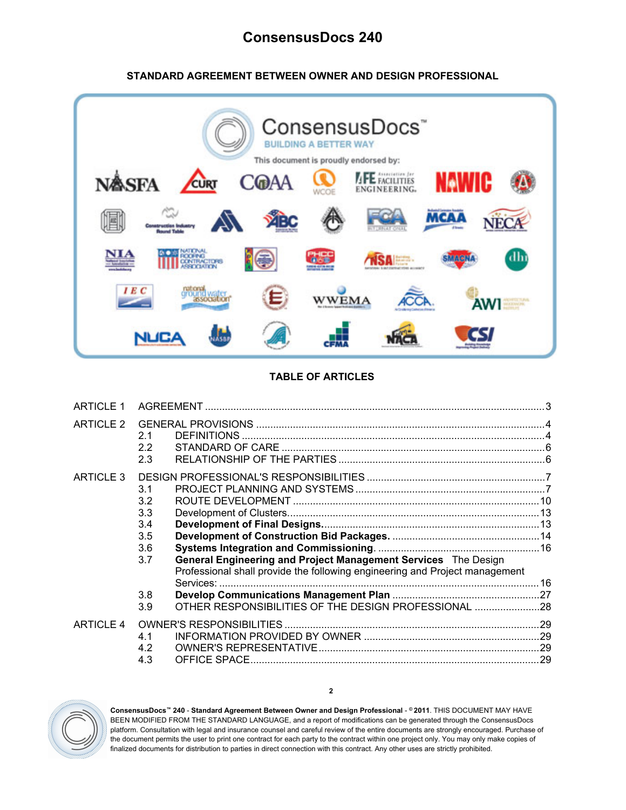# **ConsensusDocs 240**

# **STANDARD AGREEMENT BETWEEN OWNER AND DESIGN PROFESSIONAL**



# **TABLE OF ARTICLES**

| <b>ARTICLE 1</b> |                                                                                                                                                                                                                                                                      |  |
|------------------|----------------------------------------------------------------------------------------------------------------------------------------------------------------------------------------------------------------------------------------------------------------------|--|
| ARTICLE 2        | 2.1<br>2.2<br>2.3                                                                                                                                                                                                                                                    |  |
| ARTICLE 3        | 3.1<br>3.2<br>3.3<br>3.4<br>3.5<br>3.6<br>General Engineering and Project Management Services The Design<br>3.7<br>Professional shall provide the following engineering and Project management<br>3.8<br>OTHER RESPONSIBILITIES OF THE DESIGN PROFESSIONAL 28<br>3.9 |  |
| <b>ARTICLE 4</b> | 4.1<br>4.2<br>4.3                                                                                                                                                                                                                                                    |  |



**ConsensusDocs™ 240** - **Standard Agreement Between Owner and Design Professional** - **© 2011**. THIS DOCUMENT MAY HAVE BEEN MODIFIED FROM THE STANDARD LANGUAGE, and a report of modifications can be generated through the ConsensusDocs platform. Consultation with legal and insurance counsel and careful review of the entire documents are strongly encouraged. Purchase of the document permits the user to print one contract for each party to the contract within one project only. You may only make copies of finalized documents for distribution to parties in direct connection with this contract. Any other uses are strictly prohibited.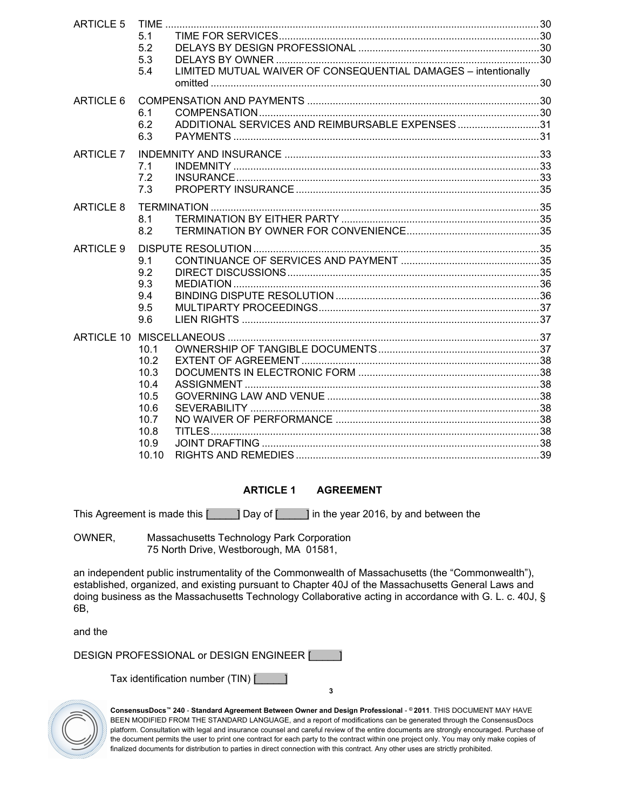| <b>ARTICLE 5</b> |       |                                                                |  |
|------------------|-------|----------------------------------------------------------------|--|
|                  | 5.1   |                                                                |  |
|                  | 5.2   |                                                                |  |
|                  | 5.3   |                                                                |  |
|                  | 5.4   | LIMITED MUTUAL WAIVER OF CONSEQUENTIAL DAMAGES - intentionally |  |
|                  |       |                                                                |  |
| ARTICLE 6        |       |                                                                |  |
|                  | 6.1   |                                                                |  |
|                  | 6.2   | ADDITIONAL SERVICES AND REIMBURSABLE EXPENSES31                |  |
|                  | 6.3   |                                                                |  |
|                  |       |                                                                |  |
| <b>ARTICLE 7</b> |       |                                                                |  |
|                  | 7.1   |                                                                |  |
|                  | 7.2   |                                                                |  |
|                  | 7.3   |                                                                |  |
| ARTICLE 8        |       |                                                                |  |
|                  | 8.1   |                                                                |  |
|                  | 8.2   |                                                                |  |
| ARTICLE 9        |       |                                                                |  |
|                  | 9.1   |                                                                |  |
|                  | 9.2   |                                                                |  |
|                  | 9.3   |                                                                |  |
|                  | 9.4   |                                                                |  |
|                  | 9.5   |                                                                |  |
|                  | 9.6   |                                                                |  |
|                  |       |                                                                |  |
|                  | 10.1  |                                                                |  |
|                  | 10.2  |                                                                |  |
|                  | 10.3  |                                                                |  |
|                  | 10.4  |                                                                |  |
|                  | 10.5  |                                                                |  |
|                  | 10.6  |                                                                |  |
|                  | 10.7  |                                                                |  |
|                  | 10.8  |                                                                |  |
|                  | 10.9  |                                                                |  |
|                  | 10.10 |                                                                |  |

# <span id="page-2-0"></span>**ARTICLE 1 AGREEMENT**

This Agreement is made this [\_\_\_\_\_] Day of [\_\_\_\_\_] in the year 2016, by and between the

OWNER, Massachusetts Technology Park Corporation 75 North Drive, Westborough, MA 01581,

an independent public instrumentality of the Commonwealth of Massachusetts (the "Commonwealth"), established, organized, and existing pursuant to Chapter 40J of the Massachusetts General Laws and doing business as the Massachusetts Technology Collaborative acting in accordance with G. L. c. 40J, § 6B,

and the

DESIGN PROFESSIONAL or DESIGN ENGINEER [\_\_\_\_\_]

Tax identification number (TIN) [\_\_\_\_\_]



**ConsensusDocs™ 240** - **Standard Agreement Between Owner and Design Professional** - **© 2011**. THIS DOCUMENT MAY HAVE BEEN MODIFIED FROM THE STANDARD LANGUAGE, and a report of modifications can be generated through the ConsensusDocs platform. Consultation with legal and insurance counsel and careful review of the entire documents are strongly encouraged. Purchase of the document permits the user to print one contract for each party to the contract within one project only. You may only make copies of finalized documents for distribution to parties in direct connection with this contract. Any other uses are strictly prohibited.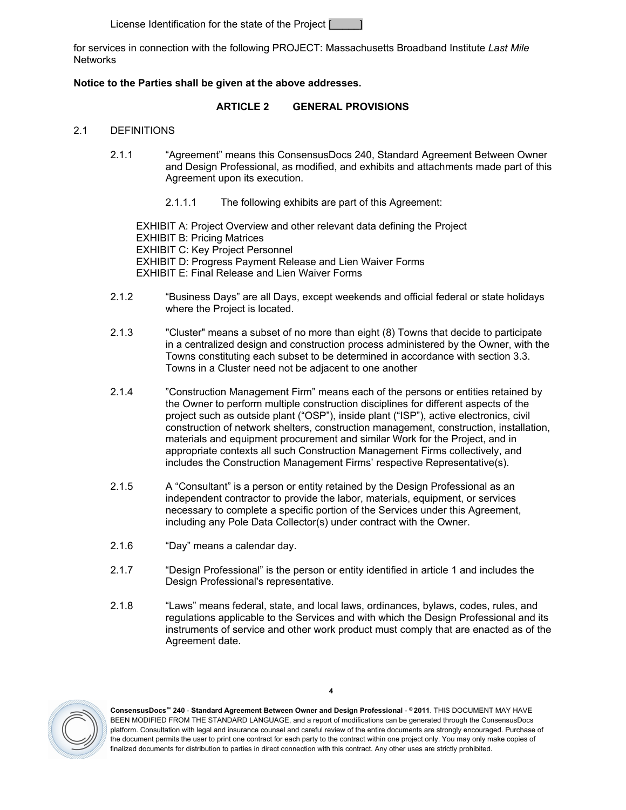License Identification for the state of the Project [

for services in connection with the following PROJECT: Massachusetts Broadband Institute *Last Mile* **Networks** 

# **Notice to the Parties shall be given at the above addresses.**

## <span id="page-3-0"></span>**ARTICLE 2 GENERAL PROVISIONS**

#### <span id="page-3-1"></span>2.1 DEFINITIONS

- 2.1.1 "Agreement" means this ConsensusDocs 240, Standard Agreement Between Owner and Design Professional, as modified, and exhibits and attachments made part of this Agreement upon its execution.
	- 2.1.1.1 The following exhibits are part of this Agreement:

EXHIBIT A: Project Overview and other relevant data defining the Project EXHIBIT B: Pricing Matrices EXHIBIT C: Key Project Personnel EXHIBIT D: Progress Payment Release and Lien Waiver Forms EXHIBIT E: Final Release and Lien Waiver Forms

- 2.1.2 "Business Days" are all Days, except weekends and official federal or state holidays where the Project is located.
- 2.1.3 "Cluster" means a subset of no more than eight (8) Towns that decide to participate in a centralized design and construction process administered by the Owner, with the Towns constituting each subset to be determined in accordance with section [3.3](#page-12-0). Towns in a Cluster need not be adjacent to one another
- 2.1.4 "Construction Management Firm" means each of the persons or entities retained by the Owner to perform multiple construction disciplines for different aspects of the project such as outside plant ("OSP"), inside plant ("ISP"), active electronics, civil construction of network shelters, construction management, construction, installation, materials and equipment procurement and similar Work for the Project, and in appropriate contexts all such Construction Management Firms collectively, and includes the Construction Management Firms' respective Representative(s).
- 2.1.5 A "Consultant" is a person or entity retained by the Design Professional as an independent contractor to provide the labor, materials, equipment, or services necessary to complete a specific portion of the Services under this Agreement, including any Pole Data Collector(s) under contract with the Owner.
- 2.1.6 "Day" means a calendar day.
- 2.1.7 "Design Professional" is the person or entity identified in article 1 and includes the Design Professional's representative.
- 2.1.8 "Laws" means federal, state, and local laws, ordinances, bylaws, codes, rules, and regulations applicable to the Services and with which the Design Professional and its instruments of service and other work product must comply that are enacted as of the Agreement date.

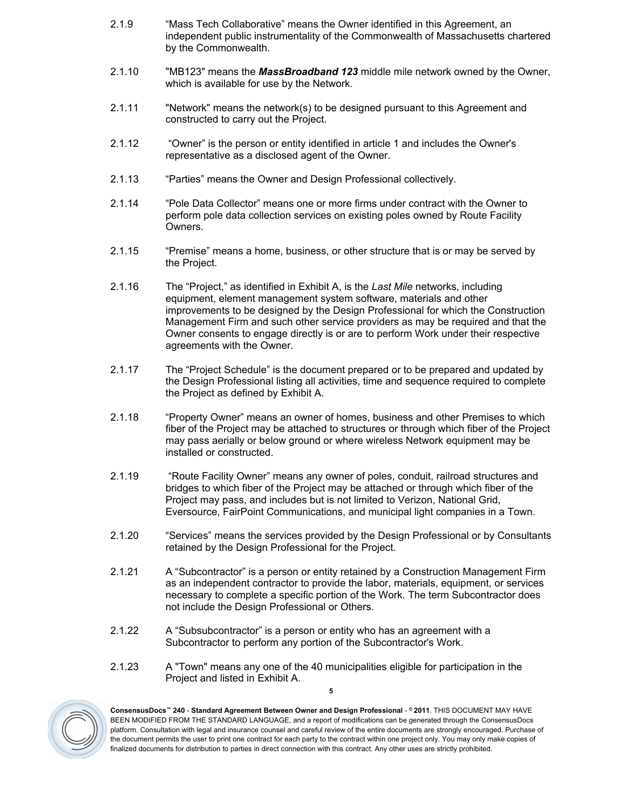- 2.1.9 "Mass Tech Collaborative" means the Owner identified in this Agreement, an independent public instrumentality of the Commonwealth of Massachusetts chartered by the Commonwealth.
- 2.1.10 "MB123" means the *MassBroadband 123* middle mile network owned by the Owner, which is available for use by the Network.
- 2.1.11 "Network" means the network(s) to be designed pursuant to this Agreement and constructed to carry out the Project.
- 2.1.12 "Owner" is the person or entity identified in [article](#page-2-0) [1](#page-2-0) and includes the Owner's representative as a disclosed agent of the Owner.
- 2.1.13 "Parties" means the Owner and Design Professional collectively.
- 2.1.14 "Pole Data Collector" means one or more firms under contract with the Owner to perform pole data collection services on existing poles owned by Route Facility Owners.
- <span id="page-4-0"></span>2.1.15 "Premise" means a home, business, or other structure that is or may be served by the Project.
- 2.1.16 The "Project," as identified in Exhibit A, is the *Last Mile* networks, including equipment, element management system software, materials and other improvements to be designed by the Design Professional for which the Construction Management Firm and such other service providers as may be required and that the Owner consents to engage directly is or are to perform Work under their respective agreements with the Owner.
- 2.1.17 The "Project Schedule" is the document prepared or to be prepared and updated by the Design Professional listing all activities, time and sequence required to complete the Project as defined by Exhibit A.
- 2.1.18 "Property Owner" means an owner of homes, business and other Premises to which fiber of the Project may be attached to structures or through which fiber of the Project may pass aerially or below ground or where wireless Network equipment may be installed or constructed.
- 2.1.19 "Route Facility Owner" means any owner of poles, conduit, railroad structures and bridges to which fiber of the Project may be attached or through which fiber of the Project may pass, and includes but is not limited to Verizon, National Grid, Eversource, FairPoint Communications, and municipal light companies in a Town.
- 2.1.20 "Services" means the services provided by the Design Professional or by Consultants retained by the Design Professional for the Project.
- 2.1.21 A "Subcontractor" is a person or entity retained by a Construction Management Firm as an independent contractor to provide the labor, materials, equipment, or services necessary to complete a specific portion of the Work. The term Subcontractor does not include the Design Professional or Others.
- 2.1.22 A "Subsubcontractor" is a person or entity who has an agreement with a Subcontractor to perform any portion of the Subcontractor's Work.
- 2.1.23 A "Town" means any one of the 40 municipalities eligible for participation in the Project and listed in Exhibit A.



**ConsensusDocs™ 240** - **Standard Agreement Between Owner and Design Professional** - **© 2011**. THIS DOCUMENT MAY HAVE BEEN MODIFIED FROM THE STANDARD LANGUAGE, and a report of modifications can be generated through the ConsensusDocs platform. Consultation with legal and insurance counsel and careful review of the entire documents are strongly encouraged. Purchase of the document permits the user to print one contract for each party to the contract within one project only. You may only make copies of finalized documents for distribution to parties in direct connection with this contract. Any other uses are strictly prohibited.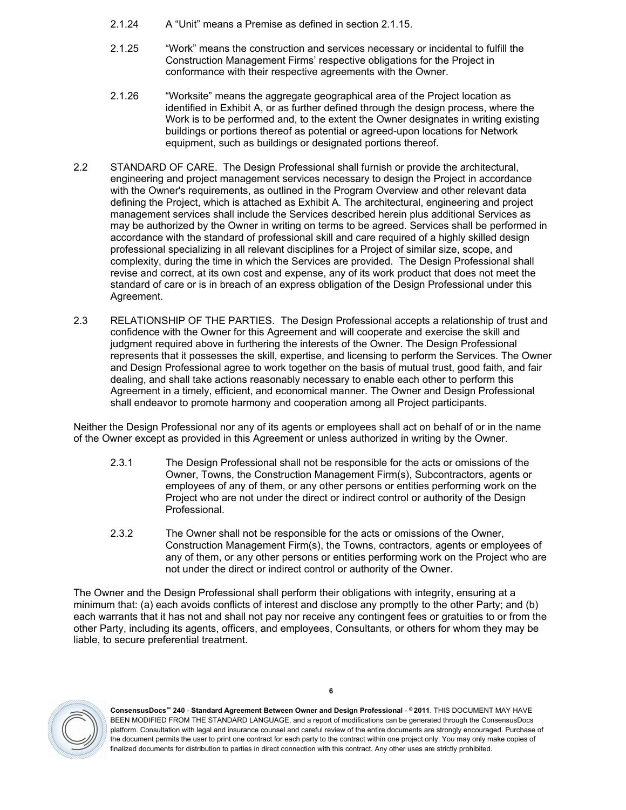- 2.1.24 A "Unit" means a Premise as defined in section [2.1.15.](#page-4-0)
- 2.1.25 "Work" means the construction and services necessary or incidental to fulfill the Construction Management Firms' respective obligations for the Project in conformance with their respective agreements with the Owner.
- 2.1.26 "Worksite" means the aggregate geographical area of the Project location as identified in Exhibit A, or as further defined through the design process, where the Work is to be performed and, to the extent the Owner designates in writing existing buildings or portions thereof as potential or agreed-upon locations for Network equipment, such as buildings or designated portions thereof.
- <span id="page-5-0"></span>2.2 STANDARD OF CARE. The Design Professional shall furnish or provide the architectural, engineering and project management services necessary to design the Project in accordance with the Owner's requirements, as outlined in the Program Overview and other relevant data defining the Project, which is attached as Exhibit A. The architectural, engineering and project management services shall include the Services described herein plus additional Services as may be authorized by the Owner in writing on terms to be agreed. Services shall be performed in accordance with the standard of professional skill and care required of a highly skilled design professional specializing in all relevant disciplines for a Project of similar size, scope, and complexity, during the time in which the Services are provided. The Design Professional shall revise and correct, at its own cost and expense, any of its work product that does not meet the standard of care or is in breach of an express obligation of the Design Professional under this Agreement.
- <span id="page-5-1"></span>2.3 RELATIONSHIP OF THE PARTIES. The Design Professional accepts a relationship of trust and confidence with the Owner for this Agreement and will cooperate and exercise the skill and judgment required above in furthering the interests of the Owner. The Design Professional represents that it possesses the skill, expertise, and licensing to perform the Services. The Owner and Design Professional agree to work together on the basis of mutual trust, good faith, and fair dealing, and shall take actions reasonably necessary to enable each other to perform this Agreement in a timely, efficient, and economical manner. The Owner and Design Professional shall endeavor to promote harmony and cooperation among all Project participants.

Neither the Design Professional nor any of its agents or employees shall act on behalf of or in the name of the Owner except as provided in this Agreement or unless authorized in writing by the Owner.

- 2.3.1 The Design Professional shall not be responsible for the acts or omissions of the Owner, Towns, the Construction Management Firm(s), Subcontractors, agents or employees of any of them, or any other persons or entities performing work on the Project who are not under the direct or indirect control or authority of the Design Professional.
- 2.3.2 The Owner shall not be responsible for the acts or omissions of the Owner, Construction Management Firm(s), the Towns, contractors, agents or employees of any of them, or any other persons or entities performing work on the Project who are not under the direct or indirect control or authority of the Owner.

The Owner and the Design Professional shall perform their obligations with integrity, ensuring at a minimum that: (a) each avoids conflicts of interest and disclose any promptly to the other Party; and (b) each warrants that it has not and shall not pay nor receive any contingent fees or gratuities to or from the other Party, including its agents, officers, and employees, Consultants, or others for whom they may be liable, to secure preferential treatment.



**ConsensusDocs™ 240** - **Standard Agreement Between Owner and Design Professional** - **© 2011**. THIS DOCUMENT MAY HAVE BEEN MODIFIED FROM THE STANDARD LANGUAGE, and a report of modifications can be generated through the ConsensusDocs platform. Consultation with legal and insurance counsel and careful review of the entire documents are strongly encouraged. Purchase of the document permits the user to print one contract for each party to the contract within one project only. You may only make copies of finalized documents for distribution to parties in direct connection with this contract. Any other uses are strictly prohibited.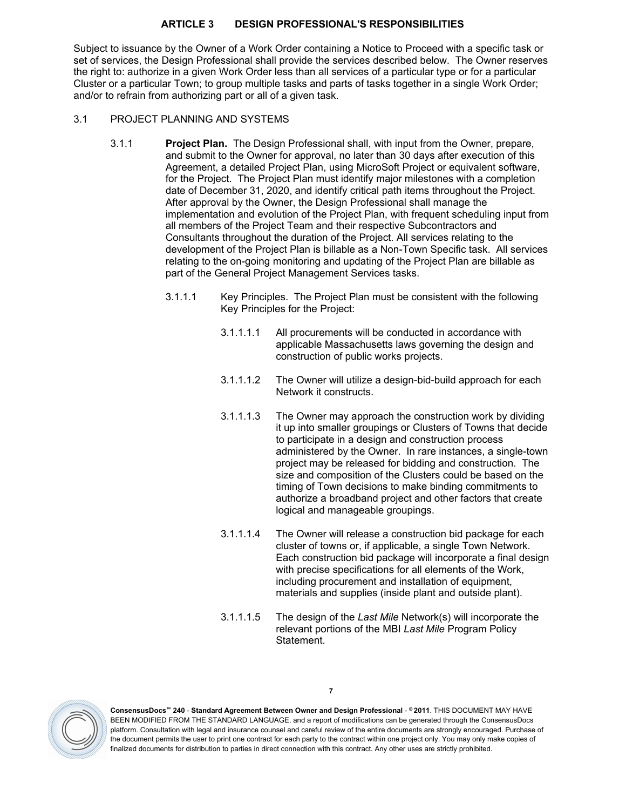### <span id="page-6-0"></span>**ARTICLE 3 DESIGN PROFESSIONAL'S RESPONSIBILITIES**

Subject to issuance by the Owner of a Work Order containing a Notice to Proceed with a specific task or set of services, the Design Professional shall provide the services described below. The Owner reserves the right to: authorize in a given Work Order less than all services of a particular type or for a particular Cluster or a particular Town; to group multiple tasks and parts of tasks together in a single Work Order; and/or to refrain from authorizing part or all of a given task.

### <span id="page-6-1"></span>3.1 PROJECT PLANNING AND SYSTEMS

- <span id="page-6-2"></span>3.1.1 **Project Plan.** The Design Professional shall, with input from the Owner, prepare, and submit to the Owner for approval, no later than 30 days after execution of this Agreement, a detailed Project Plan, using MicroSoft Project or equivalent software, for the Project. The Project Plan must identify major milestones with a completion date of December 31, 2020, and identify critical path items throughout the Project. After approval by the Owner, the Design Professional shall manage the implementation and evolution of the Project Plan, with frequent scheduling input from all members of the Project Team and their respective Subcontractors and Consultants throughout the duration of the Project. All services relating to the development of the Project Plan is billable as a Non-Town Specific task. All services relating to the on-going monitoring and updating of the Project Plan are billable as part of the General Project Management Services tasks.
	- 3.1.1.1 Key Principles. The Project Plan must be consistent with the following Key Principles for the Project:
		- 3.1.1.1.1 All procurements will be conducted in accordance with applicable Massachusetts laws governing the design and construction of public works projects.
		- 3.1.1.1.2 The Owner will utilize a design-bid-build approach for each Network it constructs.
		- 3.1.1.1.3 The Owner may approach the construction work by dividing it up into smaller groupings or Clusters of Towns that decide to participate in a design and construction process administered by the Owner. In rare instances, a single-town project may be released for bidding and construction. The size and composition of the Clusters could be based on the timing of Town decisions to make binding commitments to authorize a broadband project and other factors that create logical and manageable groupings.
		- 3.1.1.1.4 The Owner will release a construction bid package for each cluster of towns or, if applicable, a single Town Network. Each construction bid package will incorporate a final design with precise specifications for all elements of the Work, including procurement and installation of equipment, materials and supplies (inside plant and outside plant).
		- 3.1.1.1.5 The design of the *Last Mile* Network(s) will incorporate the relevant portions of the MBI *Last Mile* Program Policy Statement.

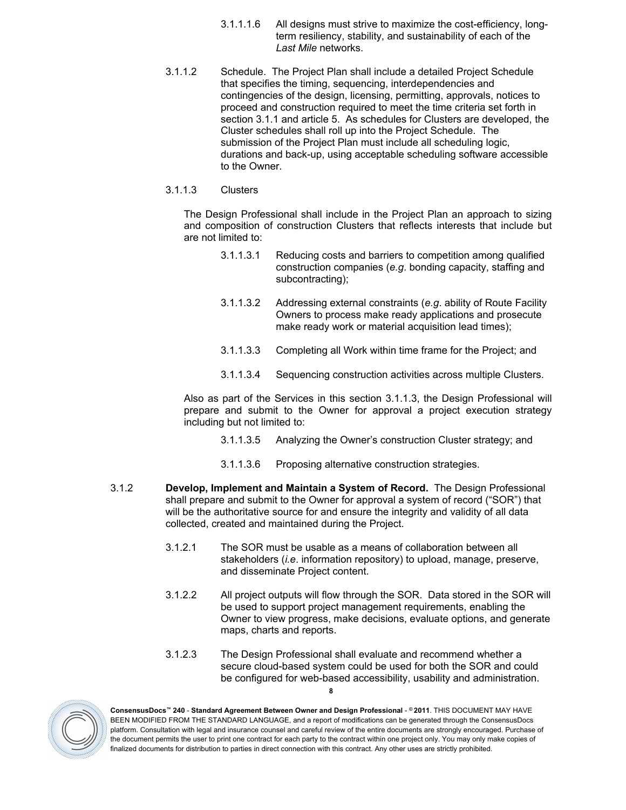- 3.1.1.1.6 All designs must strive to maximize the cost-efficiency, longterm resiliency, stability, and sustainability of each of the *Last Mile* networks.
- 3.1.1.2 Schedule. The Project Plan shall include a detailed Project Schedule that specifies the timing, sequencing, interdependencies and contingencies of the design, licensing, permitting, approvals, notices to proceed and constructi[on](#page-29-0) required to meet the time criteria set forth in section [3.1.1](#page-6-2) and [article](#page-29-0) [5.](#page-29-0) As schedules for Clusters are developed, the Cluster schedules shall roll up into the Project Schedule. The submission of the Project Plan must include all scheduling logic, durations and back-up, using acceptable scheduling software accessible to the Owner.

#### <span id="page-7-0"></span>3.1.1.3 Clusters

The Design Professional shall include in the Project Plan an approach to sizing and composition of construction Clusters that reflects interests that include but are not limited to:

- 3.1.1.3.1 Reducing costs and barriers to competition among qualified construction companies (*e.g*. bonding capacity, staffing and subcontracting);
- 3.1.1.3.2 Addressing external constraints (*e.g*. ability of Route Facility Owners to process make ready applications and prosecute make ready work or material acquisition lead times);
- 3.1.1.3.3 Completing all Work within time frame for the Project; and
- 3.1.1.3.4 Sequencing construction activities across multiple Clusters.

Also as part of the Services in this section [3.1.1.3,](#page-7-0) the Design Professional will prepare and submit to the Owner for approval a project execution strategy including but not limited to:

- 3.1.1.3.5 Analyzing the Owner's construction Cluster strategy; and
- 3.1.1.3.6 Proposing alternative construction strategies.
- <span id="page-7-1"></span>3.1.2 **Develop, Implement and Maintain a System of Record.** The Design Professional shall prepare and submit to the Owner for approval a system of record ("SOR") that will be the authoritative source for and ensure the integrity and validity of all data collected, created and maintained during the Project.
	- 3.1.2.1 The SOR must be usable as a means of collaboration between all stakeholders (*i.e*. information repository) to upload, manage, preserve, and disseminate Project content.
	- 3.1.2.2 All project outputs will flow through the SOR. Data stored in the SOR will be used to support project management requirements, enabling the Owner to view progress, make decisions, evaluate options, and generate maps, charts and reports.
	- **8** 3.1.2.3 The Design Professional shall evaluate and recommend whether a secure cloud-based system could be used for both the SOR and could be configured for web-based accessibility, usability and administration.

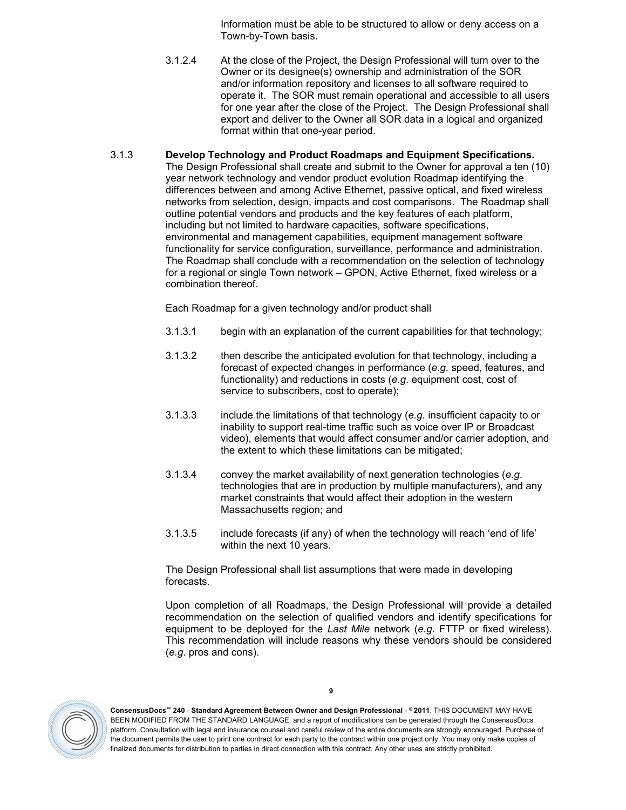Information must be able to be structured to allow or deny access on a Town-by-Town basis.

- 3.1.2.4 At the close of the Project, the Design Professional will turn over to the Owner or its designee(s) ownership and administration of the SOR and/or information repository and licenses to all software required to operate it. The SOR must remain operational and accessible to all users for one year after the close of the Project. The Design Professional shall export and deliver to the Owner all SOR data in a logical and organized format within that one-year period.
- <span id="page-8-0"></span>3.1.3 **Develop Technology and Product Roadmaps and Equipment Specifications.** The Design Professional shall create and submit to the Owner for approval a ten (10) year network technology and vendor product evolution Roadmap identifying the differences between and among Active Ethernet, passive optical, and fixed wireless networks from selection, design, impacts and cost comparisons. The Roadmap shall outline potential vendors and products and the key features of each platform, including but not limited to hardware capacities, software specifications, environmental and management capabilities, equipment management software functionality for service configuration, surveillance, performance and administration. The Roadmap shall conclude with a recommendation on the selection of technology for a regional or single Town network – GPON, Active Ethernet, fixed wireless or a combination thereof.

Each Roadmap for a given technology and/or product shall

- 3.1.3.1 begin with an explanation of the current capabilities for that technology;
- 3.1.3.2 then describe the anticipated evolution for that technology, including a forecast of expected changes in performance (*e.g*. speed, features, and functionality) and reductions in costs (*e.g*. equipment cost, cost of service to subscribers, cost to operate);
- 3.1.3.3 include the limitations of that technology (*e.g*. insufficient capacity to or inability to support real-time traffic such as voice over IP or Broadcast video), elements that would affect consumer and/or carrier adoption, and the extent to which these limitations can be mitigated;
- 3.1.3.4 convey the market availability of next generation technologies (*e.g*. technologies that are in production by multiple manufacturers), and any market constraints that would affect their adoption in the western Massachusetts region; and
- 3.1.3.5 include forecasts (if any) of when the technology will reach 'end of life' within the next 10 years.

The Design Professional shall list assumptions that were made in developing forecasts.

Upon completion of all Roadmaps, the Design Professional will provide a detailed recommendation on the selection of qualified vendors and identify specifications for equipment to be deployed for the *Last Mile* network (*e.g*. FTTP or fixed wireless). This recommendation will include reasons why these vendors should be considered (*e.g*. pros and cons).



**ConsensusDocs™ 240** - **Standard Agreement Between Owner and Design Professional** - **© 2011**. THIS DOCUMENT MAY HAVE BEEN MODIFIED FROM THE STANDARD LANGUAGE, and a report of modifications can be generated through the ConsensusDocs platform. Consultation with legal and insurance counsel and careful review of the entire documents are strongly encouraged. Purchase of the document permits the user to print one contract for each party to the contract within one project only. You may only make copies of finalized documents for distribution to parties in direct connection with this contract. Any other uses are strictly prohibited.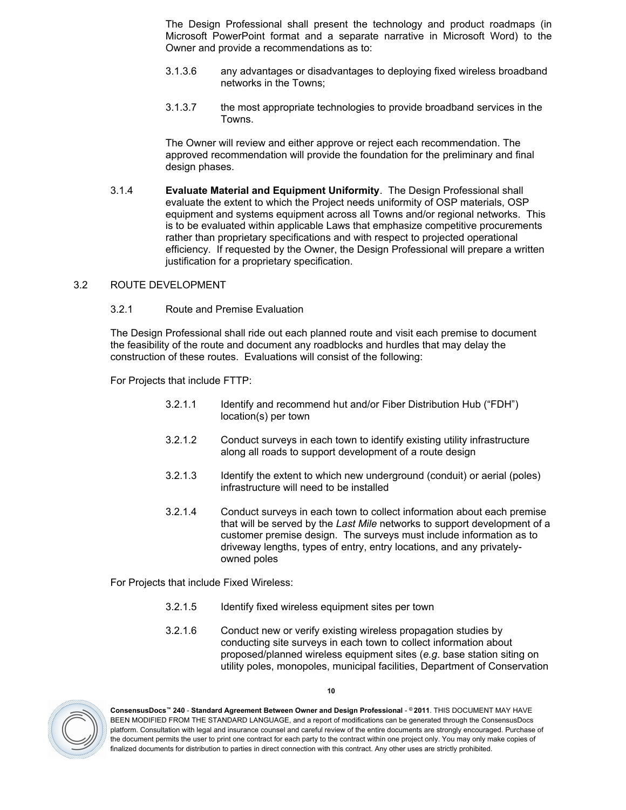The Design Professional shall present the technology and product roadmaps (in Microsoft PowerPoint format and a separate narrative in Microsoft Word) to the Owner and provide a recommendations as to:

- 3.1.3.6 any advantages or disadvantages to deploying fixed wireless broadband networks in the Towns;
- 3.1.3.7 the most appropriate technologies to provide broadband services in the Towns.

The Owner will review and either approve or reject each recommendation. The approved recommendation will provide the foundation for the preliminary and final design phases.

<span id="page-9-2"></span>3.1.4 **Evaluate Material and Equipment Uniformity**. The Design Professional shall evaluate the extent to which the Project needs uniformity of OSP materials, OSP equipment and systems equipment across all Towns and/or regional networks. This is to be evaluated within applicable Laws that emphasize competitive procurements rather than proprietary specifications and with respect to projected operational efficiency. If requested by the Owner, the Design Professional will prepare a written justification for a proprietary specification.

### <span id="page-9-0"></span>3.2 ROUTE DEVELOPMENT

# <span id="page-9-1"></span>3.2.1 Route and Premise Evaluation

The Design Professional shall ride out each planned route and visit each premise to document the feasibility of the route and document any roadblocks and hurdles that may delay the construction of these routes. Evaluations will consist of the following:

For Projects that include FTTP:

- 3.2.1.1 Identify and recommend hut and/or Fiber Distribution Hub ("FDH") location(s) per town
- 3.2.1.2 Conduct surveys in each town to identify existing utility infrastructure along all roads to support development of a route design
- 3.2.1.3 Identify the extent to which new underground (conduit) or aerial (poles) infrastructure will need to be installed
- 3.2.1.4 Conduct surveys in each town to collect information about each premise that will be served by the *Last Mile* networks to support development of a customer premise design. The surveys must include information as to driveway lengths, types of entry, entry locations, and any privatelyowned poles

For Projects that include Fixed Wireless:

- 3.2.1.5 Identify fixed wireless equipment sites per town
- 3.2.1.6 Conduct new or verify existing wireless propagation studies by conducting site surveys in each town to collect information about proposed/planned wireless equipment sites (*e.g*. base station siting on utility poles, monopoles, municipal facilities, Department of Conservation

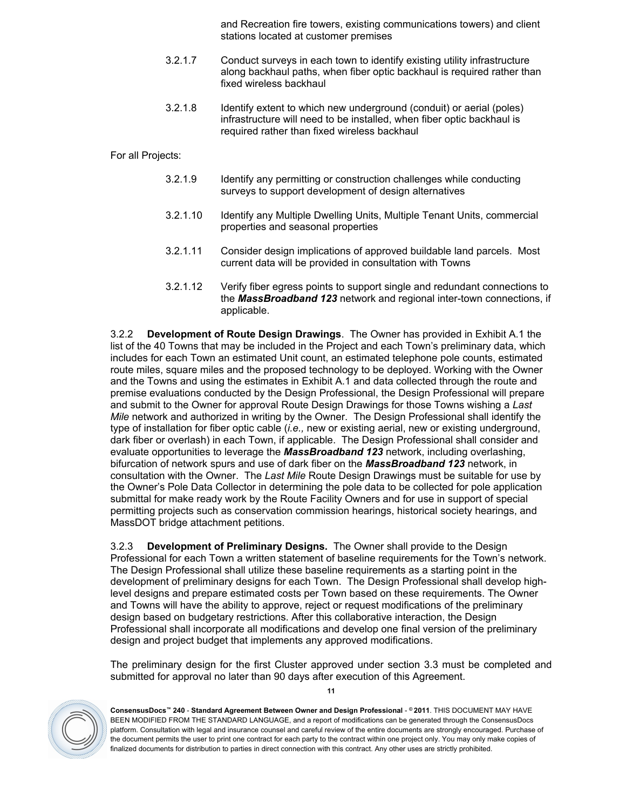and Recreation fire towers, existing communications towers) and client stations located at customer premises

- 3.2.1.7 Conduct surveys in each town to identify existing utility infrastructure along backhaul paths, when fiber optic backhaul is required rather than fixed wireless backhaul
- 3.2.1.8 Identify extent to which new underground (conduit) or aerial (poles) infrastructure will need to be installed, when fiber optic backhaul is required rather than fixed wireless backhaul

For all Projects:

- 3.2.1.9 Identify any permitting or construction challenges while conducting surveys to support development of design alternatives
- 3.2.1.10 Identify any Multiple Dwelling Units, Multiple Tenant Units, commercial properties and seasonal properties
- 3.2.1.11 Consider design implications of approved buildable land parcels. Most current data will be provided in consultation with Towns
- 3.2.1.12 Verify fiber egress points to support single and redundant connections to the *MassBroadband 123* network and regional inter-town connections, if applicable.

<span id="page-10-1"></span>3.2.2 **Development of Route Design Drawings**. The Owner has provided in Exhibit A.1 the list of the 40 Towns that may be included in the Project and each Town's preliminary data, which includes for each Town an estimated Unit count, an estimated telephone pole counts, estimated route miles, square miles and the proposed technology to be deployed. Working with the Owner and the Towns and using the estimates in Exhibit A.1 and data collected through the route and premise evaluations conducted by the Design Professional, the Design Professional will prepare and submit to the Owner for approval Route Design Drawings for those Towns wishing a *Last Mile* network and authorized in writing by the Owner. The Design Professional shall identify the type of installation for fiber optic cable (*i.e.,* new or existing aerial, new or existing underground, dark fiber or overlash) in each Town, if applicable. The Design Professional shall consider and evaluate opportunities to leverage the *MassBroadband 123* network, including overlashing, bifurcation of network spurs and use of dark fiber on the *MassBroadband 123* network, in consultation with the Owner. The *Last Mile* Route Design Drawings must be suitable for use by the Owner's Pole Data Collector in determining the pole data to be collected for pole application submittal for make ready work by the Route Facility Owners and for use in support of special permitting projects such as conservation commission hearings, historical society hearings, and MassDOT bridge attachment petitions.

<span id="page-10-0"></span>3.2.3 **Development of Preliminary Designs.** The Owner shall provide to the Design Professional for each Town a written statement of baseline requirements for the Town's network. The Design Professional shall utilize these baseline requirements as a starting point in the development of preliminary designs for each Town. The Design Professional shall develop highlevel designs and prepare estimated costs per Town based on these requirements. The Owner and Towns will have the ability to approve, reject or request modifications of the preliminary design based on budgetary restrictions. After this collaborative interaction, the Design Professional shall incorporate all modifications and develop one final version of the preliminary design and project budget that implements any approved modifications.

The preliminary design for the first Cluster approved under section [3.3](#page-12-0) must be completed and submitted for approval no later than 90 days after execution of this Agreement.



**ConsensusDocs™ 240** - **Standard Agreement Between Owner and Design Professional** - **© 2011**. THIS DOCUMENT MAY HAVE BEEN MODIFIED FROM THE STANDARD LANGUAGE, and a report of modifications can be generated through the ConsensusDocs platform. Consultation with legal and insurance counsel and careful review of the entire documents are strongly encouraged. Purchase of the document permits the user to print one contract for each party to the contract within one project only. You may only make copies of finalized documents for distribution to parties in direct connection with this contract. Any other uses are strictly prohibited.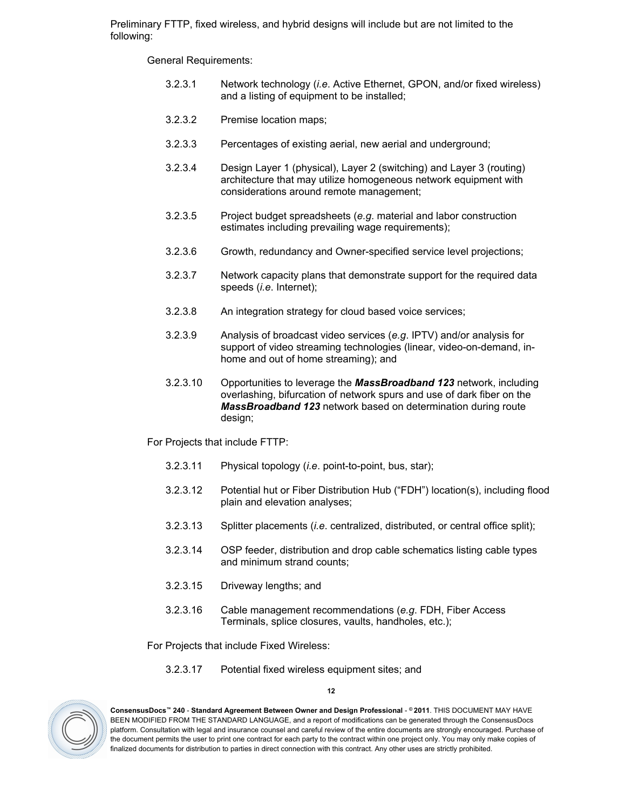Preliminary FTTP, fixed wireless, and hybrid designs will include but are not limited to the following:

General Requirements:

- 3.2.3.1 Network technology (*i.e*. Active Ethernet, GPON, and/or fixed wireless) and a listing of equipment to be installed;
- 3.2.3.2 Premise location maps;
- 3.2.3.3 Percentages of existing aerial, new aerial and underground;
- 3.2.3.4 Design Layer 1 (physical), Layer 2 (switching) and Layer 3 (routing) architecture that may utilize homogeneous network equipment with considerations around remote management;
- 3.2.3.5 Project budget spreadsheets (*e.g*. material and labor construction estimates including prevailing wage requirements);
- 3.2.3.6 Growth, redundancy and Owner-specified service level projections;
- 3.2.3.7 Network capacity plans that demonstrate support for the required data speeds (*i.e*. Internet);
- 3.2.3.8 An integration strategy for cloud based voice services;
- 3.2.3.9 Analysis of broadcast video services (*e.g*. IPTV) and/or analysis for support of video streaming technologies (linear, video-on-demand, inhome and out of home streaming); and
- 3.2.3.10 Opportunities to leverage the *MassBroadband 123* network, including overlashing, bifurcation of network spurs and use of dark fiber on the *MassBroadband 123* network based on determination during route desian:

For Projects that include FTTP:

- 3.2.3.11 Physical topology (*i.e*. point-to-point, bus, star);
- 3.2.3.12 Potential hut or Fiber Distribution Hub ("FDH") location(s), including flood plain and elevation analyses;
- 3.2.3.13 Splitter placements (*i.e*. centralized, distributed, or central office split);
- 3.2.3.14 OSP feeder, distribution and drop cable schematics listing cable types and minimum strand counts;
- 3.2.3.15 Driveway lengths; and
- 3.2.3.16 Cable management recommendations (*e.g*. FDH, Fiber Access Terminals, splice closures, vaults, handholes, etc.);

For Projects that include Fixed Wireless:

3.2.3.17 Potential fixed wireless equipment sites; and



**12**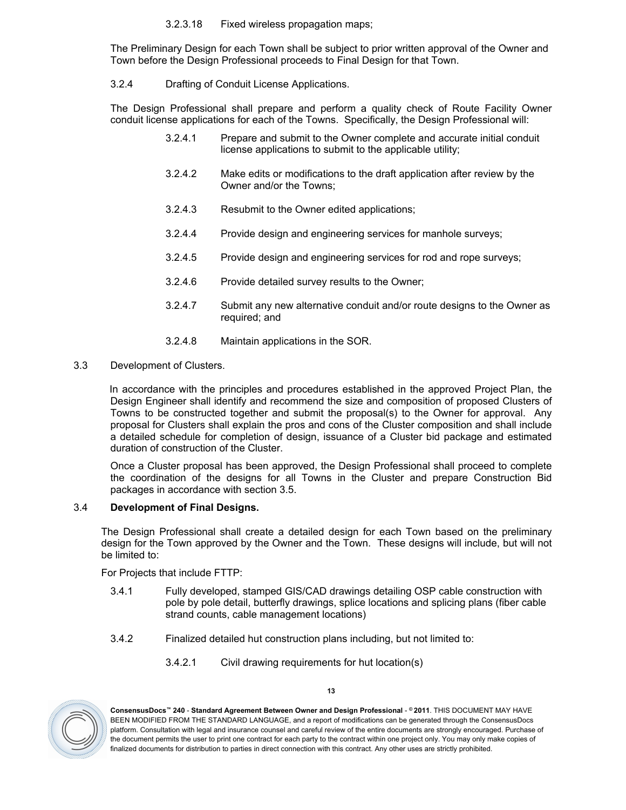### 3.2.3.18 Fixed wireless propagation maps;

The Preliminary Design for each Town shall be subject to prior written approval of the Owner and Town before the Design Professional proceeds to Final Design for that Town.

<span id="page-12-3"></span>3.2.4 Drafting of Conduit License Applications.

The Design Professional shall prepare and perform a quality check of Route Facility Owner conduit license applications for each of the Towns. Specifically, the Design Professional will:

- 3.2.4.1 Prepare and submit to the Owner complete and accurate initial conduit license applications to submit to the applicable utility;
- 3.2.4.2 Make edits or modifications to the draft application after review by the Owner and/or the Towns;
- 3.2.4.3 Resubmit to the Owner edited applications;
- 3.2.4.4 Provide design and engineering services for manhole surveys;
- 3.2.4.5 Provide design and engineering services for rod and rope surveys;
- 3.2.4.6 Provide detailed survey results to the Owner;
- 3.2.4.7 Submit any new alternative conduit and/or route designs to the Owner as required; and
- 3.2.4.8 Maintain applications in the SOR.
- <span id="page-12-0"></span>3.3 Development of Clusters.

 In accordance with the principles and procedures established in the approved Project Plan, the Design Engineer shall identify and recommend the size and composition of proposed Clusters of Towns to be constructed together and submit the proposal(s) to the Owner for approval. Any proposal for Clusters shall explain the pros and cons of the Cluster composition and shall include a detailed schedule for completion of design, issuance of a Cluster bid package and estimated duration of construction of the Cluster.

Once a Cluster proposal has been approved, the Design Professional shall proceed to complete the coordination of the designs for all Towns in the Cluster and prepare Construction Bid packages in accordance with section [3.5.](#page-13-0)

# <span id="page-12-1"></span>3.4 **Development of Final Designs.**

The Design Professional shall create a detailed design for each Town based on the preliminary design for the Town approved by the Owner and the Town. These designs will include, but will not be limited to:

For Projects that include FTTP:

- 3.4.1 Fully developed, stamped GIS/CAD drawings detailing OSP cable construction with pole by pole detail, butterfly drawings, splice locations and splicing plans (fiber cable strand counts, cable management locations)
- <span id="page-12-2"></span>3.4.2 Finalized detailed hut construction plans including, but not limited to:
	- 3.4.2.1 Civil drawing requirements for hut location(s)



**ConsensusDocs™ 240** - **Standard Agreement Between Owner and Design Professional** - **© 2011**. THIS DOCUMENT MAY HAVE BEEN MODIFIED FROM THE STANDARD LANGUAGE, and a report of modifications can be generated through the ConsensusDocs platform. Consultation with legal and insurance counsel and careful review of the entire documents are strongly encouraged. Purchase of the document permits the user to print one contract for each party to the contract within one project only. You may only make copies of finalized documents for distribution to parties in direct connection with this contract. Any other uses are strictly prohibited.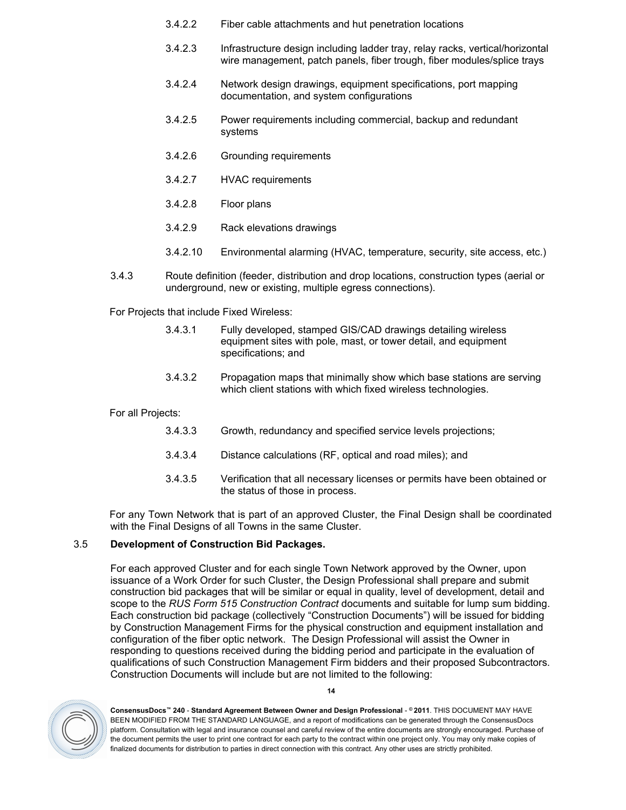- 3.4.2.2 Fiber cable attachments and hut penetration locations
- 3.4.2.3 Infrastructure design including ladder tray, relay racks, vertical/horizontal wire management, patch panels, fiber trough, fiber modules/splice trays
- 3.4.2.4 Network design drawings, equipment specifications, port mapping documentation, and system configurations
- 3.4.2.5 Power requirements including commercial, backup and redundant systems
- 3.4.2.6 Grounding requirements
- 3.4.2.7 HVAC requirements
- 3.4.2.8 Floor plans
- 3.4.2.9 Rack elevations drawings
- 3.4.2.10 Environmental alarming (HVAC, temperature, security, site access, etc.)
- 3.4.3 Route definition (feeder, distribution and drop locations, construction types (aerial or underground, new or existing, multiple egress connections).

For Projects that include Fixed Wireless:

- 3.4.3.1 Fully developed, stamped GIS/CAD drawings detailing wireless equipment sites with pole, mast, or tower detail, and equipment specifications; and
- 3.4.3.2 Propagation maps that minimally show which base stations are serving which client stations with which fixed wireless technologies.

#### For all Projects:

- 3.4.3.3 Growth, redundancy and specified service levels projections;
- 3.4.3.4 Distance calculations (RF, optical and road miles); and
- 3.4.3.5 Verification that all necessary licenses or permits have been obtained or the status of those in process.

 For any Town Network that is part of an approved Cluster, the Final Design shall be coordinated with the Final Designs of all Towns in the same Cluster.

#### <span id="page-13-0"></span>3.5 **Development of Construction Bid Packages.**

For each approved Cluster and for each single Town Network approved by the Owner, upon issuance of a Work Order for such Cluster, the Design Professional shall prepare and submit construction bid packages that will be similar or equal in quality, level of development, detail and scope to the *RUS Form 515 Construction Contract* documents and suitable for lump sum bidding. Each construction bid package (collectively "Construction Documents") will be issued for bidding by Construction Management Firms for the physical construction and equipment installation and configuration of the fiber optic network. The Design Professional will assist the Owner in responding to questions received during the bidding period and participate in the evaluation of qualifications of such Construction Management Firm bidders and their proposed Subcontractors. Construction Documents will include but are not limited to the following:



**ConsensusDocs™ 240** - **Standard Agreement Between Owner and Design Professional** - **© 2011**. THIS DOCUMENT MAY HAVE BEEN MODIFIED FROM THE STANDARD LANGUAGE, and a report of modifications can be generated through the ConsensusDocs platform. Consultation with legal and insurance counsel and careful review of the entire documents are strongly encouraged. Purchase of the document permits the user to print one contract for each party to the contract within one project only. You may only make copies of finalized documents for distribution to parties in direct connection with this contract. Any other uses are strictly prohibited.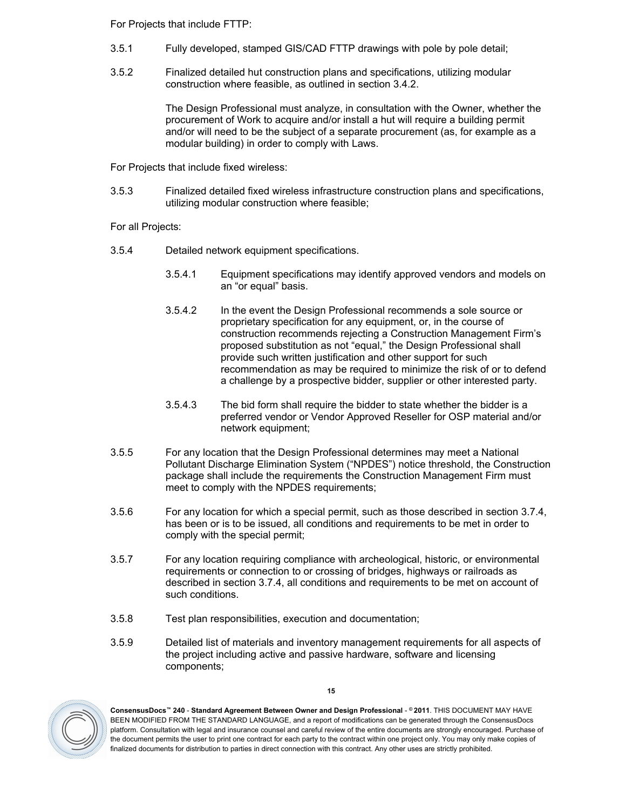For Projects that include FTTP:

- 3.5.1 Fully developed, stamped GIS/CAD FTTP drawings with pole by pole detail;
- 3.5.2 Finalized detailed hut construction plans and specifications, utilizing modular construction where feasible, as outlined in section [3.4.2](#page-12-2).

The Design Professional must analyze, in consultation with the Owner, whether the procurement of Work to acquire and/or install a hut will require a building permit and/or will need to be the subject of a separate procurement (as, for example as a modular building) in order to comply with Laws.

For Projects that include fixed wireless:

3.5.3 Finalized detailed fixed wireless infrastructure construction plans and specifications, utilizing modular construction where feasible;

For all Projects:

- 3.5.4 Detailed network equipment specifications.
	- 3.5.4.1 Equipment specifications may identify approved vendors and models on an "or equal" basis.
	- 3.5.4.2 In the event the Design Professional recommends a sole source or proprietary specification for any equipment, or, in the course of construction recommends rejecting a Construction Management Firm's proposed substitution as not "equal," the Design Professional shall provide such written justification and other support for such recommendation as may be required to minimize the risk of or to defend a challenge by a prospective bidder, supplier or other interested party.
	- 3.5.4.3 The bid form shall require the bidder to state whether the bidder is a preferred vendor or Vendor Approved Reseller for OSP material and/or network equipment;
- 3.5.5 For any location that the Design Professional determines may meet a National Pollutant Discharge Elimination System ("NPDES") notice threshold, the Construction package shall include the requirements the Construction Management Firm must meet to comply with the NPDES requirements;
- 3.5.6 For any location for which a special permit, such as those described in section [3.7.4](#page-19-0), has been or is to be issued, all conditions and requirements to be met in order to comply with the special permit;
- 3.5.7 For any location requiring compliance with archeological, historic, or environmental requirements or connection to or crossing of bridges, highways or railroads as described in section [3.7.4](#page-19-0), all conditions and requirements to be met on account of such conditions.
- 3.5.8 Test plan responsibilities, execution and documentation;
- 3.5.9 Detailed list of materials and inventory management requirements for all aspects of the project including active and passive hardware, software and licensing components;



**ConsensusDocs™ 240** - **Standard Agreement Between Owner and Design Professional** - **© 2011**. THIS DOCUMENT MAY HAVE BEEN MODIFIED FROM THE STANDARD LANGUAGE, and a report of modifications can be generated through the ConsensusDocs platform. Consultation with legal and insurance counsel and careful review of the entire documents are strongly encouraged. Purchase of the document permits the user to print one contract for each party to the contract within one project only. You may only make copies of finalized documents for distribution to parties in direct connection with this contract. Any other uses are strictly prohibited.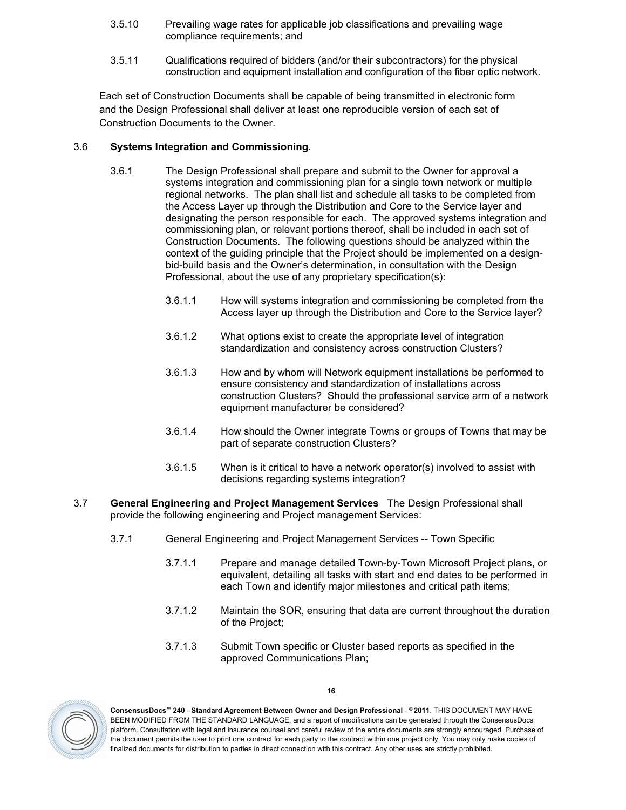- 3.5.10 Prevailing wage rates for applicable job classifications and prevailing wage compliance requirements; and
- 3.5.11 Qualifications required of bidders (and/or their subcontractors) for the physical construction and equipment installation and configuration of the fiber optic network.

Each set of Construction Documents shall be capable of being transmitted in electronic form and the Design Professional shall deliver at least one reproducible version of each set of Construction Documents to the Owner.

# <span id="page-15-0"></span>3.6 **Systems Integration and Commissioning**.

- 3.6.1 The Design Professional shall prepare and submit to the Owner for approval a systems integration and commissioning plan for a single town network or multiple regional networks. The plan shall list and schedule all tasks to be completed from the Access Layer up through the Distribution and Core to the Service layer and designating the person responsible for each. The approved systems integration and commissioning plan, or relevant portions thereof, shall be included in each set of Construction Documents. The following questions should be analyzed within the context of the guiding principle that the Project should be implemented on a designbid-build basis and the Owner's determination, in consultation with the Design Professional, about the use of any proprietary specification(s):
	- 3.6.1.1 How will systems integration and commissioning be completed from the Access layer up through the Distribution and Core to the Service layer?
	- 3.6.1.2 What options exist to create the appropriate level of integration standardization and consistency across construction Clusters?
	- 3.6.1.3 How and by whom will Network equipment installations be performed to ensure consistency and standardization of installations across construction Clusters? Should the professional service arm of a network equipment manufacturer be considered?
	- 3.6.1.4 How should the Owner integrate Towns or groups of Towns that may be part of separate construction Clusters?
	- 3.6.1.5 When is it critical to have a network operator(s) involved to assist with decisions regarding systems integration?
- <span id="page-15-2"></span><span id="page-15-1"></span>3.7 **General Engineering and Project Management Services** The Design Professional shall provide the following engineering and Project management Services:
	- 3.7.1 General Engineering and Project Management Services -- Town Specific
		- 3.7.1.1 Prepare and manage detailed Town-by-Town Microsoft Project plans, or equivalent, detailing all tasks with start and end dates to be performed in each Town and identify major milestones and critical path items;
		- 3.7.1.2 Maintain the SOR, ensuring that data are current throughout the duration of the Project;
		- 3.7.1.3 Submit Town specific or Cluster based reports as specified in the approved Communications Plan;



**ConsensusDocs™ 240** - **Standard Agreement Between Owner and Design Professional** - **© 2011**. THIS DOCUMENT MAY HAVE BEEN MODIFIED FROM THE STANDARD LANGUAGE, and a report of modifications can be generated through the ConsensusDocs platform. Consultation with legal and insurance counsel and careful review of the entire documents are strongly encouraged. Purchase of the document permits the user to print one contract for each party to the contract within one project only. You may only make copies of finalized documents for distribution to parties in direct connection with this contract. Any other uses are strictly prohibited.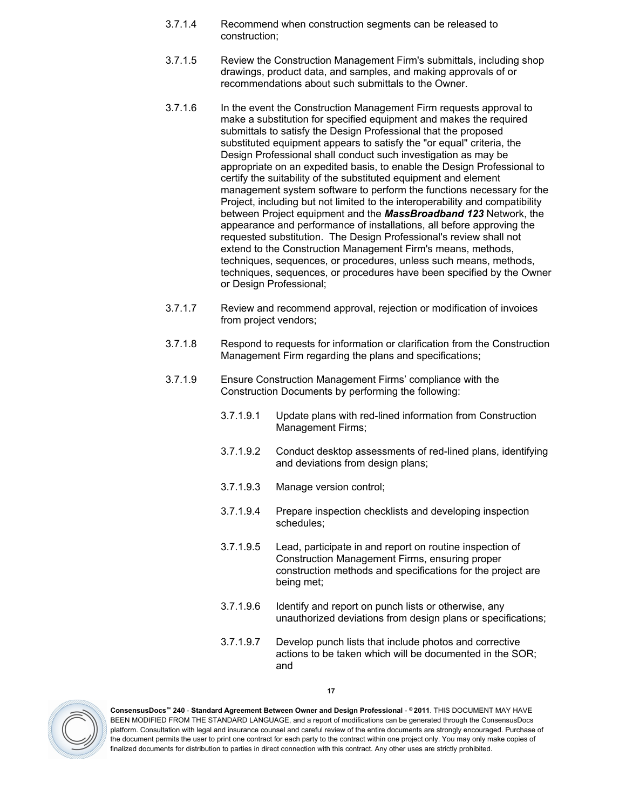- 3.7.1.4 Recommend when construction segments can be released to construction;
- 3.7.1.5 Review the Construction Management Firm's submittals, including shop drawings, product data, and samples, and making approvals of or recommendations about such submittals to the Owner.
- 3.7.1.6 In the event the Construction Management Firm requests approval to make a substitution for specified equipment and makes the required submittals to satisfy the Design Professional that the proposed substituted equipment appears to satisfy the "or equal" criteria, the Design Professional shall conduct such investigation as may be appropriate on an expedited basis, to enable the Design Professional to certify the suitability of the substituted equipment and element management system software to perform the functions necessary for the Project, including but not limited to the interoperability and compatibility between Project equipment and the *MassBroadband 123* Network, the appearance and performance of installations, all before approving the requested substitution. The Design Professional's review shall not extend to the Construction Management Firm's means, methods, techniques, sequences, or procedures, unless such means, methods, techniques, sequences, or procedures have been specified by the Owner or Design Professional;
- 3.7.1.7 Review and recommend approval, rejection or modification of invoices from project vendors;
- 3.7.1.8 Respond to requests for information or clarification from the Construction Management Firm regarding the plans and specifications;
- 3.7.1.9 Ensure Construction Management Firms' compliance with the Construction Documents by performing the following:
	- 3.7.1.9.1 Update plans with red-lined information from Construction Management Firms;
	- 3.7.1.9.2 Conduct desktop assessments of red-lined plans, identifying and deviations from design plans;
	- 3.7.1.9.3 Manage version control;
	- 3.7.1.9.4 Prepare inspection checklists and developing inspection schedules;
	- 3.7.1.9.5 Lead, participate in and report on routine inspection of Construction Management Firms, ensuring proper construction methods and specifications for the project are being met;
	- 3.7.1.9.6 Identify and report on punch lists or otherwise, any unauthorized deviations from design plans or specifications;
	- 3.7.1.9.7 Develop punch lists that include photos and corrective actions to be taken which will be documented in the SOR; and



**ConsensusDocs™ 240** - **Standard Agreement Between Owner and Design Professional** - **© 2011**. THIS DOCUMENT MAY HAVE BEEN MODIFIED FROM THE STANDARD LANGUAGE, and a report of modifications can be generated through the ConsensusDocs platform. Consultation with legal and insurance counsel and careful review of the entire documents are strongly encouraged. Purchase of the document permits the user to print one contract for each party to the contract within one project only. You may only make copies of finalized documents for distribution to parties in direct connection with this contract. Any other uses are strictly prohibited.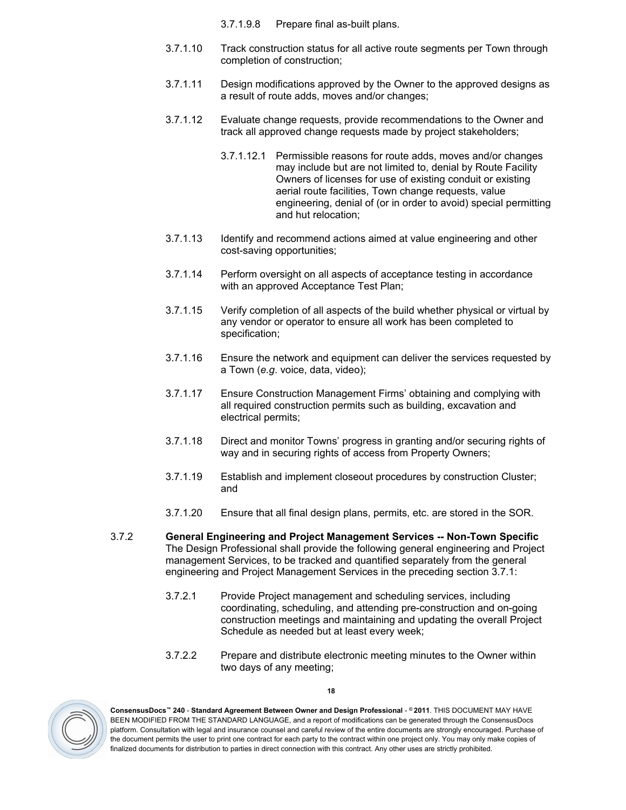3.7.1.9.8 Prepare final as-built plans.

- 3.7.1.10 Track construction status for all active route segments per Town through completion of construction;
- 3.7.1.11 Design modifications approved by the Owner to the approved designs as a result of route adds, moves and/or changes;
- 3.7.1.12 Evaluate change requests, provide recommendations to the Owner and track all approved change requests made by project stakeholders;
	- 3.7.1.12.1 Permissible reasons for route adds, moves and/or changes may include but are not limited to, denial by Route Facility Owners of licenses for use of existing conduit or existing aerial route facilities, Town change requests, value engineering, denial of (or in order to avoid) special permitting and hut relocation;
- 3.7.1.13 Identify and recommend actions aimed at value engineering and other cost-saving opportunities;
- 3.7.1.14 Perform oversight on all aspects of acceptance testing in accordance with an approved Acceptance Test Plan;
- 3.7.1.15 Verify completion of all aspects of the build whether physical or virtual by any vendor or operator to ensure all work has been completed to specification;
- 3.7.1.16 Ensure the network and equipment can deliver the services requested by a Town (*e.g*. voice, data, video);
- 3.7.1.17 Ensure Construction Management Firms' obtaining and complying with all required construction permits such as building, excavation and electrical permits;
- 3.7.1.18 Direct and monitor Towns' progress in granting and/or securing rights of way and in securing rights of access from Property Owners;
- 3.7.1.19 Establish and implement closeout procedures by construction Cluster; and
- 3.7.1.20 Ensure that all final design plans, permits, etc. are stored in the SOR.
- <span id="page-17-0"></span>3.7.2 **General Engineering and Project Management Services -- Non-Town Specific**  The Design Professional shall provide the following general engineering and Project management Services, to be tracked and quantified separately from the general engineering and Project Management Services in the preceding section [3.7.1](#page-15-2):
	- 3.7.2.1 Provide Project management and scheduling services, including coordinating, scheduling, and attending pre-construction and on-going construction meetings and maintaining and updating the overall Project Schedule as needed but at least every week;
	- 3.7.2.2 Prepare and distribute electronic meeting minutes to the Owner within two days of any meeting;



**ConsensusDocs™ 240** - **Standard Agreement Between Owner and Design Professional** - **© 2011**. THIS DOCUMENT MAY HAVE BEEN MODIFIED FROM THE STANDARD LANGUAGE, and a report of modifications can be generated through the ConsensusDocs platform. Consultation with legal and insurance counsel and careful review of the entire documents are strongly encouraged. Purchase of the document permits the user to print one contract for each party to the contract within one project only. You may only make copies of finalized documents for distribution to parties in direct connection with this contract. Any other uses are strictly prohibited.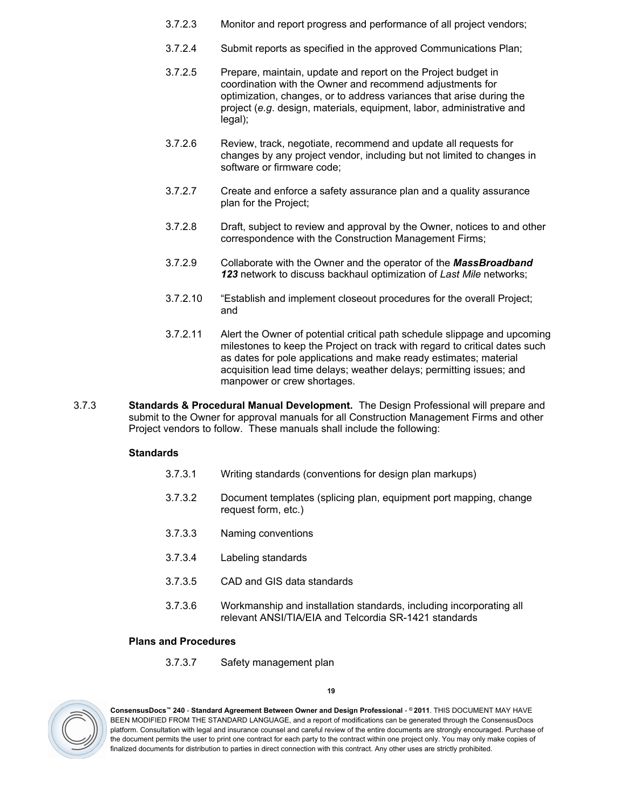- 3.7.2.3 Monitor and report progress and performance of all project vendors;
- 3.7.2.4 Submit reports as specified in the approved Communications Plan;
- 3.7.2.5 Prepare, maintain, update and report on the Project budget in coordination with the Owner and recommend adjustments for optimization, changes, or to address variances that arise during the project (*e.g*. design, materials, equipment, labor, administrative and legal);
- 3.7.2.6 Review, track, negotiate, recommend and update all requests for changes by any project vendor, including but not limited to changes in software or firmware code;
- 3.7.2.7 Create and enforce a safety assurance plan and a quality assurance plan for the Project;
- 3.7.2.8 Draft, subject to review and approval by the Owner, notices to and other correspondence with the Construction Management Firms;
- 3.7.2.9 Collaborate with the Owner and the operator of the *MassBroadband 123* network to discuss backhaul optimization of *Last Mile* networks;
- 3.7.2.10 "Establish and implement closeout procedures for the overall Project; and
- 3.7.2.11 Alert the Owner of potential critical path schedule slippage and upcoming milestones to keep the Project on track with regard to critical dates such as dates for pole applications and make ready estimates; material acquisition lead time delays; weather delays; permitting issues; and manpower or crew shortages.
- <span id="page-18-0"></span>3.7.3 **Standards & Procedural Manual Development.** The Design Professional will prepare and submit to the Owner for approval manuals for all Construction Management Firms and other Project vendors to follow. These manuals shall include the following:

#### **Standards**

- 3.7.3.1 Writing standards (conventions for design plan markups)
- 3.7.3.2 Document templates (splicing plan, equipment port mapping, change request form, etc.)
- 3.7.3.3 Naming conventions
- 3.7.3.4 Labeling standards
- 3.7.3.5 CAD and GIS data standards
- 3.7.3.6 Workmanship and installation standards, including incorporating all relevant ANSI/TIA/EIA and Telcordia SR-1421 standards

# **Plans and Procedures**

3.7.3.7 Safety management plan



**ConsensusDocs™ 240** - **Standard Agreement Between Owner and Design Professional** - **© 2011**. THIS DOCUMENT MAY HAVE BEEN MODIFIED FROM THE STANDARD LANGUAGE, and a report of modifications can be generated through the ConsensusDocs platform. Consultation with legal and insurance counsel and careful review of the entire documents are strongly encouraged. Purchase of the document permits the user to print one contract for each party to the contract within one project only. You may only make copies of finalized documents for distribution to parties in direct connection with this contract. Any other uses are strictly prohibited.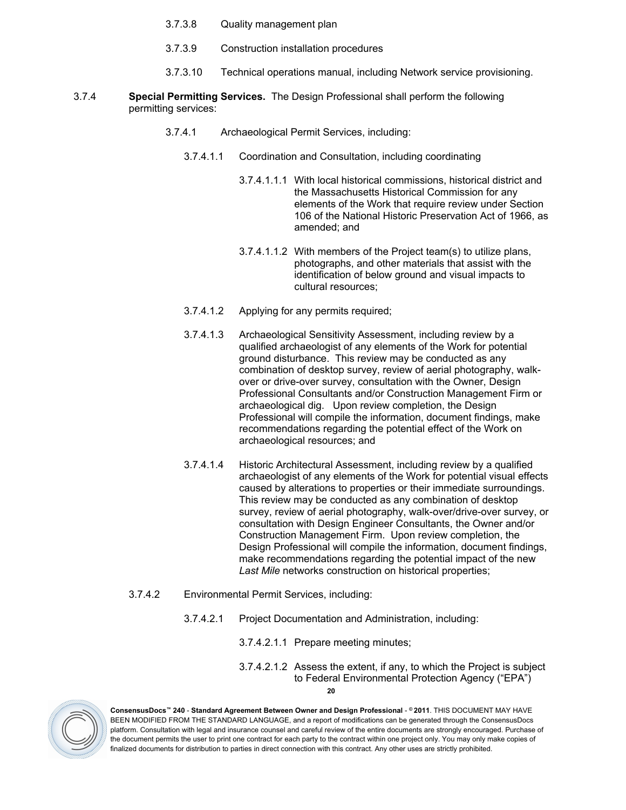- 3.7.3.8 Quality management plan
- 3.7.3.9 Construction installation procedures
- 3.7.3.10 Technical operations manual, including Network service provisioning.
- <span id="page-19-0"></span>3.7.4 **Special Permitting Services.** The Design Professional shall perform the following permitting services:
	- 3.7.4.1 Archaeological Permit Services, including:
		- 3.7.4.1.1 Coordination and Consultation, including coordinating
			- 3.7.4.1.1.1 With local historical commissions, historical district and the Massachusetts Historical Commission for any elements of the Work that require review under Section 106 of the National Historic Preservation Act of 1966, as amended; and
			- 3.7.4.1.1.2 With members of the Project team(s) to utilize plans, photographs, and other materials that assist with the identification of below ground and visual impacts to cultural resources;
		- 3.7.4.1.2 Applying for any permits required;
		- 3.7.4.1.3 Archaeological Sensitivity Assessment, including review by a qualified archaeologist of any elements of the Work for potential ground disturbance. This review may be conducted as any combination of desktop survey, review of aerial photography, walkover or drive-over survey, consultation with the Owner, Design Professional Consultants and/or Construction Management Firm or archaeological dig. Upon review completion, the Design Professional will compile the information, document findings, make recommendations regarding the potential effect of the Work on archaeological resources; and
		- 3.7.4.1.4 Historic Architectural Assessment, including review by a qualified archaeologist of any elements of the Work for potential visual effects caused by alterations to properties or their immediate surroundings. This review may be conducted as any combination of desktop survey, review of aerial photography, walk-over/drive-over survey, or consultation with Design Engineer Consultants, the Owner and/or Construction Management Firm. Upon review completion, the Design Professional will compile the information, document findings, make recommendations regarding the potential impact of the new *Last Mile* networks construction on historical properties;
	- 3.7.4.2 Environmental Permit Services, including:
		- 3.7.4.2.1 Project Documentation and Administration, including:
			- 3.7.4.2.1.1 Prepare meeting minutes;
			- **20** 3.7.4.2.1.2 Assess the extent, if any, to which the Project is subject to Federal Environmental Protection Agency ("EPA")

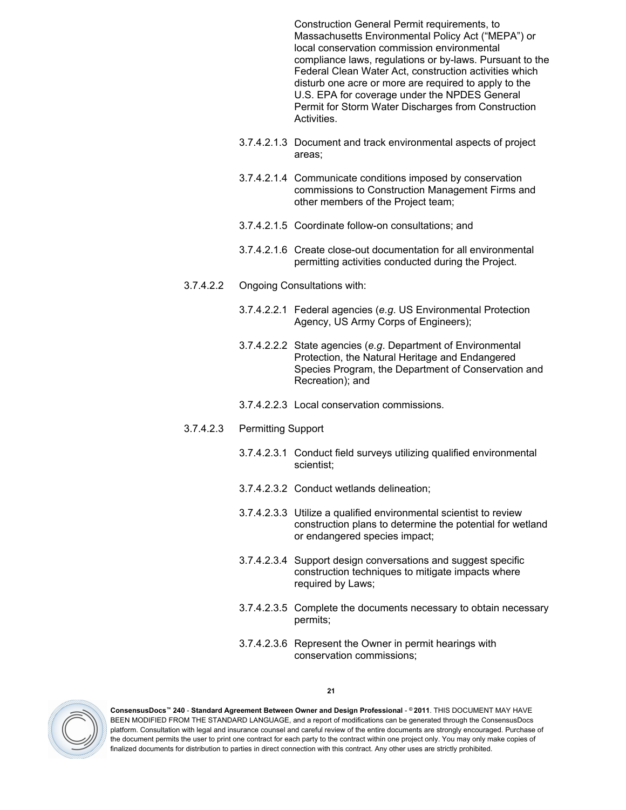Construction General Permit requirements, to Massachusetts Environmental Policy Act ("MEPA") or local conservation commission environmental compliance laws, regulations or by-laws. Pursuant to the Federal Clean Water Act, construction activities which disturb one acre or more are required to apply to the U.S. EPA for coverage under the NPDES General Permit for Storm Water Discharges from Construction Activities.

- 3.7.4.2.1.3 Document and track environmental aspects of project areas;
- 3.7.4.2.1.4 Communicate conditions imposed by conservation commissions to Construction Management Firms and other members of the Project team;
- 3.7.4.2.1.5 Coordinate follow-on consultations; and
- 3.7.4.2.1.6 Create close-out documentation for all environmental permitting activities conducted during the Project.
- 3.7.4.2.2 Ongoing Consultations with:
	- 3.7.4.2.2.1 Federal agencies (*e.g*. US Environmental Protection Agency, US Army Corps of Engineers);
	- 3.7.4.2.2.2 State agencies (*e.g*. Department of Environmental Protection, the Natural Heritage and Endangered Species Program, the Department of Conservation and Recreation); and
	- 3.7.4.2.2.3 Local conservation commissions.

#### 3.7.4.2.3 Permitting Support

- 3.7.4.2.3.1 Conduct field surveys utilizing qualified environmental scientist;
- 3.7.4.2.3.2 Conduct wetlands delineation;
- 3.7.4.2.3.3 Utilize a qualified environmental scientist to review construction plans to determine the potential for wetland or endangered species impact;
- 3.7.4.2.3.4 Support design conversations and suggest specific construction techniques to mitigate impacts where required by Laws;
- 3.7.4.2.3.5 Complete the documents necessary to obtain necessary permits;
- 3.7.4.2.3.6 Represent the Owner in permit hearings with conservation commissions;



**ConsensusDocs™ 240** - **Standard Agreement Between Owner and Design Professional** - **© 2011**. THIS DOCUMENT MAY HAVE BEEN MODIFIED FROM THE STANDARD LANGUAGE, and a report of modifications can be generated through the ConsensusDocs platform. Consultation with legal and insurance counsel and careful review of the entire documents are strongly encouraged. Purchase of the document permits the user to print one contract for each party to the contract within one project only. You may only make copies of finalized documents for distribution to parties in direct connection with this contract. Any other uses are strictly prohibited.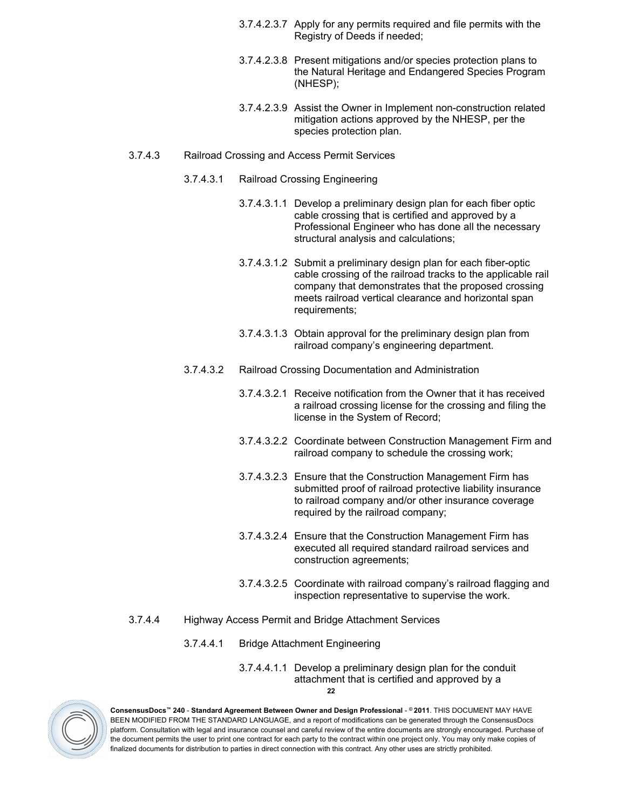- 3.7.4.2.3.7 Apply for any permits required and file permits with the Registry of Deeds if needed;
- 3.7.4.2.3.8 Present mitigations and/or species protection plans to the Natural Heritage and Endangered Species Program (NHESP);
- 3.7.4.2.3.9 Assist the Owner in Implement non-construction related mitigation actions approved by the NHESP, per the species protection plan.
- 3.7.4.3 Railroad Crossing and Access Permit Services
	- 3.7.4.3.1 Railroad Crossing Engineering
		- 3.7.4.3.1.1 Develop a preliminary design plan for each fiber optic cable crossing that is certified and approved by a Professional Engineer who has done all the necessary structural analysis and calculations;
		- 3.7.4.3.1.2 Submit a preliminary design plan for each fiber-optic cable crossing of the railroad tracks to the applicable rail company that demonstrates that the proposed crossing meets railroad vertical clearance and horizontal span requirements;
		- 3.7.4.3.1.3 Obtain approval for the preliminary design plan from railroad company's engineering department.
	- 3.7.4.3.2 Railroad Crossing Documentation and Administration
		- 3.7.4.3.2.1 Receive notification from the Owner that it has received a railroad crossing license for the crossing and filing the license in the System of Record;
		- 3.7.4.3.2.2 Coordinate between Construction Management Firm and railroad company to schedule the crossing work;
		- 3.7.4.3.2.3 Ensure that the Construction Management Firm has submitted proof of railroad protective liability insurance to railroad company and/or other insurance coverage required by the railroad company;
		- 3.7.4.3.2.4 Ensure that the Construction Management Firm has executed all required standard railroad services and construction agreements;
		- 3.7.4.3.2.5 Coordinate with railroad company's railroad flagging and inspection representative to supervise the work.
- 3.7.4.4 Highway Access Permit and Bridge Attachment Services
	- 3.7.4.4.1 Bridge Attachment Engineering
		- **22** 3.7.4.4.1.1 Develop a preliminary design plan for the conduit attachment that is certified and approved by a

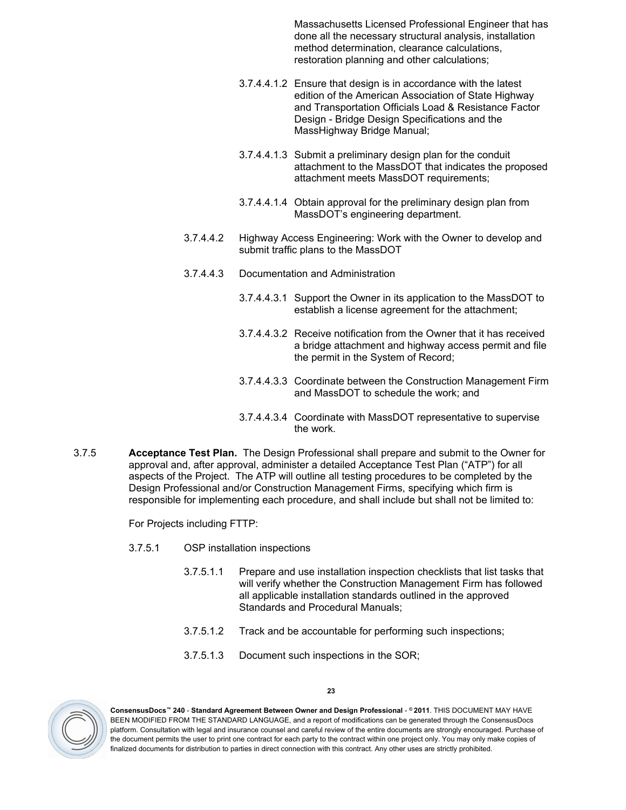Massachusetts Licensed Professional Engineer that has done all the necessary structural analysis, installation method determination, clearance calculations, restoration planning and other calculations;

- 3.7.4.4.1.2 Ensure that design is in accordance with the latest edition of the American Association of State Highway and Transportation Officials Load & Resistance Factor Design - Bridge Design Specifications and the MassHighway Bridge Manual;
- 3.7.4.4.1.3 Submit a preliminary design plan for the conduit attachment to the MassDOT that indicates the proposed attachment meets MassDOT requirements;
- 3.7.4.4.1.4 Obtain approval for the preliminary design plan from MassDOT's engineering department.
- 3.7.4.4.2 Highway Access Engineering: Work with the Owner to develop and submit traffic plans to the MassDOT
- 3.7.4.4.3 Documentation and Administration
	- 3.7.4.4.3.1 Support the Owner in its application to the MassDOT to establish a license agreement for the attachment;
	- 3.7.4.4.3.2 Receive notification from the Owner that it has received a bridge attachment and highway access permit and file the permit in the System of Record;
	- 3.7.4.4.3.3 Coordinate between the Construction Management Firm and MassDOT to schedule the work; and
	- 3.7.4.4.3.4 Coordinate with MassDOT representative to supervise the work.
- <span id="page-22-0"></span>3.7.5 **Acceptance Test Plan.** The Design Professional shall prepare and submit to the Owner for approval and, after approval, administer a detailed Acceptance Test Plan ("ATP") for all aspects of the Project. The ATP will outline all testing procedures to be completed by the Design Professional and/or Construction Management Firms, specifying which firm is responsible for implementing each procedure, and shall include but shall not be limited to:

For Projects including FTTP:

- 3.7.5.1 OSP installation inspections
	- 3.7.5.1.1 Prepare and use installation inspection checklists that list tasks that will verify whether the Construction Management Firm has followed all applicable installation standards outlined in the approved Standards and Procedural Manuals;
	- 3.7.5.1.2 Track and be accountable for performing such inspections;
	- 3.7.5.1.3 Document such inspections in the SOR;



**ConsensusDocs™ 240** - **Standard Agreement Between Owner and Design Professional** - **© 2011**. THIS DOCUMENT MAY HAVE BEEN MODIFIED FROM THE STANDARD LANGUAGE, and a report of modifications can be generated through the ConsensusDocs platform. Consultation with legal and insurance counsel and careful review of the entire documents are strongly encouraged. Purchase of the document permits the user to print one contract for each party to the contract within one project only. You may only make copies of finalized documents for distribution to parties in direct connection with this contract. Any other uses are strictly prohibited.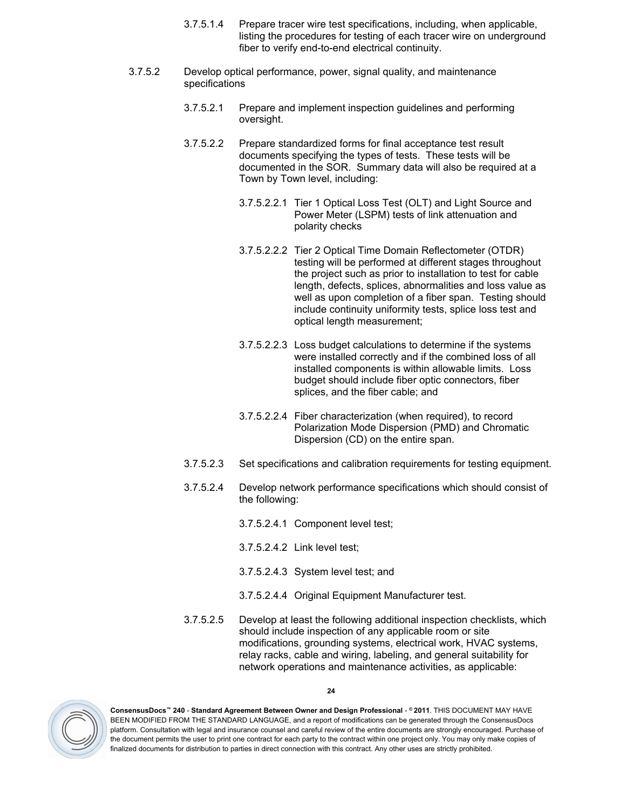- 3.7.5.1.4 Prepare tracer wire test specifications, including, when applicable, listing the procedures for testing of each tracer wire on underground fiber to verify end-to-end electrical continuity.
- 3.7.5.2 Develop optical performance, power, signal quality, and maintenance specifications
	- 3.7.5.2.1 Prepare and implement inspection guidelines and performing oversight.
	- 3.7.5.2.2 Prepare standardized forms for final acceptance test result documents specifying the types of tests. These tests will be documented in the SOR. Summary data will also be required at a Town by Town level, including:
		- 3.7.5.2.2.1 Tier 1 Optical Loss Test (OLT) and Light Source and Power Meter (LSPM) tests of link attenuation and polarity checks
		- 3.7.5.2.2.2 Tier 2 Optical Time Domain Reflectometer (OTDR) testing will be performed at different stages throughout the project such as prior to installation to test for cable length, defects, splices, abnormalities and loss value as well as upon completion of a fiber span. Testing should include continuity uniformity tests, splice loss test and optical length measurement;
		- 3.7.5.2.2.3 Loss budget calculations to determine if the systems were installed correctly and if the combined loss of all installed components is within allowable limits. Loss budget should include fiber optic connectors, fiber splices, and the fiber cable; and
		- 3.7.5.2.2.4 Fiber characterization (when required), to record Polarization Mode Dispersion (PMD) and Chromatic Dispersion (CD) on the entire span.
	- 3.7.5.2.3 Set specifications and calibration requirements for testing equipment.
	- 3.7.5.2.4 Develop network performance specifications which should consist of the following:
		- 3.7.5.2.4.1 Component level test;
		- 3.7.5.2.4.2 Link level test;
		- 3.7.5.2.4.3 System level test; and
		- 3.7.5.2.4.4 Original Equipment Manufacturer test.
	- 3.7.5.2.5 Develop at least the following additional inspection checklists, which should include inspection of any applicable room or site modifications, grounding systems, electrical work, HVAC systems, relay racks, cable and wiring, labeling, and general suitability for network operations and maintenance activities, as applicable:



**ConsensusDocs™ 240** - **Standard Agreement Between Owner and Design Professional** - **© 2011**. THIS DOCUMENT MAY HAVE BEEN MODIFIED FROM THE STANDARD LANGUAGE, and a report of modifications can be generated through the ConsensusDocs platform. Consultation with legal and insurance counsel and careful review of the entire documents are strongly encouraged. Purchase of the document permits the user to print one contract for each party to the contract within one project only. You may only make copies of finalized documents for distribution to parties in direct connection with this contract. Any other uses are strictly prohibited.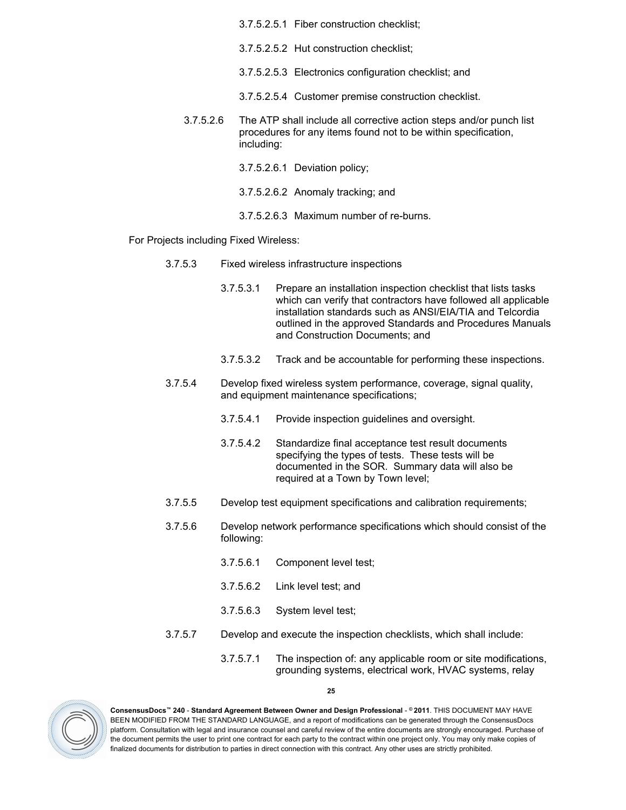3.7.5.2.5.1 Fiber construction checklist; 3.7.5.2.5.2 Hut construction checklist; 3.7.5.2.5.3 Electronics configuration checklist; and 3.7.5.2.5.4 Customer premise construction checklist. 3.7.5.2.6 The ATP shall include all corrective action steps and/or punch list procedures for any items found not to be within specification, including: 3.7.5.2.6.1 Deviation policy; 3.7.5.2.6.2 Anomaly tracking; and 3.7.5.2.6.3 Maximum number of re-burns.

For Projects including Fixed Wireless:

- 3.7.5.3 Fixed wireless infrastructure inspections
	- 3.7.5.3.1 Prepare an installation inspection checklist that lists tasks which can verify that contractors have followed all applicable installation standards such as ANSI/EIA/TIA and Telcordia outlined in the approved Standards and Procedures Manuals and Construction Documents; and
	- 3.7.5.3.2 Track and be accountable for performing these inspections.
- 3.7.5.4 Develop fixed wireless system performance, coverage, signal quality, and equipment maintenance specifications;
	- 3.7.5.4.1 Provide inspection guidelines and oversight.
	- 3.7.5.4.2 Standardize final acceptance test result documents specifying the types of tests. These tests will be documented in the SOR. Summary data will also be required at a Town by Town level;
- 3.7.5.5 Develop test equipment specifications and calibration requirements;
- 3.7.5.6 Develop network performance specifications which should consist of the following:
	- 3.7.5.6.1 Component level test;
	- 3.7.5.6.2 Link level test; and
	- 3.7.5.6.3 System level test;
- 3.7.5.7 Develop and execute the inspection checklists, which shall include:
	- 3.7.5.7.1 The inspection of: any applicable room or site modifications, grounding systems, electrical work, HVAC systems, relay



**ConsensusDocs™ 240** - **Standard Agreement Between Owner and Design Professional** - **© 2011**. THIS DOCUMENT MAY HAVE BEEN MODIFIED FROM THE STANDARD LANGUAGE, and a report of modifications can be generated through the ConsensusDocs platform. Consultation with legal and insurance counsel and careful review of the entire documents are strongly encouraged. Purchase of the document permits the user to print one contract for each party to the contract within one project only. You may only make copies of finalized documents for distribution to parties in direct connection with this contract. Any other uses are strictly prohibited.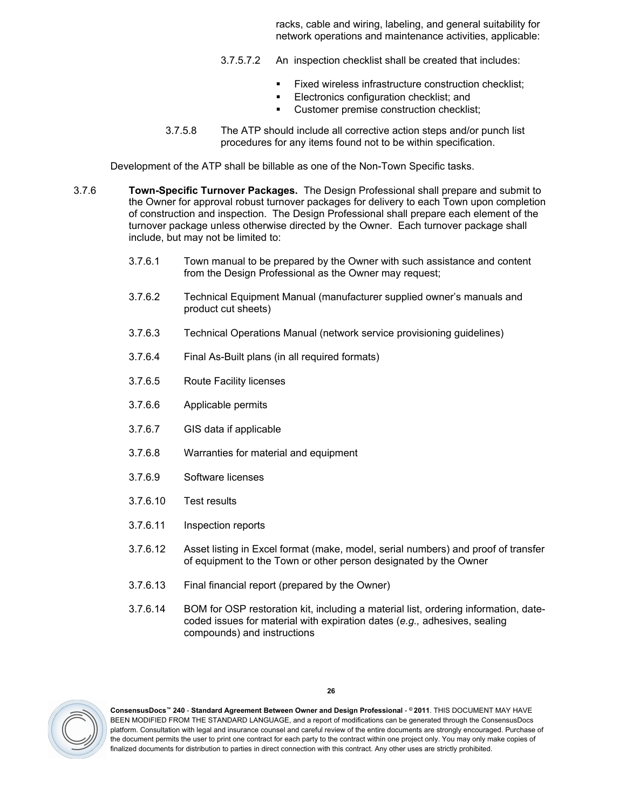racks, cable and wiring, labeling, and general suitability for network operations and maintenance activities, applicable:

- 3.7.5.7.2 An inspection checklist shall be created that includes:
	- Fixed wireless infrastructure construction checklist;
	- Electronics configuration checklist; and
	- **EXECUSTOMER PREMISE CONSTRUCTION CHECKLIST**;
- 3.7.5.8 The ATP should include all corrective action steps and/or punch list procedures for any items found not to be within specification.

Development of the ATP shall be billable as one of the Non-Town Specific tasks.

- <span id="page-25-0"></span>3.7.6 **Town-Specific Turnover Packages.** The Design Professional shall prepare and submit to the Owner for approval robust turnover packages for delivery to each Town upon completion of construction and inspection. The Design Professional shall prepare each element of the turnover package unless otherwise directed by the Owner. Each turnover package shall include, but may not be limited to:
	- 3.7.6.1 Town manual to be prepared by the Owner with such assistance and content from the Design Professional as the Owner may request;
	- 3.7.6.2 Technical Equipment Manual (manufacturer supplied owner's manuals and product cut sheets)
	- 3.7.6.3 Technical Operations Manual (network service provisioning guidelines)
	- 3.7.6.4 Final As-Built plans (in all required formats)
	- 3.7.6.5 Route Facility licenses
	- 3.7.6.6 Applicable permits
	- 3.7.6.7 GIS data if applicable
	- 3.7.6.8 Warranties for material and equipment
	- 3.7.6.9 Software licenses
	- 3.7.6.10 Test results
	- 3.7.6.11 Inspection reports
	- 3.7.6.12 Asset listing in Excel format (make, model, serial numbers) and proof of transfer of equipment to the Town or other person designated by the Owner
	- 3.7.6.13 Final financial report (prepared by the Owner)
	- 3.7.6.14 BOM for OSP restoration kit, including a material list, ordering information, datecoded issues for material with expiration dates (*e.g.,* adhesives, sealing compounds) and instructions

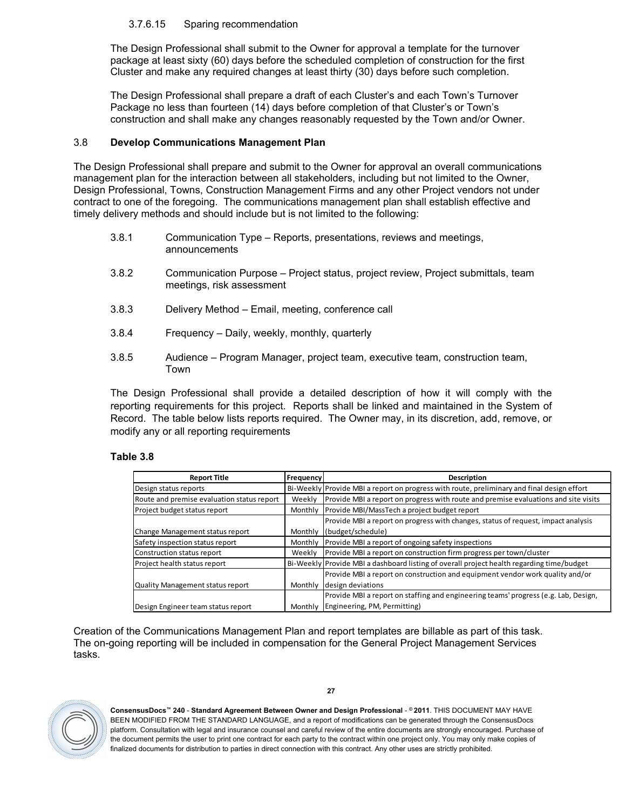# 3.7.6.15 Sparing recommendation

The Design Professional shall submit to the Owner for approval a template for the turnover package at least sixty (60) days before the scheduled completion of construction for the first Cluster and make any required changes at least thirty (30) days before such completion.

The Design Professional shall prepare a draft of each Cluster's and each Town's Turnover Package no less than fourteen (14) days before completion of that Cluster's or Town's construction and shall make any changes reasonably requested by the Town and/or Owner.

# <span id="page-26-0"></span>3.8 **Develop Communications Management Plan**

The Design Professional shall prepare and submit to the Owner for approval an overall communications management plan for the interaction between all stakeholders, including but not limited to the Owner, Design Professional, Towns, Construction Management Firms and any other Project vendors not under contract to one of the foregoing. The communications management plan shall establish effective and timely delivery methods and should include but is not limited to the following:

- 3.8.1 Communication Type Reports, presentations, reviews and meetings, announcements
- 3.8.2 Communication Purpose Project status, project review, Project submittals, team meetings, risk assessment
- 3.8.3 Delivery Method Email, meeting, conference call
- 3.8.4 Frequency Daily, weekly, monthly, quarterly
- 3.8.5 Audience Program Manager, project team, executive team, construction team, Town

The Design Professional shall provide a detailed description of how it will comply with the reporting requirements for this project. Reports shall be linked and maintained in the System of Record. The table below lists reports required. The Owner may, in its discretion, add, remove, or modify any or all reporting requirements

#### **Table [3.8](#page-26-0)**

| <b>Report Title</b>                        | Frequency | Description                                                                                |
|--------------------------------------------|-----------|--------------------------------------------------------------------------------------------|
| Design status reports                      |           | Bi-Weekly Provide MBI a report on progress with route, preliminary and final design effort |
| Route and premise evaluation status report | Weekly    | Provide MBI a report on progress with route and premise evaluations and site visits        |
| Project budget status report               | Monthly   | Provide MBI/MassTech a project budget report                                               |
|                                            |           | Provide MBI a report on progress with changes, status of request, impact analysis          |
| Change Management status report            |           | Monthly (budget/schedule)                                                                  |
| Safety inspection status report            | Monthly   | Provide MBI a report of ongoing safety inspections                                         |
| Construction status report                 | Weekly    | Provide MBI a report on construction firm progress per town/cluster                        |
| Project health status report               |           | Bi-Weekly Provide MBI a dashboard listing of overall project health regarding time/budget  |
|                                            |           | Provide MBI a report on construction and equipment vendor work quality and/or              |
| Quality Management status report           | Monthly   | design deviations                                                                          |
|                                            |           | Provide MBI a report on staffing and engineering teams' progress (e.g. Lab, Design,        |
| Design Engineer team status report         | Monthly   | Engineering, PM, Permitting)                                                               |

Creation of the Communications Management Plan and report templates are billable as part of this task. The on-going reporting will be included in compensation for the General Project Management Services tasks.



**ConsensusDocs™ 240** - **Standard Agreement Between Owner and Design Professional** - **© 2011**. THIS DOCUMENT MAY HAVE BEEN MODIFIED FROM THE STANDARD LANGUAGE, and a report of modifications can be generated through the ConsensusDocs platform. Consultation with legal and insurance counsel and careful review of the entire documents are strongly encouraged. Purchase of the document permits the user to print one contract for each party to the contract within one project only. You may only make copies of finalized documents for distribution to parties in direct connection with this contract. Any other uses are strictly prohibited.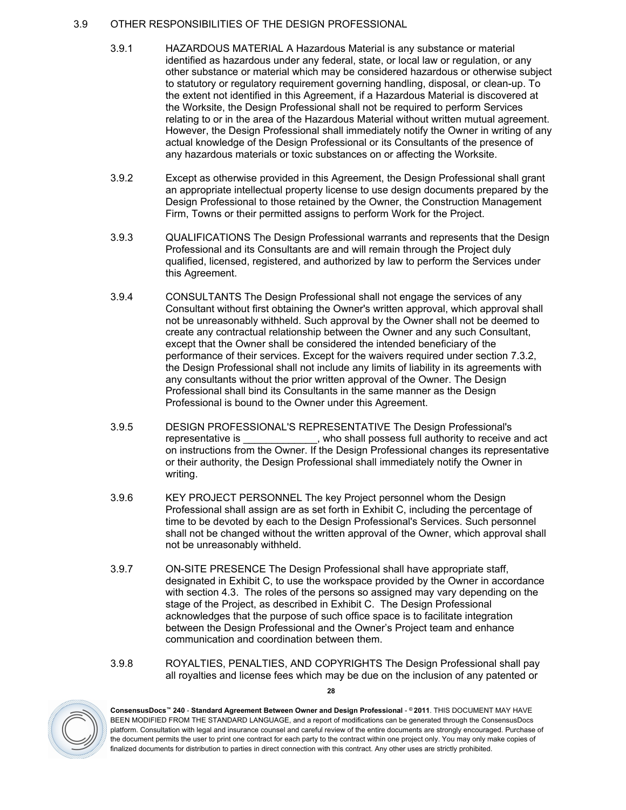# <span id="page-27-0"></span>3.9 OTHER RESPONSIBILITIES OF THE DESIGN PROFESSIONAL

- 3.9.1 HAZARDOUS MATERIAL A Hazardous Material is any substance or material identified as hazardous under any federal, state, or local law or regulation, or any other substance or material which may be considered hazardous or otherwise subject to statutory or regulatory requirement governing handling, disposal, or clean-up. To the extent not identified in this Agreement, if a Hazardous Material is discovered at the Worksite, the Design Professional shall not be required to perform Services relating to or in the area of the Hazardous Material without written mutual agreement. However, the Design Professional shall immediately notify the Owner in writing of any actual knowledge of the Design Professional or its Consultants of the presence of any hazardous materials or toxic substances on or affecting the Worksite.
- 3.9.2 Except as otherwise provided in this Agreement, the Design Professional shall grant an appropriate intellectual property license to use design documents prepared by the Design Professional to those retained by the Owner, the Construction Management Firm, Towns or their permitted assigns to perform Work for the Project.
- 3.9.3 QUALIFICATIONS The Design Professional warrants and represents that the Design Professional and its Consultants are and will remain through the Project duly qualified, licensed, registered, and authorized by law to perform the Services under this Agreement.
- 3.9.4 CONSULTANTS The Design Professional shall not engage the services of any Consultant without first obtaining the Owner's written approval, which approval shall not be unreasonably withheld. Such approval by the Owner shall not be deemed to create any contractual relationship between the Owner and any such Consultant, except that the Owner shall be considered the intended beneficiary of the performance of their services. Except for the waivers required under section [7.3.2](#page-34-7), the Design Professional shall not include any limits of liability in its agreements with any consultants without the prior written approval of the Owner. The Design Professional shall bind its Consultants in the same manner as the Design Professional is bound to the Owner under this Agreement.
- 3.9.5 DESIGN PROFESSIONAL'S REPRESENTATIVE The Design Professional's representative is  $\qquad \qquad$ , who shall possess full authority to receive and act on instructions from the Owner. If the Design Professional changes its representative or their authority, the Design Professional shall immediately notify the Owner in writing.
- 3.9.6 KEY PROJECT PERSONNEL The key Project personnel whom the Design Professional shall assign are as set forth in Exhibit C, including the percentage of time to be devoted by each to the Design Professional's Services. Such personnel shall not be changed without the written approval of the Owner, which approval shall not be unreasonably withheld.
- 3.9.7 ON-SITE PRESENCE The Design Professional shall have appropriate staff, designated in Exhibit C, to use the workspace provided by the Owner in accordance with section [4.3.](#page-28-3) The roles of the persons so assigned may vary depending on the stage of the Project, as described in Exhibit C. The Design Professional acknowledges that the purpose of such office space is to facilitate integration between the Design Professional and the Owner's Project team and enhance communication and coordination between them.
- <span id="page-27-1"></span>3.9.8 ROYALTIES, PENALTIES, AND COPYRIGHTS The Design Professional shall pay all royalties and license fees which may be due on the inclusion of any patented or



**ConsensusDocs™ 240** - **Standard Agreement Between Owner and Design Professional** - **© 2011**. THIS DOCUMENT MAY HAVE BEEN MODIFIED FROM THE STANDARD LANGUAGE, and a report of modifications can be generated through the ConsensusDocs platform. Consultation with legal and insurance counsel and careful review of the entire documents are strongly encouraged. Purchase of the document permits the user to print one contract for each party to the contract within one project only. You may only make copies of finalized documents for distribution to parties in direct connection with this contract. Any other uses are strictly prohibited.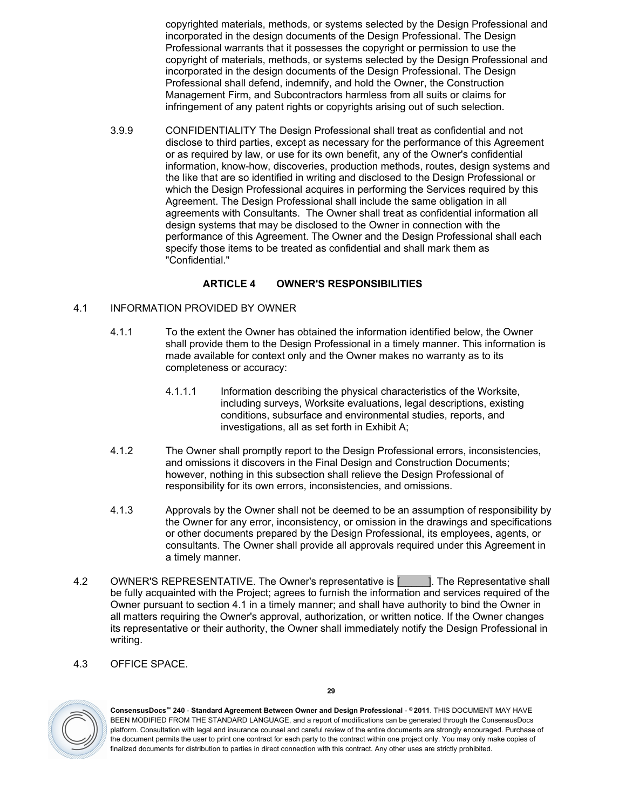copyrighted materials, methods, or systems selected by the Design Professional and incorporated in the design documents of the Design Professional. The Design Professional warrants that it possesses the copyright or permission to use the copyright of materials, methods, or systems selected by the Design Professional and incorporated in the design documents of the Design Professional. The Design Professional shall defend, indemnify, and hold the Owner, the Construction Management Firm, and Subcontractors harmless from all suits or claims for infringement of any patent rights or copyrights arising out of such selection.

3.9.9 CONFIDENTIALITY The Design Professional shall treat as confidential and not disclose to third parties, except as necessary for the performance of this Agreement or as required by law, or use for its own benefit, any of the Owner's confidential information, know-how, discoveries, production methods, routes, design systems and the like that are so identified in writing and disclosed to the Design Professional or which the Design Professional acquires in performing the Services required by this Agreement. The Design Professional shall include the same obligation in all agreements with Consultants. The Owner shall treat as confidential information all design systems that may be disclosed to the Owner in connection with the performance of this Agreement. The Owner and the Design Professional shall each specify those items to be treated as confidential and shall mark them as "Confidential."

# <span id="page-28-0"></span>**ARTICLE 4 OWNER'S RESPONSIBILITIES**

- <span id="page-28-1"></span>4.1 INFORMATION PROVIDED BY OWNER
	- 4.1.1 To the extent the Owner has obtained the information identified below, the Owner shall provide them to the Design Professional in a timely manner. This information is made available for context only and the Owner makes no warranty as to its completeness or accuracy:
		- 4.1.1.1 Information describing the physical characteristics of the Worksite, including surveys, Worksite evaluations, legal descriptions, existing conditions, subsurface and environmental studies, reports, and investigations, all as set forth in Exhibit A;
	- 4.1.2 The Owner shall promptly report to the Design Professional errors, inconsistencies, and omissions it discovers in the Final Design and Construction Documents; however, nothing in this subsection shall relieve the Design Professional of responsibility for its own errors, inconsistencies, and omissions.
	- 4.1.3 Approvals by the Owner shall not be deemed to be an assumption of responsibility by the Owner for any error, inconsistency, or omission in the drawings and specifications or other documents prepared by the Design Professional, its employees, agents, or consultants. The Owner shall provide all approvals required under this Agreement in a timely manner.
- <span id="page-28-2"></span>4.2 OWNER'S REPRESENTATIVE. The Owner's representative is [\_\_\_\_\_]. The Representative shall be fully acquainted with the Project; agrees to furnish the information and services required of the Owner pursuant to section [4.1](#page-28-1) in a timely manner; and shall have authority to bind the Owner in all matters requiring the Owner's approval, authorization, or written notice. If the Owner changes its representative or their authority, the Owner shall immediately notify the Design Professional in writing.
- <span id="page-28-3"></span>4.3 OFFICE SPACE.



**ConsensusDocs™ 240** - **Standard Agreement Between Owner and Design Professional** - **© 2011**. THIS DOCUMENT MAY HAVE BEEN MODIFIED FROM THE STANDARD LANGUAGE, and a report of modifications can be generated through the ConsensusDocs platform. Consultation with legal and insurance counsel and careful review of the entire documents are strongly encouraged. Purchase of the document permits the user to print one contract for each party to the contract within one project only. You may only make copies of finalized documents for distribution to parties in direct connection with this contract. Any other uses are strictly prohibited.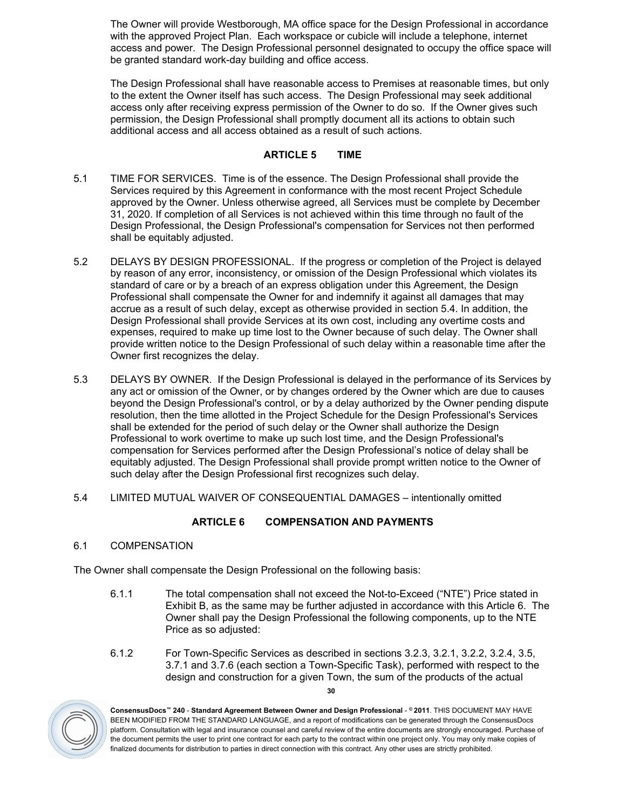The Owner will provide Westborough, MA office space for the Design Professional in accordance with the approved Project Plan. Each workspace or cubicle will include a telephone, internet access and power. The Design Professional personnel designated to occupy the office space will be granted standard work-day building and office access.

The Design Professional shall have reasonable access to Premises at reasonable times, but only to the extent the Owner itself has such access. The Design Professional may seek additional access only after receiving express permission of the Owner to do so. If the Owner gives such permission, the Design Professional shall promptly document all its actions to obtain such additional access and all access obtained as a result of such actions.

# <span id="page-29-0"></span>**ARTICLE 5 TIME**

- <span id="page-29-1"></span>5.1 TIME FOR SERVICES. Time is of the essence. The Design Professional shall provide the Services required by this Agreement in conformance with the most recent Project Schedule approved by the Owner. Unless otherwise agreed, all Services must be complete by December 31, 2020. If completion of all Services is not achieved within this time through no fault of the Design Professional, the Design Professional's compensation for Services not then performed shall be equitably adjusted.
- <span id="page-29-2"></span>5.2 DELAYS BY DESIGN PROFESSIONAL. If the progress or completion of the Project is delayed by reason of any error, inconsistency, or omission of the Design Professional which violates its standard of care or by a breach of an express obligation under this Agreement, the Design Professional shall compensate the Owner for and indemnify it against all damages that may accrue as a result of such delay, except as otherwise provided in section [5.4](#page-29-4). In addition, the Design Professional shall provide Services at its own cost, including any overtime costs and expenses, required to make up time lost to the Owner because of such delay. The Owner shall provide written notice to the Design Professional of such delay within a reasonable time after the Owner first recognizes the delay.
- <span id="page-29-3"></span>5.3 DELAYS BY OWNER. If the Design Professional is delayed in the performance of its Services by any act or omission of the Owner, or by changes ordered by the Owner which are due to causes beyond the Design Professional's control, or by a delay authorized by the Owner pending dispute resolution, then the time allotted in the Project Schedule for the Design Professional's Services shall be extended for the period of such delay or the Owner shall authorize the Design Professional to work overtime to make up such lost time, and the Design Professional's compensation for Services performed after the Design Professional's notice of delay shall be equitably adjusted. The Design Professional shall provide prompt written notice to the Owner of such delay after the Design Professional first recognizes such delay.
- <span id="page-29-4"></span>5.4 LIMITED MUTUAL WAIVER OF CONSEQUENTIAL DAMAGES – intentionally omitted

# <span id="page-29-5"></span>**ARTICLE 6 COMPENSATION AND PAYMENTS**

<span id="page-29-6"></span>6.1 COMPENSATION

The Owner shall compensate the Design Professional on the following basis:

- 6.1.1 The total compensation shall not exceed the Not-to-Exceed ("NTE") Price stated in Exhibit B, as the same may be further adjusted in accordance with this Article 6. The Owner shall pay the Design Professional the following components, up to the NTE Price as so adjusted:
- 6.1.2 For Town-Specific Services as described in sections [3.2.3](#page-10-0), [3.2.1](#page-9-1), [3.2.2,](#page-10-1) [3.2.4,](#page-12-3) [3.5](#page-13-0), [3.7.1](#page-15-2) and [3.7.6](#page-25-0) (each section a Town-Specific Task), performed with respect to the design and construction for a given Town, the sum of the products of the actual

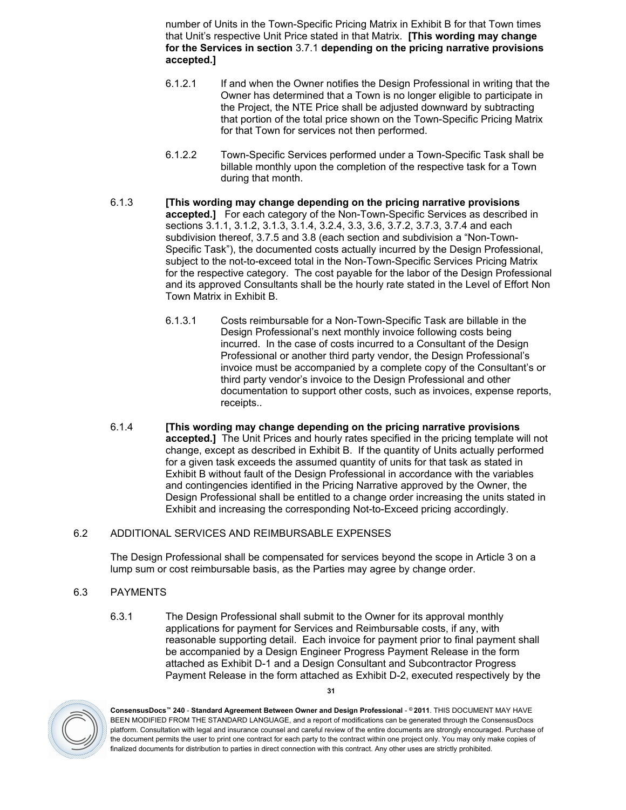number of Units in the Town-Specific Pricing Matrix in Exhibit B for that Town times that Unit's respective Unit Price stated in that Matrix. **[This wording may change for the Services in section** 3.7.1 **depending on the pricing narrative provisions accepted.]**

- 6.1.2.1 If and when the Owner notifies the Design Professional in writing that the Owner has determined that a Town is no longer eligible to participate in the Project, the NTE Price shall be adjusted downward by subtracting that portion of the total price shown on the Town-Specific Pricing Matrix for that Town for services not then performed.
- 6.1.2.2 Town-Specific Services performed under a Town-Specific Task shall be billable monthly upon the completion of the respective task for a Town during that month.
- 6.1.3 **[This wording may change depending on the pricing narrative provisions accepted.]** For each category of the Non-Town-Specific Services as described in sections [3.1.1,](#page-6-2) [3.1.2,](#page-7-1) [3.1.3](#page-8-0), [3.1.4](#page-9-2), [3.2.4,](#page-12-3) [3.3](#page-12-0), [3.6,](#page-15-0) [3.7.2,](#page-17-0) [3.7.3](#page-18-0), [3.7.4](#page-19-0) and each subdivision thereof, [3.7.5](#page-22-0) and [3.8](#page-26-0) (each section and subdivision a "Non-Town-Specific Task"), the documented costs actually incurred by the Design Professional, subject to the not-to-exceed total in the Non-Town-Specific Services Pricing Matrix for the respective category. The cost payable for the labor of the Design Professional and its approved Consultants shall be the hourly rate stated in the Level of Effort Non Town Matrix in Exhibit B.
	- 6.1.3.1 Costs reimbursable for a Non-Town-Specific Task are billable in the Design Professional's next monthly invoice following costs being incurred. In the case of costs incurred to a Consultant of the Design Professional or another third party vendor, the Design Professional's invoice must be accompanied by a complete copy of the Consultant's or third party vendor's invoice to the Design Professional and other documentation to support other costs, such as invoices, expense reports, receipts..
- 6.1.4 **[This wording may change depending on the pricing narrative provisions accepted.]** The Unit Prices and hourly rates specified in the pricing template will not change, except as described in Exhibit B. If the quantity of Units actually performed for a given task exceeds the assumed quantity of units for that task as stated in Exhibit B without fault of the Design Professional in accordance with the variables and contingencies identified in the Pricing Narrative approved by the Owner, the Design Professional shall be entitled to a change order increasing the units stated in Exhibit and increasing the corresponding Not-to-Exceed pricing accordingly.

# <span id="page-30-0"></span>6.2 ADDITIONAL SERVICES AND REIMBURSABLE EXPENSES

The Design Professional shall be compensated for services beyond the scope in Article 3 on a lump sum or cost reimbursable basis, as the Parties may agree by change order.

#### <span id="page-30-1"></span>6.3 PAYMENTS

6.3.1 The Design Professional shall submit to the Owner for its approval monthly applications for payment for Services and Reimbursable costs, if any, with reasonable supporting detail. Each invoice for payment prior to final payment shall be accompanied by a Design Engineer Progress Payment Release in the form attached as Exhibit D-1 and a Design Consultant and Subcontractor Progress Payment Release in the form attached as Exhibit D-2, executed respectively by the

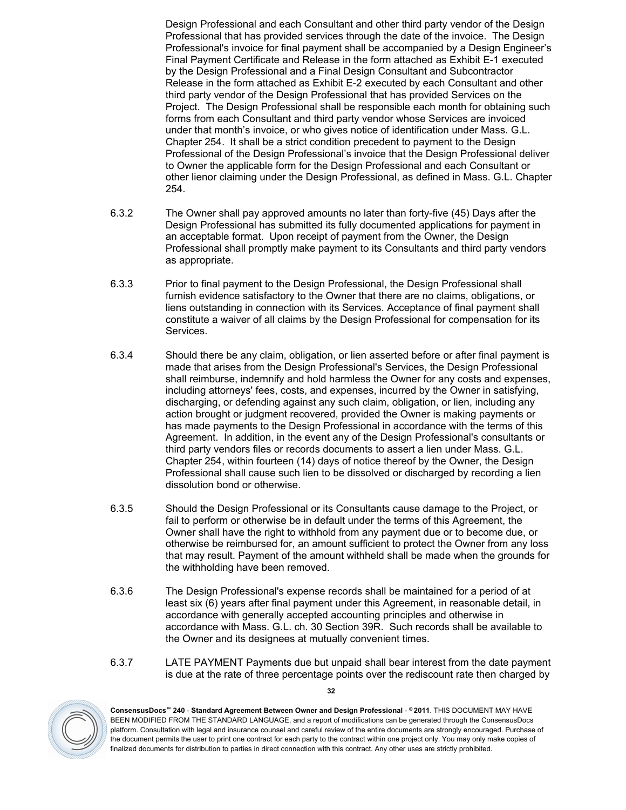Design Professional and each Consultant and other third party vendor of the Design Professional that has provided services through the date of the invoice. The Design Professional's invoice for final payment shall be accompanied by a Design Engineer's Final Payment Certificate and Release in the form attached as Exhibit E-1 executed by the Design Professional and a Final Design Consultant and Subcontractor Release in the form attached as Exhibit E-2 executed by each Consultant and other third party vendor of the Design Professional that has provided Services on the Project. The Design Professional shall be responsible each month for obtaining such forms from each Consultant and third party vendor whose Services are invoiced under that month's invoice, or who gives notice of identification under Mass. G.L. Chapter 254. It shall be a strict condition precedent to payment to the Design Professional of the Design Professional's invoice that the Design Professional deliver to Owner the applicable form for the Design Professional and each Consultant or other lienor claiming under the Design Professional, as defined in Mass. G.L. Chapter 254.

- 6.3.2 The Owner shall pay approved amounts no later than forty-five (45) Days after the Design Professional has submitted its fully documented applications for payment in an acceptable format. Upon receipt of payment from the Owner, the Design Professional shall promptly make payment to its Consultants and third party vendors as appropriate.
- 6.3.3 Prior to final payment to the Design Professional, the Design Professional shall furnish evidence satisfactory to the Owner that there are no claims, obligations, or liens outstanding in connection with its Services. Acceptance of final payment shall constitute a waiver of all claims by the Design Professional for compensation for its Services.
- 6.3.4 Should there be any claim, obligation, or lien asserted before or after final payment is made that arises from the Design Professional's Services, the Design Professional shall reimburse, indemnify and hold harmless the Owner for any costs and expenses, including attorneys' fees, costs, and expenses, incurred by the Owner in satisfying, discharging, or defending against any such claim, obligation, or lien, including any action brought or judgment recovered, provided the Owner is making payments or has made payments to the Design Professional in accordance with the terms of this Agreement. In addition, in the event any of the Design Professional's consultants or third party vendors files or records documents to assert a lien under Mass. G.L. Chapter 254, within fourteen (14) days of notice thereof by the Owner, the Design Professional shall cause such lien to be dissolved or discharged by recording a lien dissolution bond or otherwise.
- 6.3.5 Should the Design Professional or its Consultants cause damage to the Project, or fail to perform or otherwise be in default under the terms of this Agreement, the Owner shall have the right to withhold from any payment due or to become due, or otherwise be reimbursed for, an amount sufficient to protect the Owner from any loss that may result. Payment of the amount withheld shall be made when the grounds for the withholding have been removed.
- 6.3.6 The Design Professional's expense records shall be maintained for a period of at least six (6) years after final payment under this Agreement, in reasonable detail, in accordance with generally accepted accounting principles and otherwise in accordance with Mass. G.L. ch. 30 Section 39R. Such records shall be available to the Owner and its designees at mutually convenient times.
- 6.3.7 LATE PAYMENT Payments due but unpaid shall bear interest from the date payment is due at the rate of three percentage points over the rediscount rate then charged by



**ConsensusDocs™ 240** - **Standard Agreement Between Owner and Design Professional** - **© 2011**. THIS DOCUMENT MAY HAVE BEEN MODIFIED FROM THE STANDARD LANGUAGE, and a report of modifications can be generated through the ConsensusDocs platform. Consultation with legal and insurance counsel and careful review of the entire documents are strongly encouraged. Purchase of the document permits the user to print one contract for each party to the contract within one project only. You may only make copies of finalized documents for distribution to parties in direct connection with this contract. Any other uses are strictly prohibited.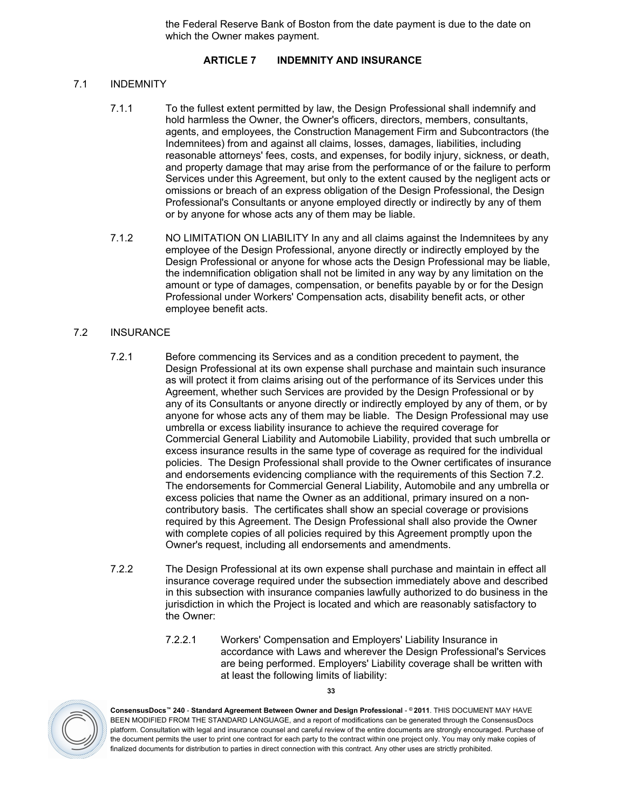the Federal Reserve Bank of Boston from the date payment is due to the date on which the Owner makes payment.

# <span id="page-32-0"></span>**ARTICLE 7 INDEMNITY AND INSURANCE**

# <span id="page-32-1"></span>7.1 INDEMNITY

- <span id="page-32-3"></span>7.1.1 To the fullest extent permitted by law, the Design Professional shall indemnify and hold harmless the Owner, the Owner's officers, directors, members, consultants, agents, and employees, the Construction Management Firm and Subcontractors (the Indemnitees) from and against all claims, losses, damages, liabilities, including reasonable attorneys' fees, costs, and expenses, for bodily injury, sickness, or death, and property damage that may arise from the performance of or the failure to perform Services under this Agreement, but only to the extent caused by the negligent acts or omissions or breach of an express obligation of the Design Professional, the Design Professional's Consultants or anyone employed directly or indirectly by any of them or by anyone for whose acts any of them may be liable.
- 7.1.2 NO LIMITATION ON LIABILITY In any and all claims against the Indemnitees by any employee of the Design Professional, anyone directly or indirectly employed by the Design Professional or anyone for whose acts the Design Professional may be liable, the indemnification obligation shall not be limited in any way by any limitation on the amount or type of damages, compensation, or benefits payable by or for the Design Professional under Workers' Compensation acts, disability benefit acts, or other employee benefit acts.

# <span id="page-32-2"></span>7.2 INSURANCE

- 7.2.1 Before commencing its Services and as a condition precedent to payment, the Design Professional at its own expense shall purchase and maintain such insurance as will protect it from claims arising out of the performance of its Services under this Agreement, whether such Services are provided by the Design Professional or by any of its Consultants or anyone directly or indirectly employed by any of them, or by anyone for whose acts any of them may be liable. The Design Professional may use umbrella or excess liability insurance to achieve the required coverage for Commercial General Liability and Automobile Liability, provided that such umbrella or excess insurance results in the same type of coverage as required for the individual policies. The Design Professional shall provide to the Owner certificates of insurance and endorsements evidencing compliance with the requirements of this Section 7.2. The endorsements for Commercial General Liability, Automobile and any umbrella or excess policies that name the Owner as an additional, primary insured on a noncontributory basis. The certificates shall show an special coverage or provisions required by this Agreement. The Design Professional shall also provide the Owner with complete copies of all policies required by this Agreement promptly upon the Owner's request, including all endorsements and amendments.
- 7.2.2 The Design Professional at its own expense shall purchase and maintain in effect all insurance coverage required under the subsection immediately above and described in this subsection with insurance companies lawfully authorized to do business in the jurisdiction in which the Project is located and which are reasonably satisfactory to the Owner:
	- 7.2.2.1 Workers' Compensation and Employers' Liability Insurance in accordance with Laws and wherever the Design Professional's Services are being performed. Employers' Liability coverage shall be written with at least the following limits of liability:



**ConsensusDocs™ 240** - **Standard Agreement Between Owner and Design Professional** - **© 2011**. THIS DOCUMENT MAY HAVE BEEN MODIFIED FROM THE STANDARD LANGUAGE, and a report of modifications can be generated through the ConsensusDocs platform. Consultation with legal and insurance counsel and careful review of the entire documents are strongly encouraged. Purchase of the document permits the user to print one contract for each party to the contract within one project only. You may only make copies of finalized documents for distribution to parties in direct connection with this contract. Any other uses are strictly prohibited.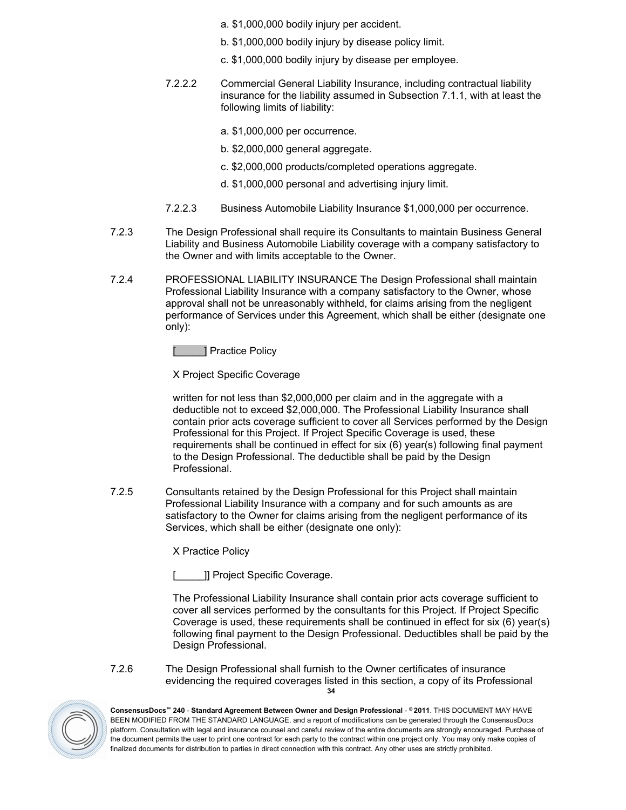- a. \$1,000,000 bodily injury per accident.
- b. \$1,000,000 bodily injury by disease policy limit.
- c. \$1,000,000 bodily injury by disease per employee.
- 7.2.2.2 Commercial General Liability Insurance, including contractual liability insurance for the liability assumed in Subsection [7.1.1](#page-32-3), with at least the following limits of liability:
	- a. \$1,000,000 per occurrence.
	- b. \$2,000,000 general aggregate.
	- c. \$2,000,000 products/completed operations aggregate.
	- d. \$1,000,000 personal and advertising injury limit.
- 7.2.2.3 Business Automobile Liability Insurance \$1,000,000 per occurrence.
- 7.2.3 The Design Professional shall require its Consultants to maintain Business General Liability and Business Automobile Liability coverage with a company satisfactory to the Owner and with limits acceptable to the Owner.
- 7.2.4 PROFESSIONAL LIABILITY INSURANCE The Design Professional shall maintain Professional Liability Insurance with a company satisfactory to the Owner, whose approval shall not be unreasonably withheld, for claims arising from the negligent performance of Services under this Agreement, which shall be either (designate one only):

1 Practice Policy

X Project Specific Coverage

written for not less than \$2,000,000 per claim and in the aggregate with a deductible not to exceed \$2,000,000. The Professional Liability Insurance shall contain prior acts coverage sufficient to cover all Services performed by the Design Professional for this Project. If Project Specific Coverage is used, these requirements shall be continued in effect for six (6) year(s) following final payment to the Design Professional. The deductible shall be paid by the Design Professional.

7.2.5 Consultants retained by the Design Professional for this Project shall maintain Professional Liability Insurance with a company and for such amounts as are satisfactory to the Owner for claims arising from the negligent performance of its Services, which shall be either (designate one only):

X Practice Policy

]] Project Specific Coverage.

The Professional Liability Insurance shall contain prior acts coverage sufficient to cover all services performed by the consultants for this Project. If Project Specific Coverage is used, these requirements shall be continued in effect for six (6) year(s) following final payment to the Design Professional. Deductibles shall be paid by the Design Professional.

**34** 7.2.6 The Design Professional shall furnish to the Owner certificates of insurance evidencing the required coverages listed in this section, a copy of its Professional

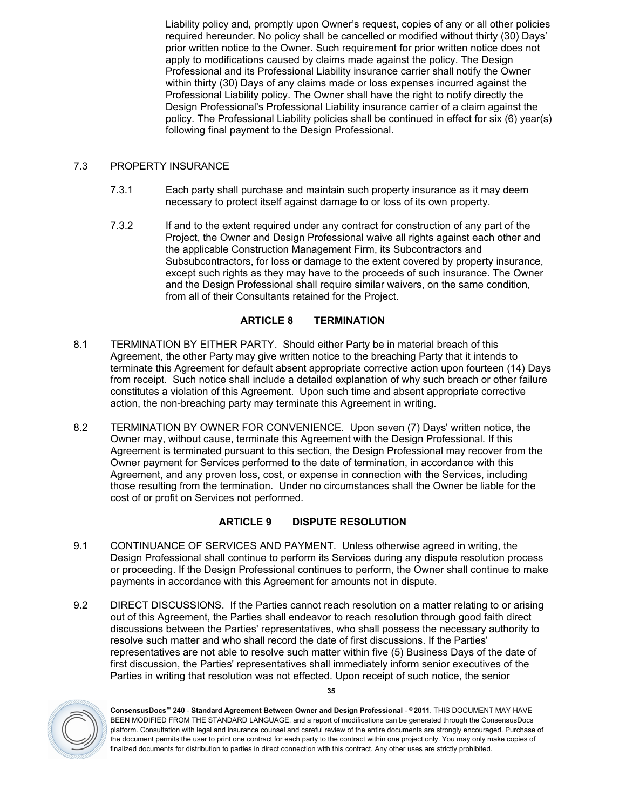Liability policy and, promptly upon Owner's request, copies of any or all other policies required hereunder. No policy shall be cancelled or modified without thirty (30) Days' prior written notice to the Owner. Such requirement for prior written notice does not apply to modifications caused by claims made against the policy. The Design Professional and its Professional Liability insurance carrier shall notify the Owner within thirty (30) Days of any claims made or loss expenses incurred against the Professional Liability policy. The Owner shall have the right to notify directly the Design Professional's Professional Liability insurance carrier of a claim against the policy. The Professional Liability policies shall be continued in effect for six (6) year(s) following final payment to the Design Professional.

# <span id="page-34-0"></span>7.3 PROPERTY INSURANCE

- 7.3.1 Each party shall purchase and maintain such property insurance as it may deem necessary to protect itself against damage to or loss of its own property.
- <span id="page-34-7"></span>7.3.2 If and to the extent required under any contract for construction of any part of the Project, the Owner and Design Professional waive all rights against each other and the applicable Construction Management Firm, its Subcontractors and Subsubcontractors, for loss or damage to the extent covered by property insurance, except such rights as they may have to the proceeds of such insurance. The Owner and the Design Professional shall require similar waivers, on the same condition, from all of their Consultants retained for the Project.

# <span id="page-34-1"></span>**ARTICLE 8 TERMINATION**

- <span id="page-34-2"></span>8.1 TERMINATION BY EITHER PARTY. Should either Party be in material breach of this Agreement, the other Party may give written notice to the breaching Party that it intends to terminate this Agreement for default absent appropriate corrective action upon fourteen (14) Days from receipt. Such notice shall include a detailed explanation of why such breach or other failure constitutes a violation of this Agreement. Upon such time and absent appropriate corrective action, the non-breaching party may terminate this Agreement in writing.
- <span id="page-34-3"></span>8.2 TERMINATION BY OWNER FOR CONVENIENCE. Upon seven (7) Days' written notice, the Owner may, without cause, terminate this Agreement with the Design Professional. If this Agreement is terminated pursuant to this section, the Design Professional may recover from the Owner payment for Services performed to the date of termination, in accordance with this Agreement, and any proven loss, cost, or expense in connection with the Services, including those resulting from the termination. Under no circumstances shall the Owner be liable for the cost of or profit on Services not performed.

# <span id="page-34-4"></span>**ARTICLE 9 DISPUTE RESOLUTION**

- <span id="page-34-5"></span>9.1 CONTINUANCE OF SERVICES AND PAYMENT. Unless otherwise agreed in writing, the Design Professional shall continue to perform its Services during any dispute resolution process or proceeding. If the Design Professional continues to perform, the Owner shall continue to make payments in accordance with this Agreement for amounts not in dispute.
- <span id="page-34-6"></span>9.2 DIRECT DISCUSSIONS. If the Parties cannot reach resolution on a matter relating to or arising out of this Agreement, the Parties shall endeavor to reach resolution through good faith direct discussions between the Parties' representatives, who shall possess the necessary authority to resolve such matter and who shall record the date of first discussions. If the Parties' representatives are not able to resolve such matter within five (5) Business Days of the date of first discussion, the Parties' representatives shall immediately inform senior executives of the Parties in writing that resolution was not effected. Upon receipt of such notice, the senior

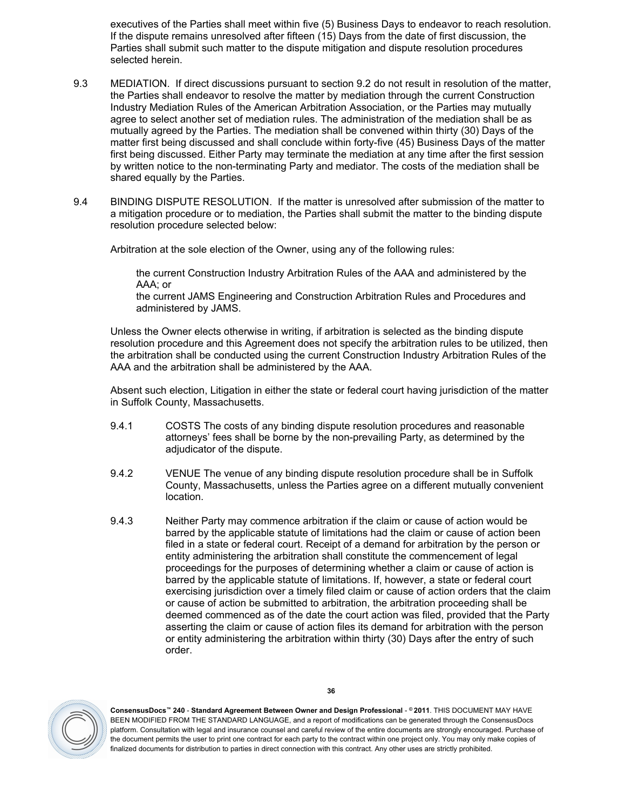executives of the Parties shall meet within five (5) Business Days to endeavor to reach resolution. If the dispute remains unresolved after fifteen (15) Days from the date of first discussion, the Parties shall submit such matter to the dispute mitigation and dispute resolution procedures selected herein.

- <span id="page-35-0"></span>9.3 MEDIATION. If direct discussions pursuant to section [9.2](#page-34-6) do not result in resolution of the matter, the Parties shall endeavor to resolve the matter by mediation through the current Construction Industry Mediation Rules of the American Arbitration Association, or the Parties may mutually agree to select another set of mediation rules. The administration of the mediation shall be as mutually agreed by the Parties. The mediation shall be convened within thirty (30) Days of the matter first being discussed and shall conclude within forty-five (45) Business Days of the matter first being discussed. Either Party may terminate the mediation at any time after the first session by written notice to the non-terminating Party and mediator. The costs of the mediation shall be shared equally by the Parties.
- <span id="page-35-1"></span>9.4 BINDING DISPUTE RESOLUTION. If the matter is unresolved after submission of the matter to a mitigation procedure or to mediation, the Parties shall submit the matter to the binding dispute resolution procedure selected below:

Arbitration at the sole election of the Owner, using any of the following rules:

the current Construction Industry Arbitration Rules of the AAA and administered by the AAA; or

the current JAMS Engineering and Construction Arbitration Rules and Procedures and administered by JAMS.

Unless the Owner elects otherwise in writing, if arbitration is selected as the binding dispute resolution procedure and this Agreement does not specify the arbitration rules to be utilized, then the arbitration shall be conducted using the current Construction Industry Arbitration Rules of the AAA and the arbitration shall be administered by the AAA.

Absent such election, Litigation in either the state or federal court having jurisdiction of the matter in Suffolk County, Massachusetts.

- 9.4.1 COSTS The costs of any binding dispute resolution procedures and reasonable attorneys' fees shall be borne by the non-prevailing Party, as determined by the adjudicator of the dispute.
- 9.4.2 VENUE The venue of any binding dispute resolution procedure shall be in Suffolk County, Massachusetts, unless the Parties agree on a different mutually convenient location.
- 9.4.3 Neither Party may commence arbitration if the claim or cause of action would be barred by the applicable statute of limitations had the claim or cause of action been filed in a state or federal court. Receipt of a demand for arbitration by the person or entity administering the arbitration shall constitute the commencement of legal proceedings for the purposes of determining whether a claim or cause of action is barred by the applicable statute of limitations. If, however, a state or federal court exercising jurisdiction over a timely filed claim or cause of action orders that the claim or cause of action be submitted to arbitration, the arbitration proceeding shall be deemed commenced as of the date the court action was filed, provided that the Party asserting the claim or cause of action files its demand for arbitration with the person or entity administering the arbitration within thirty (30) Days after the entry of such order.

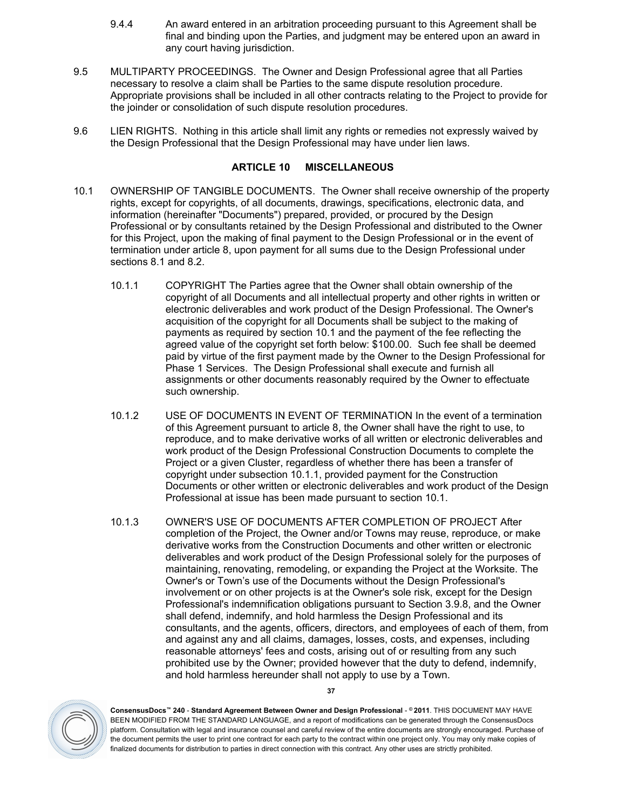- 9.4.4 An award entered in an arbitration proceeding pursuant to this Agreement shall be final and binding upon the Parties, and judgment may be entered upon an award in any court having jurisdiction.
- <span id="page-36-0"></span>9.5 MULTIPARTY PROCEEDINGS. The Owner and Design Professional agree that all Parties necessary to resolve a claim shall be Parties to the same dispute resolution procedure. Appropriate provisions shall be included in all other contracts relating to the Project to provide for the joinder or consolidation of such dispute resolution procedures.
- <span id="page-36-1"></span>9.6 LIEN RIGHTS. Nothing in this article shall limit any rights or remedies not expressly waived by the Design Professional that the Design Professional may have under lien laws.

# <span id="page-36-2"></span>**ARTICLE 10 MISCELLANEOUS**

- <span id="page-36-4"></span><span id="page-36-3"></span>10.1 OWNERSHIP OF TANGIBLE DOCUMENTS. The Owner shall receive ownership of the property rights, except for copyrights, of all documents, drawings, specifications, electronic data, and information (hereinafter "Documents") prepared, provided, or procured by the Design Professional or by consultants retained by the Design Professional and distributed to the Owner for this Project, upon the making of final payment to the Design Professional or in the event of termination under [article](#page-34-1) [8,](#page-34-1) upon payment for all sums due to the Design Professional under sections [8.1](#page-34-2) and [8.2.](#page-34-3)
	- 10.1.1 COPYRIGHT The Parties agree that the Owner shall obtain ownership of the copyright of all Documents and all intellectual property and other rights in written or electronic deliverables and work product of the Design Professional. The Owner's acquisition of the copyright for all Documents shall be subject to the making of payments as required by section [10.1](#page-36-3) and the payment of the fee reflecting the agreed value of the copyright set forth below: \$100.00. Such fee shall be deemed paid by virtue of the first payment made by the Owner to the Design Professional for Phase 1 Services. The Design Professional shall execute and furnish all assignments or other documents reasonably required by the Owner to effectuate such ownership.
	- 10.1.2 USE OF DOCUMENTS IN EVENT OF TERMINATION In the event of a termination of this Agreement pursuant to [article](#page-34-1) [8,](#page-34-1) the Owner shall have the right to use, to reproduce, and to make derivative works of all written or electronic deliverables and work product of the Design Professional Construction Documents to complete the Project or a given Cluster, regardless of whether there has been a transfer of copyright under subsection [10.1.1](#page-36-4), provided payment for the Construction Documents or other written or electronic deliverables and work product of the Design Professional at issue has been made pursuant to section [10.1.](#page-36-3)
	- 10.1.3 OWNER'S USE OF DOCUMENTS AFTER COMPLETION OF PROJECT After completion of the Project, the Owner and/or Towns may reuse, reproduce, or make derivative works from the Construction Documents and other written or electronic deliverables and work product of the Design Professional solely for the purposes of maintaining, renovating, remodeling, or expanding the Project at the Worksite. The Owner's or Town's use of the Documents without the Design Professional's involvement or on other projects is at the Owner's sole risk, except for the Design Professional's indemnification obligations pursuant to Section [3.9.8,](#page-27-1) and the Owner shall defend, indemnify, and hold harmless the Design Professional and its consultants, and the agents, officers, directors, and employees of each of them, from and against any and all claims, damages, losses, costs, and expenses, including reasonable attorneys' fees and costs, arising out of or resulting from any such prohibited use by the Owner; provided however that the duty to defend, indemnify, and hold harmless hereunder shall not apply to use by a Town.



**ConsensusDocs™ 240** - **Standard Agreement Between Owner and Design Professional** - **© 2011**. THIS DOCUMENT MAY HAVE BEEN MODIFIED FROM THE STANDARD LANGUAGE, and a report of modifications can be generated through the ConsensusDocs platform. Consultation with legal and insurance counsel and careful review of the entire documents are strongly encouraged. Purchase of the document permits the user to print one contract for each party to the contract within one project only. You may only make copies of finalized documents for distribution to parties in direct connection with this contract. Any other uses are strictly prohibited.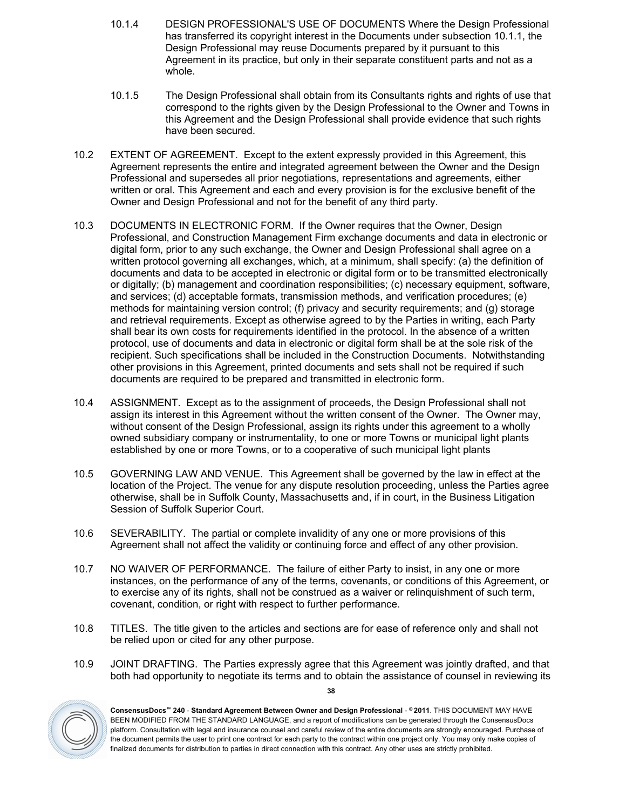- 10.1.4 DESIGN PROFESSIONAL'S USE OF DOCUMENTS Where the Design Professional has transferred its copyright interest in the Documents under subsection [10.1.1](#page-36-4), the Design Professional may reuse Documents prepared by it pursuant to this Agreement in its practice, but only in their separate constituent parts and not as a whole.
- 10.1.5 The Design Professional shall obtain from its Consultants rights and rights of use that correspond to the rights given by the Design Professional to the Owner and Towns in this Agreement and the Design Professional shall provide evidence that such rights have been secured.
- <span id="page-37-0"></span>10.2 EXTENT OF AGREEMENT. Except to the extent expressly provided in this Agreement, this Agreement represents the entire and integrated agreement between the Owner and the Design Professional and supersedes all prior negotiations, representations and agreements, either written or oral. This Agreement and each and every provision is for the exclusive benefit of the Owner and Design Professional and not for the benefit of any third party.
- <span id="page-37-1"></span>10.3 DOCUMENTS IN ELECTRONIC FORM. If the Owner requires that the Owner, Design Professional, and Construction Management Firm exchange documents and data in electronic or digital form, prior to any such exchange, the Owner and Design Professional shall agree on a written protocol governing all exchanges, which, at a minimum, shall specify: (a) the definition of documents and data to be accepted in electronic or digital form or to be transmitted electronically or digitally; (b) management and coordination responsibilities; (c) necessary equipment, software, and services; (d) acceptable formats, transmission methods, and verification procedures; (e) methods for maintaining version control; (f) privacy and security requirements; and (g) storage and retrieval requirements. Except as otherwise agreed to by the Parties in writing, each Party shall bear its own costs for requirements identified in the protocol. In the absence of a written protocol, use of documents and data in electronic or digital form shall be at the sole risk of the recipient. Such specifications shall be included in the Construction Documents. Notwithstanding other provisions in this Agreement, printed documents and sets shall not be required if such documents are required to be prepared and transmitted in electronic form.
- <span id="page-37-2"></span>10.4 ASSIGNMENT. Except as to the assignment of proceeds, the Design Professional shall not assign its interest in this Agreement without the written consent of the Owner. The Owner may, without consent of the Design Professional, assign its rights under this agreement to a wholly owned subsidiary company or instrumentality, to one or more Towns or municipal light plants established by one or more Towns, or to a cooperative of such municipal light plants
- <span id="page-37-3"></span>10.5 GOVERNING LAW AND VENUE. This Agreement shall be governed by the law in effect at the location of the Project. The venue for any dispute resolution proceeding, unless the Parties agree otherwise, shall be in Suffolk County, Massachusetts and, if in court, in the Business Litigation Session of Suffolk Superior Court.
- <span id="page-37-4"></span>10.6 SEVERABILITY. The partial or complete invalidity of any one or more provisions of this Agreement shall not affect the validity or continuing force and effect of any other provision.
- <span id="page-37-5"></span>10.7 NO WAIVER OF PERFORMANCE. The failure of either Party to insist, in any one or more instances, on the performance of any of the terms, covenants, or conditions of this Agreement, or to exercise any of its rights, shall not be construed as a waiver or relinquishment of such term, covenant, condition, or right with respect to further performance.
- <span id="page-37-6"></span>10.8 TITLES. The title given to the articles and sections are for ease of reference only and shall not be relied upon or cited for any other purpose.
- <span id="page-37-7"></span>10.9 JOINT DRAFTING. The Parties expressly agree that this Agreement was jointly drafted, and that both had opportunity to negotiate its terms and to obtain the assistance of counsel in reviewing its



**ConsensusDocs™ 240** - **Standard Agreement Between Owner and Design Professional** - **© 2011**. THIS DOCUMENT MAY HAVE BEEN MODIFIED FROM THE STANDARD LANGUAGE, and a report of modifications can be generated through the ConsensusDocs platform. Consultation with legal and insurance counsel and careful review of the entire documents are strongly encouraged. Purchase of the document permits the user to print one contract for each party to the contract within one project only. You may only make copies of finalized documents for distribution to parties in direct connection with this contract. Any other uses are strictly prohibited.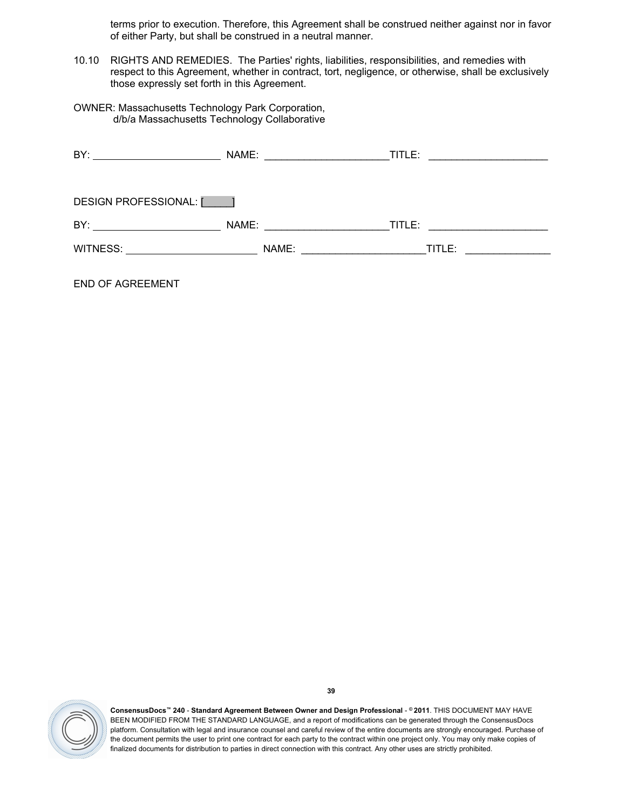terms prior to execution. Therefore, this Agreement shall be construed neither against nor in favor of either Party, but shall be construed in a neutral manner.

- <span id="page-38-0"></span>10.10 RIGHTS AND REMEDIES. The Parties' rights, liabilities, responsibilities, and remedies with respect to this Agreement, whether in contract, tort, negligence, or otherwise, shall be exclusively those expressly set forth in this Agreement.
- OWNER: Massachusetts Technology Park Corporation, d/b/a Massachusetts Technology Collaborative

| NAME: TITLE:                                     |                                                                                                                                |
|--------------------------------------------------|--------------------------------------------------------------------------------------------------------------------------------|
|                                                  |                                                                                                                                |
|                                                  |                                                                                                                                |
| <u> 1990 - Johann Barbara, martin a</u><br>NAME: | TITLE:<br><u> 1980 - Jan Barbarat, prima prima prima prima prima prima prima prima prima prima prima prima prima prima pri</u> |
| WITNESS: WITNESS:<br>NAME:<br>$T$ TITLE:         |                                                                                                                                |
|                                                  |                                                                                                                                |

END OF AGREEMENT

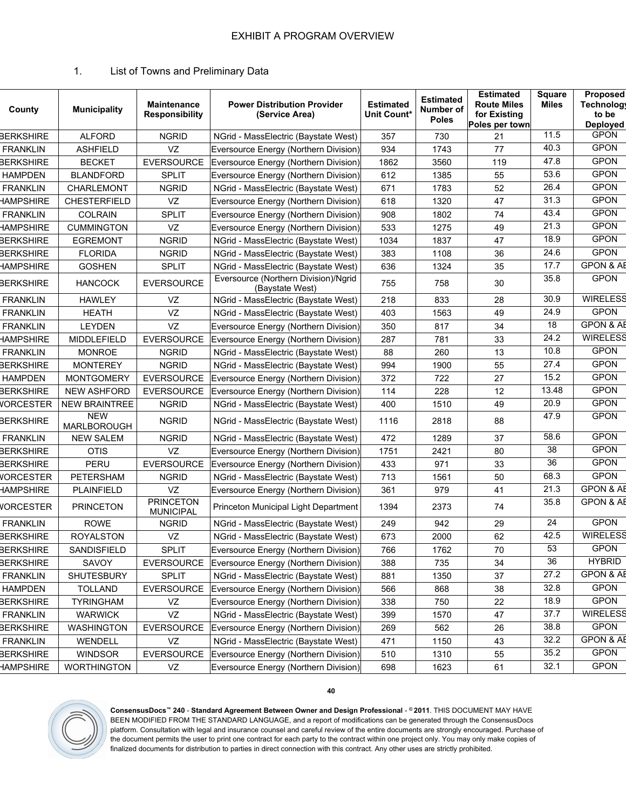# 1. List of Towns and Preliminary Data

| County           | <b>Municipality</b>              | Maintenance<br><b>Responsibility</b> | <b>Power Distribution Provider</b><br>(Service Area)    | <b>Estimated</b><br>Unit Count* | <b>Estimated</b><br>Number of<br><b>Poles</b> | <b>Estimated</b><br><b>Route Miles</b><br>for Existing<br>Poles per town | <b>Square</b><br><b>Miles</b> | Proposed<br><b>Technology</b><br>to be<br><b>Deployed</b> |
|------------------|----------------------------------|--------------------------------------|---------------------------------------------------------|---------------------------------|-----------------------------------------------|--------------------------------------------------------------------------|-------------------------------|-----------------------------------------------------------|
| <b>BERKSHIRE</b> | <b>ALFORD</b>                    | <b>NGRID</b>                         | NGrid - MassElectric (Baystate West)                    | 357                             | 730                                           | 21                                                                       | 11.5                          | <b>GPON</b>                                               |
| <b>FRANKLIN</b>  | <b>ASHFIELD</b>                  | VZ                                   | Eversource Energy (Northern Division)                   | 934                             | 1743                                          | 77                                                                       | 40.3                          | <b>GPON</b>                                               |
| <b>BERKSHIRE</b> | <b>BECKET</b>                    | <b>EVERSOURCE</b>                    | Eversource Energy (Northern Division)                   | 1862                            | 3560                                          | 119                                                                      | 47.8                          | <b>GPON</b>                                               |
| <b>HAMPDEN</b>   | <b>BLANDFORD</b>                 | <b>SPLIT</b>                         | Eversource Energy (Northern Division)                   | 612                             | 1385                                          | 55                                                                       | 53.6                          | <b>GPON</b>                                               |
| <b>FRANKLIN</b>  | CHARLEMONT                       | <b>NGRID</b>                         | NGrid - MassElectric (Baystate West)                    | 671                             | 1783                                          | 52                                                                       | 26.4                          | <b>GPON</b>                                               |
| <b>HAMPSHIRE</b> | <b>CHESTERFIELD</b>              | VZ                                   | Eversource Energy (Northern Division)                   | 618                             | 1320                                          | 47                                                                       | $\overline{31.3}$             | <b>GPON</b>                                               |
| <b>FRANKLIN</b>  | <b>COLRAIN</b>                   | <b>SPLIT</b>                         | Eversource Energy (Northern Division)                   | 908                             | 1802                                          | 74                                                                       | 43.4                          | <b>GPON</b>                                               |
| <b>HAMPSHIRE</b> | <b>CUMMINGTON</b>                | VZ                                   | Eversource Energy (Northern Division)                   | 533                             | 1275                                          | 49                                                                       | 21.3                          | <b>GPON</b>                                               |
| <b>BERKSHIRE</b> | <b>EGREMONT</b>                  | <b>NGRID</b>                         | NGrid - MassElectric (Baystate West)                    | 1034                            | 1837                                          | 47                                                                       | 18.9                          | <b>GPON</b>                                               |
| <b>BERKSHIRE</b> | <b>FLORIDA</b>                   | <b>NGRID</b>                         | NGrid - MassElectric (Baystate West)                    | 383                             | 1108                                          | 36                                                                       | 24.6                          | <b>GPON</b>                                               |
| <b>HAMPSHIRE</b> | <b>GOSHEN</b>                    | <b>SPLIT</b>                         | NGrid - MassElectric (Baystate West)                    | 636                             | 1324                                          | 35                                                                       | 17.7                          | <b>GPON &amp; AE</b>                                      |
| <b>BERKSHIRE</b> | <b>HANCOCK</b>                   | <b>EVERSOURCE</b>                    | Eversource (Northern Division)/Ngrid<br>(Baystate West) | 755                             | 758                                           | 30                                                                       | 35.8                          | <b>GPON</b>                                               |
| <b>FRANKLIN</b>  | <b>HAWLEY</b>                    | VZ                                   | NGrid - MassElectric (Baystate West)                    | 218                             | 833                                           | 28                                                                       | 30.9                          | <b>WIRELESS</b>                                           |
| <b>FRANKLIN</b>  | <b>HEATH</b>                     | VZ                                   | NGrid - MassElectric (Baystate West)                    | 403                             | 1563                                          | 49                                                                       | 24.9                          | <b>GPON</b>                                               |
| <b>FRANKLIN</b>  | <b>LEYDEN</b>                    | VZ                                   | Eversource Energy (Northern Division)                   | 350                             | 817                                           | 34                                                                       | 18                            | <b>GPON &amp; AE</b>                                      |
| <b>HAMPSHIRE</b> | MIDDLEFIELD                      | <b>EVERSOURCE</b>                    | Eversource Energy (Northern Division)                   | 287                             | 781                                           | 33                                                                       | 24.2                          | <b>WIRELESS</b>                                           |
| <b>FRANKLIN</b>  | <b>MONROE</b>                    | <b>NGRID</b>                         | NGrid - MassElectric (Baystate West)                    | 88                              | 260                                           | 13                                                                       | 10.8                          | <b>GPON</b>                                               |
| <b>BERKSHIRE</b> | <b>MONTEREY</b>                  | <b>NGRID</b>                         | NGrid - MassElectric (Baystate West)                    | 994                             | 1900                                          | 55                                                                       | 27.4                          | <b>GPON</b>                                               |
| <b>HAMPDEN</b>   | <b>MONTGOMERY</b>                | <b>EVERSOURCE</b>                    | Eversource Energy (Northern Division)                   | 372                             | 722                                           | 27                                                                       | 15.2                          | <b>GPON</b>                                               |
| <b>BERKSHIRE</b> | <b>NEW ASHFORD</b>               | <b>EVERSOURCE</b>                    | Eversource Energy (Northern Division)                   | 114                             | 228                                           | 12                                                                       | 13.48                         | <b>GPON</b>                                               |
| <b>VORCESTER</b> | <b>NEW BRAINTREE</b>             | <b>NGRID</b>                         | NGrid - MassElectric (Baystate West)                    | 400                             | 1510                                          | 49                                                                       | 20.9                          | <b>GPON</b>                                               |
| <b>BERKSHIRE</b> | <b>NEW</b><br><b>MARLBOROUGH</b> | <b>NGRID</b>                         | NGrid - MassElectric (Baystate West)                    | 1116                            | 2818                                          | 88                                                                       | 47.9                          | <b>GPON</b>                                               |
| <b>FRANKLIN</b>  | <b>NEW SALEM</b>                 | <b>NGRID</b>                         | NGrid - MassElectric (Baystate West)                    | 472                             | 1289                                          | 37                                                                       | 58.6                          | <b>GPON</b>                                               |
| <b>BERKSHIRE</b> | <b>OTIS</b>                      | VZ                                   | Eversource Energy (Northern Division)                   | 1751                            | 2421                                          | 80                                                                       | 38                            | <b>GPON</b>                                               |
| <b>BERKSHIRE</b> | PERU                             | <b>EVERSOURCE</b>                    | Eversource Energy (Northern Division)                   | 433                             | 971                                           | 33                                                                       | 36                            | <b>GPON</b>                                               |
| <b>VORCESTER</b> | PETERSHAM                        | <b>NGRID</b>                         | NGrid - MassElectric (Baystate West)                    | 713                             | 1561                                          | 50                                                                       | 68.3                          | <b>GPON</b>                                               |
| <b>HAMPSHIRE</b> | <b>PLAINFIELD</b>                | VZ                                   | Eversource Energy (Northern Division)                   | 361                             | 979                                           | 41                                                                       | 21.3                          | <b>GPON &amp; AB</b>                                      |
| <b>VORCESTER</b> | <b>PRINCETON</b>                 | <b>PRINCETON</b><br><b>MUNICIPAL</b> | Princeton Municipal Light Department                    | 1394                            | 2373                                          | 74                                                                       | 35.8                          | <b>GPON &amp; AB</b>                                      |
| <b>FRANKLIN</b>  | <b>ROWE</b>                      | <b>NGRID</b>                         | NGrid - MassElectric (Baystate West)                    | 249                             | 942                                           | 29                                                                       | 24                            | <b>GPON</b>                                               |
| <b>BERKSHIRE</b> | <b>ROYALSTON</b>                 | VZ                                   | NGrid - MassElectric (Baystate West)                    | 673                             | 2000                                          | 62                                                                       | 42.5                          | <b>WIRELESS</b>                                           |
| BERKSHIRE        | SANDISFIELD                      | <b>SPLIT</b>                         | Eversource Energy (Northern Division)                   | 766                             | 1762                                          | 70                                                                       | 53                            | <b>GPON</b>                                               |
| <b>BERKSHIRE</b> | SAVOY                            | <b>EVERSOURCE</b>                    | Eversource Energy (Northern Division)                   | 388                             | 735                                           | 34                                                                       | 36                            | <b>HYBRID</b>                                             |
| <b>FRANKLIN</b>  | SHUTESBURY                       | <b>SPLIT</b>                         | NGrid - MassElectric (Baystate West)                    | 881                             | 1350                                          | 37                                                                       | 27.2                          | <b>GPON &amp; AE</b>                                      |
| <b>HAMPDEN</b>   | <b>TOLLAND</b>                   | EVERSOURCE                           | Eversource Energy (Northern Division)                   | 566                             | 868                                           | 38                                                                       | 32.8                          | <b>GPON</b>                                               |
| <b>BERKSHIRE</b> | <b>TYRINGHAM</b>                 | VZ                                   | Eversource Energy (Northern Division)                   | 338                             | 750                                           | 22                                                                       | 18.9                          | <b>GPON</b>                                               |
| <b>FRANKLIN</b>  | <b>WARWICK</b>                   | VZ                                   | NGrid - MassElectric (Baystate West)                    | 399                             | 1570                                          | 47                                                                       | 37.7                          | <b>WIRELESS</b>                                           |
| <b>BERKSHIRE</b> | <b>WASHINGTON</b>                | EVERSOURCE                           | Eversource Energy (Northern Division)                   | 269                             | 562                                           | 26                                                                       | 38.8                          | <b>GPON</b>                                               |
| <b>FRANKLIN</b>  | WENDELL                          | VZ                                   | NGrid - MassElectric (Baystate West)                    | 471                             | 1150                                          | 43                                                                       | 32.2                          | <b>GPON &amp; AE</b>                                      |
| <b>BERKSHIRE</b> | <b>WINDSOR</b>                   | EVERSOURCE                           | Eversource Energy (Northern Division)                   | 510                             | 1310                                          | 55                                                                       | 35.2                          | <b>GPON</b>                                               |
| <b>HAMPSHIRE</b> | <b>WORTHINGTON</b>               | VZ                                   | Eversource Energy (Northern Division)                   | 698                             | 1623                                          | 61                                                                       | 32.1                          | <b>GPON</b>                                               |



**ConsensusDocs™ 240** - **Standard Agreement Between Owner and Design Professional** - **© 2011**. THIS DOCUMENT MAY HAVE BEEN MODIFIED FROM THE STANDARD LANGUAGE, and a report of modifications can be generated through the ConsensusDocs platform. Consultation with legal and insurance counsel and careful review of the entire documents are strongly encouraged. Purchase of the document permits the user to print one contract for each party to the contract within one project only. You may only make copies of finalized documents for distribution to parties in direct connection with this contract. Any other uses are strictly prohibited.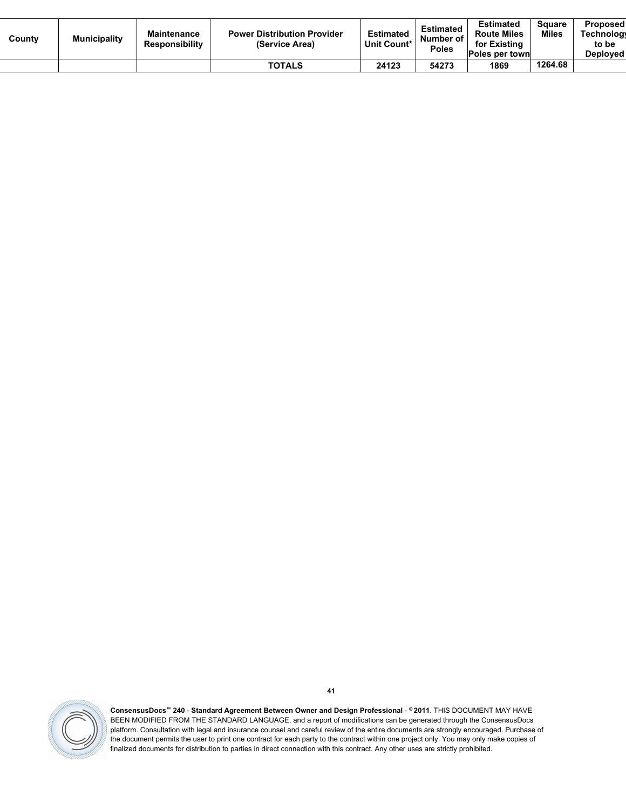| County | <b>Municipality</b> | <b>Maintenance</b><br><b>Responsibility</b> | <b>Power Distribution Provider</b><br>(Service Area) | <b>Estimated</b><br>Unit Count* | <b>Estimated</b><br>Number of<br><b>Poles</b> | <b>Estimated</b><br><b>Route Miles</b><br>for Existing<br>Poles per townl | Square<br>Miles | <b>Proposed</b><br><b>Technology</b><br>to be<br>Deploved |
|--------|---------------------|---------------------------------------------|------------------------------------------------------|---------------------------------|-----------------------------------------------|---------------------------------------------------------------------------|-----------------|-----------------------------------------------------------|
|        |                     |                                             | TOTALS                                               | 24123                           | 54273                                         | 1869                                                                      | 1264.68         |                                                           |

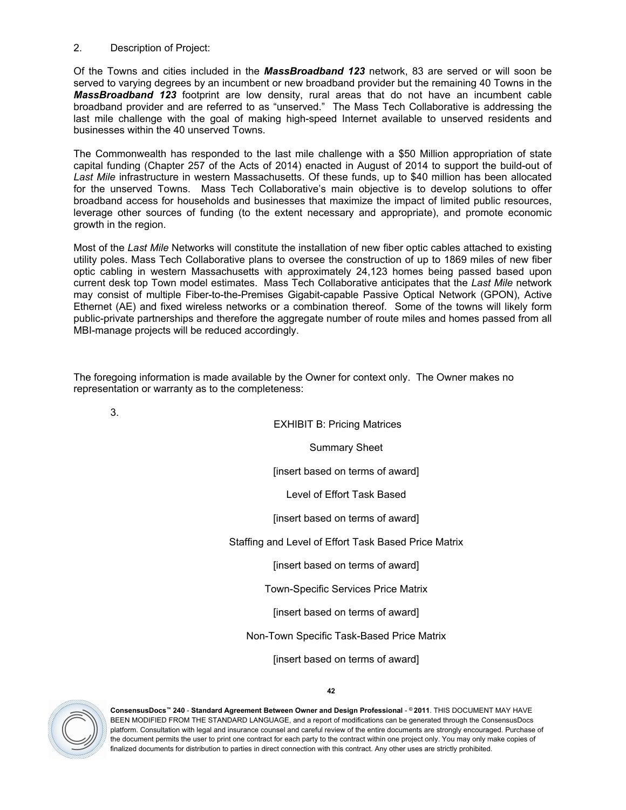#### 2. Description of Project:

Of the Towns and cities included in the *MassBroadband 123* network, 83 are served or will soon be served to varying degrees by an incumbent or new broadband provider but the remaining 40 Towns in the *MassBroadband 123* footprint are low density, rural areas that do not have an incumbent cable broadband provider and are referred to as "unserved." The Mass Tech Collaborative is addressing the last mile challenge with the goal of making high-speed Internet available to unserved residents and businesses within the 40 unserved Towns.

The Commonwealth has responded to the last mile challenge with a \$50 Million appropriation of state capital funding (Chapter 257 of the Acts of 2014) enacted in August of 2014 to support the build-out of *Last Mile* infrastructure in western Massachusetts. Of these funds, up to \$40 million has been allocated for the unserved Towns. Mass Tech Collaborative's main objective is to develop solutions to offer broadband access for households and businesses that maximize the impact of limited public resources, leverage other sources of funding (to the extent necessary and appropriate), and promote economic growth in the region.

Most of the *Last Mile* Networks will constitute the installation of new fiber optic cables attached to existing utility poles. Mass Tech Collaborative plans to oversee the construction of up to 1869 miles of new fiber optic cabling in western Massachusetts with approximately 24,123 homes being passed based upon current desk top Town model estimates. Mass Tech Collaborative anticipates that the *Last Mile* network may consist of multiple Fiber-to-the-Premises Gigabit-capable Passive Optical Network (GPON), Active Ethernet (AE) and fixed wireless networks or a combination thereof. Some of the towns will likely form public-private partnerships and therefore the aggregate number of route miles and homes passed from all MBI-manage projects will be reduced accordingly.

The foregoing information is made available by the Owner for context only. The Owner makes no representation or warranty as to the completeness:

3.

EXHIBIT B: Pricing Matrices

Summary Sheet

[insert based on terms of award]

Level of Effort Task Based

[insert based on terms of award]

Staffing and Level of Effort Task Based Price Matrix

[insert based on terms of award]

Town-Specific Services Price Matrix

[insert based on terms of award]

Non-Town Specific Task-Based Price Matrix

[insert based on terms of award]



**ConsensusDocs™ 240** - **Standard Agreement Between Owner and Design Professional** - **© 2011**. THIS DOCUMENT MAY HAVE BEEN MODIFIED FROM THE STANDARD LANGUAGE, and a report of modifications can be generated through the ConsensusDocs platform. Consultation with legal and insurance counsel and careful review of the entire documents are strongly encouraged. Purchase of the document permits the user to print one contract for each party to the contract within one project only. You may only make copies of finalized documents for distribution to parties in direct connection with this contract. Any other uses are strictly prohibited.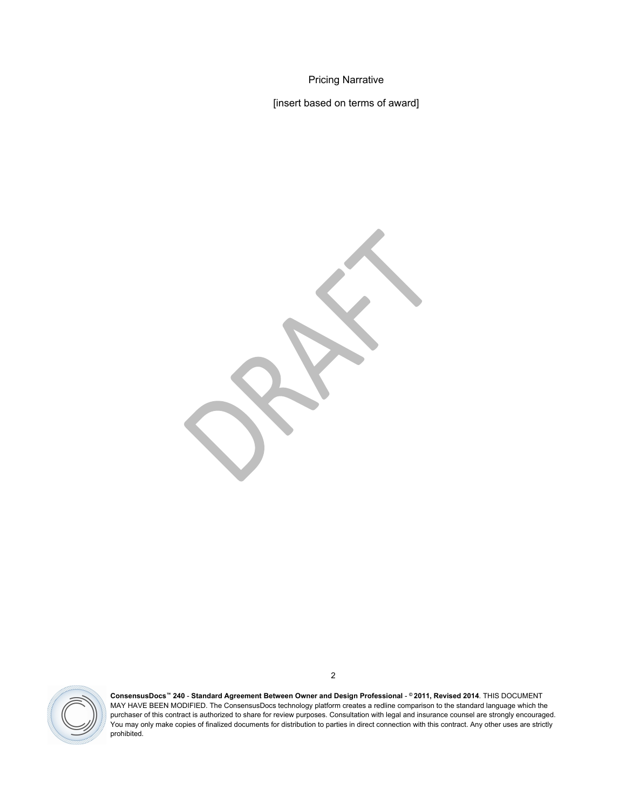Pricing Narrative

[insert based on terms of award]

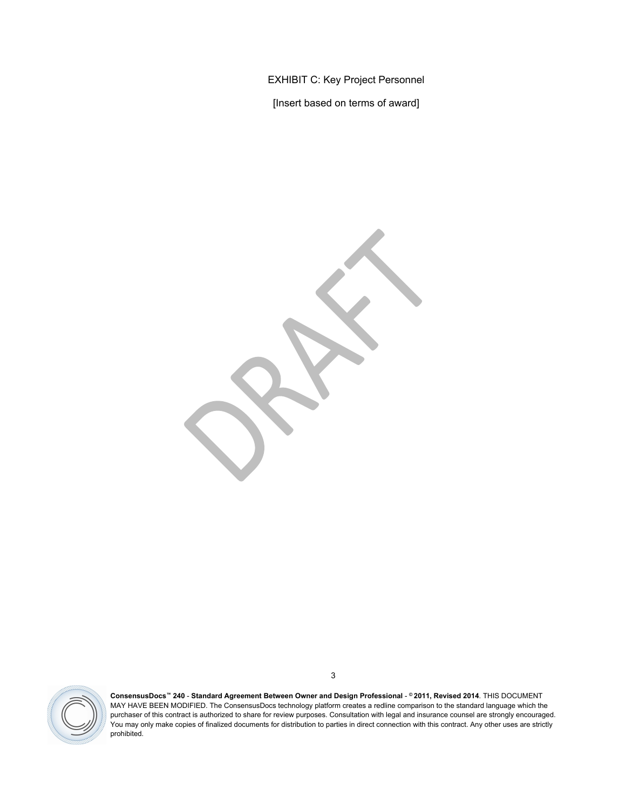EXHIBIT C: Key Project Personnel

[Insert based on terms of award]

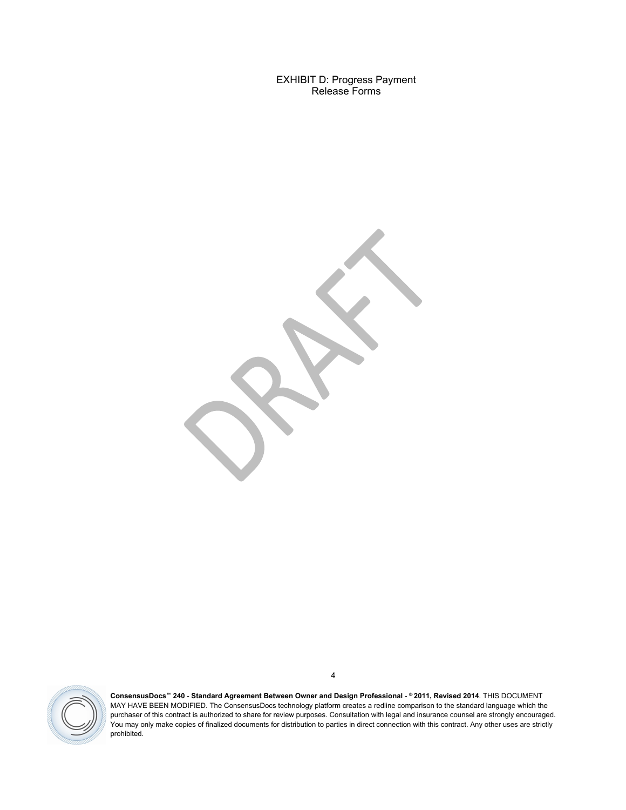EXHIBIT D: Progress Payment Release Forms



**ConsensusDocs™ 240** - **Standard Agreement Between Owner and Design Professional** - **© 2011, Revised 2014**. THIS DOCUMENT MAY HAVE BEEN MODIFIED. The ConsensusDocs technology platform creates a redline comparison to the standard language which the purchaser of this contract is authorized to share for review purposes. Consultation with legal and insurance counsel are strongly encouraged. You may only make copies of finalized documents for distribution to parties in direct connection with this contract. Any other uses are strictly prohibited.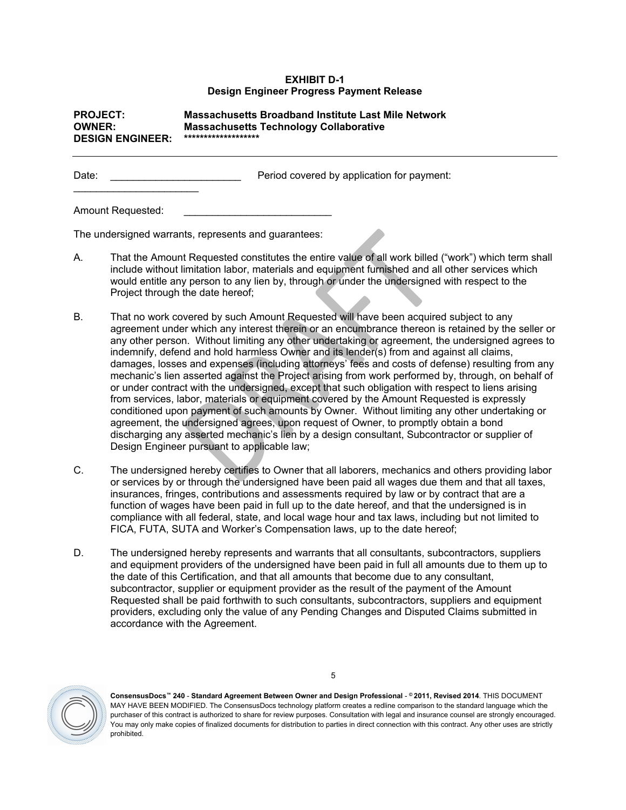#### **EXHIBIT D-1 Design Engineer Progress Payment Release**

#### **PROJECT: Massachusetts Broadband Institute Last Mile Network OWNER: Massachusetts Technology Collaborative DESIGN ENGINEER: \*\*\*\*\*\*\*\*\*\*\*\*\*\*\*\*\*\*\***

Date: **Date: Example 2 Date: Date: Date: Date: Date: Date: Date: Date: Date: Date: D** 

Amount Requested:

 $\overline{\phantom{a}}$  , and the set of the set of the set of the set of the set of the set of the set of the set of the set of the set of the set of the set of the set of the set of the set of the set of the set of the set of the s

The undersigned warrants, represents and guarantees:

- A. That the Amount Requested constitutes the entire value of all work billed ("work") which term shall include without limitation labor, materials and equipment furnished and all other services which would entitle any person to any lien by, through or under the undersigned with respect to the Project through the date hereof;
- B. That no work covered by such Amount Requested will have been acquired subject to any agreement under which any interest therein or an encumbrance thereon is retained by the seller or any other person. Without limiting any other undertaking or agreement, the undersigned agrees to indemnify, defend and hold harmless Owner and its lender(s) from and against all claims, damages, losses and expenses (including attorneys' fees and costs of defense) resulting from any mechanic's lien asserted against the Project arising from work performed by, through, on behalf of or under contract with the undersigned, except that such obligation with respect to liens arising from services, labor, materials or equipment covered by the Amount Requested is expressly conditioned upon payment of such amounts by Owner. Without limiting any other undertaking or agreement, the undersigned agrees, upon request of Owner, to promptly obtain a bond discharging any asserted mechanic's lien by a design consultant, Subcontractor or supplier of Design Engineer pursuant to applicable law;
- C. The undersigned hereby certifies to Owner that all laborers, mechanics and others providing labor or services by or through the undersigned have been paid all wages due them and that all taxes, insurances, fringes, contributions and assessments required by law or by contract that are a function of wages have been paid in full up to the date hereof, and that the undersigned is in compliance with all federal, state, and local wage hour and tax laws, including but not limited to FICA, FUTA, SUTA and Worker's Compensation laws, up to the date hereof;
- D. The undersigned hereby represents and warrants that all consultants, subcontractors, suppliers and equipment providers of the undersigned have been paid in full all amounts due to them up to the date of this Certification, and that all amounts that become due to any consultant, subcontractor, supplier or equipment provider as the result of the payment of the Amount Requested shall be paid forthwith to such consultants, subcontractors, suppliers and equipment providers, excluding only the value of any Pending Changes and Disputed Claims submitted in accordance with the Agreement.

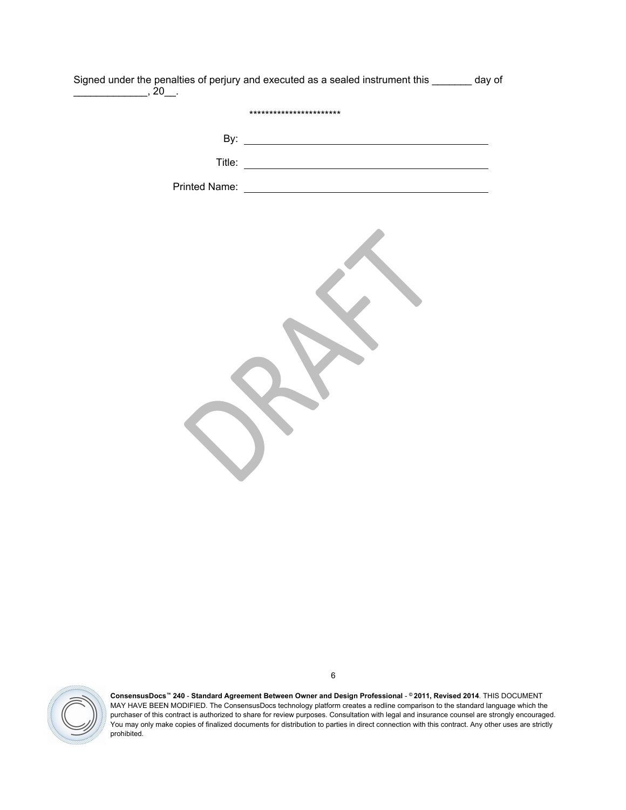| day of | Signed under the penalties of perjury and executed as a sealed instrument this ____ | $, 20$ .      |
|--------|-------------------------------------------------------------------------------------|---------------|
|        | ***********************                                                             |               |
|        |                                                                                     | By:           |
|        |                                                                                     | Title:        |
|        |                                                                                     | Printed Name: |
|        |                                                                                     |               |

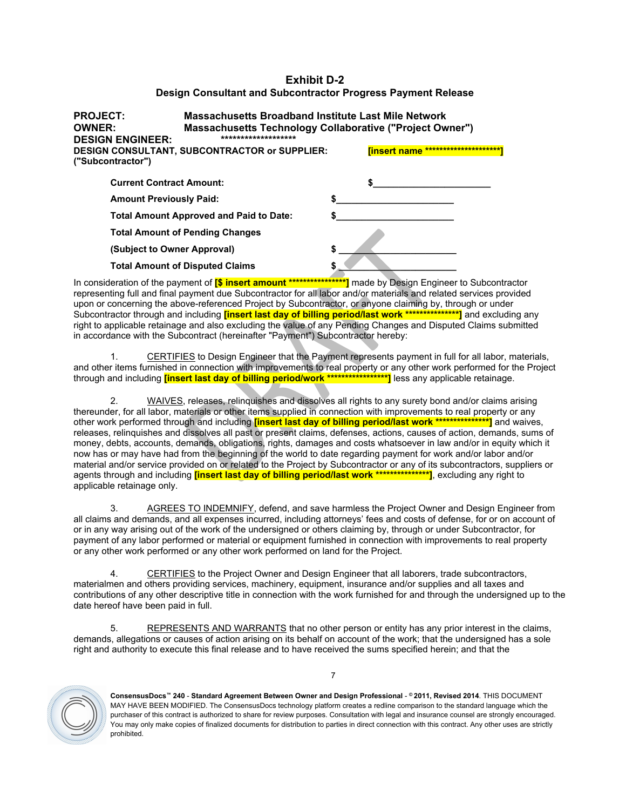#### **Exhibit D-2 Design Consultant and Subcontractor Progress Payment Release**

| Massachusetts Broadband Institute Last Mile Network<br><b>PROJECT:</b><br><b>OWNER:</b><br>Massachusetts Technology Collaborative ("Project Owner")<br>*******************<br><b>DESIGN ENGINEER:</b> |  |   |                                         |  |  |
|-------------------------------------------------------------------------------------------------------------------------------------------------------------------------------------------------------|--|---|-----------------------------------------|--|--|
| <b>DESIGN CONSULTANT, SUBCONTRACTOR or SUPPLIER:</b><br>("Subcontractor")                                                                                                                             |  |   | ****************<br><b>Tinsert name</b> |  |  |
| <b>Current Contract Amount:</b>                                                                                                                                                                       |  |   |                                         |  |  |
| <b>Amount Previously Paid:</b>                                                                                                                                                                        |  |   |                                         |  |  |
| <b>Total Amount Approved and Paid to Date:</b>                                                                                                                                                        |  |   |                                         |  |  |
| <b>Total Amount of Pending Changes</b>                                                                                                                                                                |  |   |                                         |  |  |
| (Subject to Owner Approval)                                                                                                                                                                           |  | S |                                         |  |  |
| <b>Total Amount of Disputed Claims</b>                                                                                                                                                                |  |   |                                         |  |  |

In consideration of the payment of **[\$ insert amount \*\*\*\*\*\*\*\*\*\*\*\*\*\*\*\*]** made by Design Engineer to Subcontractor representing full and final payment due Subcontractor for all labor and/or materials and related services provided upon or concerning the above-referenced Project by Subcontractor, or anyone claiming by, through or under Subcontractor through and including **[insert last day of billing period/last work \*\*\*\*\*\*\*\*\*\*\*\*\*\*\*]** and excluding any right to applicable retainage and also excluding the value of any Pending Changes and Disputed Claims submitted in accordance with the Subcontract (hereinafter "Payment") Subcontractor hereby:

1. CERTIFIES to Design Engineer that the Payment represents payment in full for all labor, materials, and other items furnished in connection with improvements to real property or any other work performed for the Project through and including **[insert last day of billing period/work \*\*\*\*\*\*\*\*\*\*\*\*\*\*\*\*\*]** less any applicable retainage.

2. WAIVES, releases, relinquishes and dissolves all rights to any surety bond and/or claims arising thereunder, for all labor, materials or other items supplied in connection with improvements to real property or any other work performed through and including **[insert last day of billing period/last work \*\*\*\*\*\*\*\*\*\*\*\*\*\*\*]** and waives, releases, relinquishes and dissolves all past or present claims, defenses, actions, causes of action, demands, sums of money, debts, accounts, demands, obligations, rights, damages and costs whatsoever in law and/or in equity which it now has or may have had from the beginning of the world to date regarding payment for work and/or labor and/or material and/or service provided on or related to the Project by Subcontractor or any of its subcontractors, suppliers or agents through and including **[insert last day of billing period/last work \*\*\*\*\*\*\*\*\*\*\*\*\*\*\*]**, excluding any right to applicable retainage only.

3. AGREES TO INDEMNIFY, defend, and save harmless the Project Owner and Design Engineer from all claims and demands, and all expenses incurred, including attorneys' fees and costs of defense, for or on account of or in any way arising out of the work of the undersigned or others claiming by, through or under Subcontractor, for payment of any labor performed or material or equipment furnished in connection with improvements to real property or any other work performed or any other work performed on land for the Project.

4. CERTIFIES to the Project Owner and Design Engineer that all laborers, trade subcontractors, materialmen and others providing services, machinery, equipment, insurance and/or supplies and all taxes and contributions of any other descriptive title in connection with the work furnished for and through the undersigned up to the date hereof have been paid in full.

5. REPRESENTS AND WARRANTS that no other person or entity has any prior interest in the claims, demands, allegations or causes of action arising on its behalf on account of the work; that the undersigned has a sole right and authority to execute this final release and to have received the sums specified herein; and that the

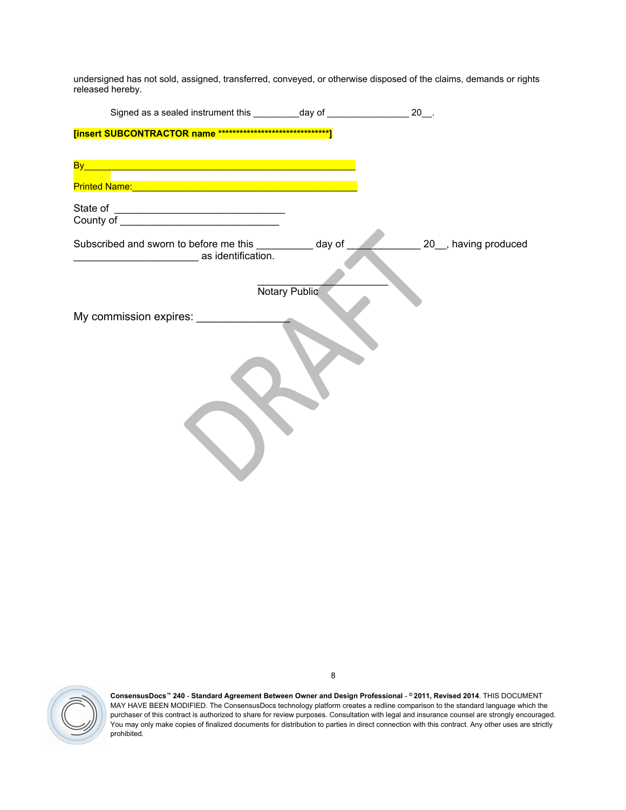undersigned has not sold, assigned, transferred, conveyed, or otherwise disposed of the claims, demands or rights released hereby.

| Signed as a sealed instrument this __________ day of ___________________________                                                                                                                                                                                                                                                                                             |               | $20$ __. |                    |
|------------------------------------------------------------------------------------------------------------------------------------------------------------------------------------------------------------------------------------------------------------------------------------------------------------------------------------------------------------------------------|---------------|----------|--------------------|
|                                                                                                                                                                                                                                                                                                                                                                              |               |          |                    |
| <u>By a construction of the construction of the construction of the construction of the construction of the const</u><br><u> 1989 - Johann Stein, marwolaethau a bhann an t-Albann an t-Albann an t-Albann an t-Albann an t-Albann an t-Al</u><br>Printed Name: <u>Name: Name and American Community of The Community of The Community of The Community of The Community</u> |               |          |                    |
|                                                                                                                                                                                                                                                                                                                                                                              |               |          |                    |
| Subscribed and sworn to before me this __________ day of<br>as identification.                                                                                                                                                                                                                                                                                               | Notary Public |          | 20 having produced |
| My commission expires: _____________                                                                                                                                                                                                                                                                                                                                         |               |          |                    |

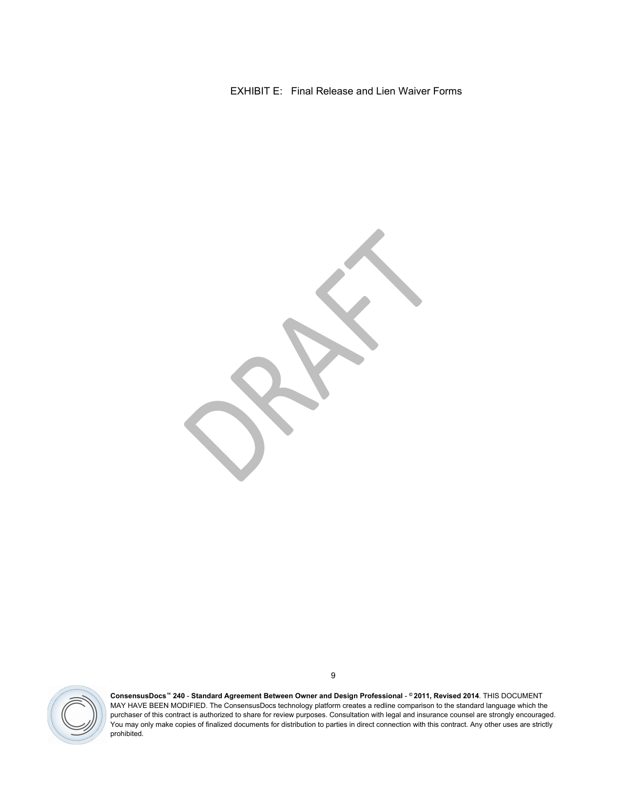EXHIBIT E: Final Release and Lien Waiver Forms

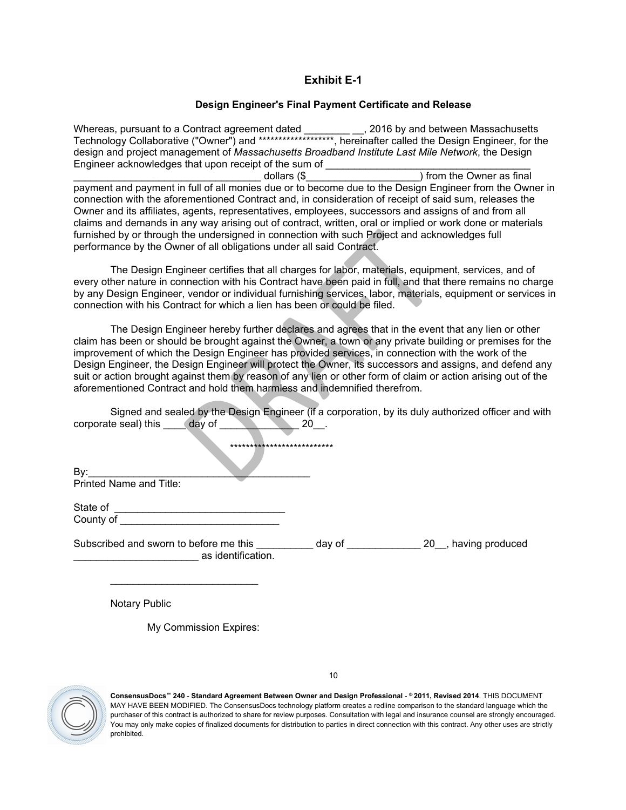# **Exhibit E-1**

### **Design Engineer's Final Payment Certificate and Release**

Whereas, pursuant to a Contract agreement dated \_\_\_\_\_\_\_\_ \_\_, 2016 by and between Massachusetts Technology Collaborative ("Owner") and \*\*\*\*\*\*\*\*\*\*\*\*\*\*\*\*\*\*\*, hereinafter called the Design Engineer, for the design and project management of *Massachusetts Broadband Institute Last Mile Network*, the Design Engineer acknowledges that upon receipt of the sum of \_\_\_\_\_\_\_\_\_\_\_\_\_\_\_\_\_\_\_\_\_\_\_\_\_\_\_

dollars (\$  $\Box$ ) from the Owner as final payment and payment in full of all monies due or to become due to the Design Engineer from the Owner in connection with the aforementioned Contract and, in consideration of receipt of said sum, releases the Owner and its affiliates, agents, representatives, employees, successors and assigns of and from all claims and demands in any way arising out of contract, written, oral or implied or work done or materials furnished by or through the undersigned in connection with such Project and acknowledges full performance by the Owner of all obligations under all said Contract.

The Design Engineer certifies that all charges for labor, materials, equipment, services, and of every other nature in connection with his Contract have been paid in full, and that there remains no charge by any Design Engineer, vendor or individual furnishing services, labor, materials, equipment or services in connection with his Contract for which a lien has been or could be filed.

The Design Engineer hereby further declares and agrees that in the event that any lien or other claim has been or should be brought against the Owner, a town or any private building or premises for the improvement of which the Design Engineer has provided services, in connection with the work of the Design Engineer, the Design Engineer will protect the Owner, its successors and assigns, and defend any suit or action brought against them by reason of any lien or other form of claim or action arising out of the aforementioned Contract and hold them harmless and indemnified therefrom.

Signed and sealed by the Design Engineer (if a corporation, by its duly authorized officer and with corporate seal) this day of 20.

\*\*\*\*\*\*\*\*\*\*\*\*\*\*\*\*\*\*\*\*\*\*\*\*\*\*

By:\_\_\_\_\_\_\_\_\_\_\_\_\_\_\_\_\_\_\_\_\_\_\_\_\_\_\_\_\_\_\_\_\_\_\_\_\_\_\_ Printed Name and Title:

State of County of

\_\_\_\_\_\_\_\_\_\_\_\_\_\_\_\_\_\_\_\_\_\_\_\_\_\_

Subscribed and sworn to before me this \_\_\_\_\_\_\_\_\_\_ day of \_\_\_\_\_\_\_\_\_\_\_\_\_\_ 20\_, having produced \_\_\_\_\_\_\_\_\_\_\_\_\_\_\_\_\_\_\_\_\_\_ as identification.

Notary Public

My Commission Expires:

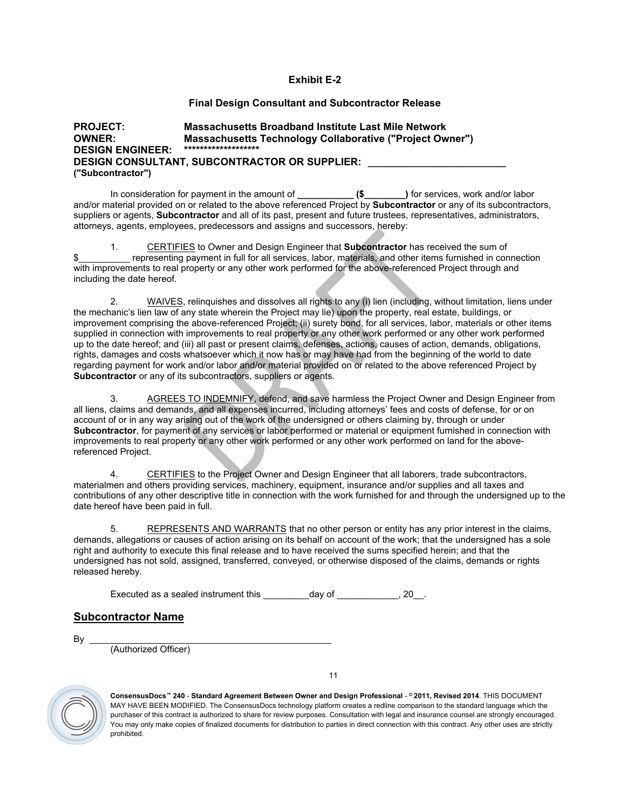#### **Exhibit E-2**

#### **Final Design Consultant and Subcontractor Release**

#### **PROJECT: Massachusetts Broadband Institute Last Mile Network OWNER: Massachusetts Technology Collaborative ("Project Owner") DESIGN ENGINEER: \*\*\*\*\*\*\*\*\*\*\*\*\*\*\*\*\*\*\* DESIGN CONSULTANT, SUBCONTRACTOR OR SUPPLIER: \_\_\_\_\_\_\_\_\_\_\_\_\_\_\_\_\_\_\_\_\_\_\_\_\_\_\_ ("Subcontractor")**

In consideration for payment in the amount of **\_\_\_\_\_\_\_\_\_\_\_ (\$\_\_\_\_\_\_\_\_)** for services, work and/or labor and/or material provided on or related to the above referenced Project by **Subcontractor** or any of its subcontractors, suppliers or agents, **Subcontractor** and all of its past, present and future trustees, representatives, administrators, attorneys, agents, employees, predecessors and assigns and successors, hereby:

1. CERTIFIES to Owner and Design Engineer that **Subcontractor** has received the sum of \$\_\_\_\_\_\_\_\_\_\_ representing payment in full for all services, labor, materials, and other items furnished in connection with improvements to real property or any other work performed for the above-referenced Project through and including the date hereof.

2. WAIVES, relinquishes and dissolves all rights to any (i) lien (including, without limitation, liens under the mechanic's lien law of any state wherein the Project may lie) upon the property, real estate, buildings, or improvement comprising the above-referenced Project; (ii) surety bond, for all services, labor, materials or other items supplied in connection with improvements to real property or any other work performed or any other work performed up to the date hereof; and (iii) all past or present claims, defenses, actions, causes of action, demands, obligations, rights, damages and costs whatsoever which it now has or may have had from the beginning of the world to date regarding payment for work and/or labor and/or material provided on or related to the above referenced Project by **Subcontractor** or any of its subcontractors, suppliers or agents.

3. AGREES TO INDEMNIFY, defend, and save harmless the Project Owner and Design Engineer from all liens, claims and demands, and all expenses incurred, including attorneys' fees and costs of defense, for or on account of or in any way arising out of the work of the undersigned or others claiming by, through or under **Subcontractor**, for payment of any services or labor performed or material or equipment furnished in connection with improvements to real property or any other work performed or any other work performed on land for the abovereferenced Project.

4. CERTIFIES to the Project Owner and Design Engineer that all laborers, trade subcontractors, materialmen and others providing services, machinery, equipment, insurance and/or supplies and all taxes and contributions of any other descriptive title in connection with the work furnished for and through the undersigned up to the date hereof have been paid in full.

5. REPRESENTS AND WARRANTS that no other person or entity has any prior interest in the claims, demands, allegations or causes of action arising on its behalf on account of the work; that the undersigned has a sole right and authority to execute this final release and to have received the sums specified herein; and that the undersigned has not sold, assigned, transferred, conveyed, or otherwise disposed of the claims, demands or rights released hereby.

Executed as a sealed instrument this \_\_\_\_\_\_\_\_\_day of \_\_\_\_\_\_\_\_\_\_\_\_, 20\_\_.

# **Subcontractor Name**

By

(Authorized Officer)

11